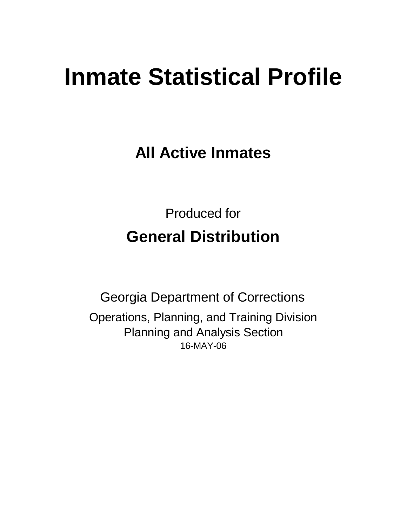# **Inmate Statistical Profile**

**All Active Inmates**

Produced for **General Distribution**

16-MAY-06 Georgia Department of Corrections Operations, Planning, and Training Division Planning and Analysis Section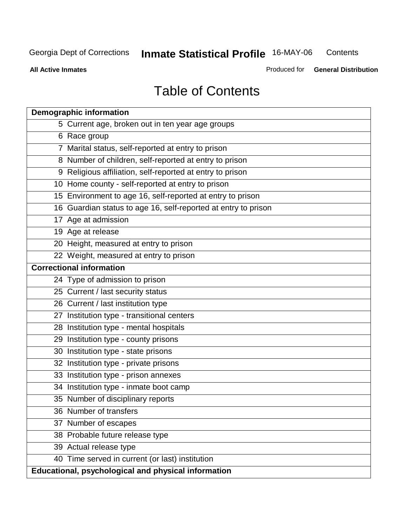**All Active Inmates**

Produced for **General Distribution**

# Table of Contents

| <b>Demographic information</b>                                 |
|----------------------------------------------------------------|
| 5 Current age, broken out in ten year age groups               |
| 6 Race group                                                   |
| 7 Marital status, self-reported at entry to prison             |
| 8 Number of children, self-reported at entry to prison         |
| 9 Religious affiliation, self-reported at entry to prison      |
| 10 Home county - self-reported at entry to prison              |
| 15 Environment to age 16, self-reported at entry to prison     |
| 16 Guardian status to age 16, self-reported at entry to prison |
| 17 Age at admission                                            |
| 19 Age at release                                              |
| 20 Height, measured at entry to prison                         |
| 22 Weight, measured at entry to prison                         |
| <b>Correctional information</b>                                |
| 24 Type of admission to prison                                 |
| 25 Current / last security status                              |
| 26 Current / last institution type                             |
| 27 Institution type - transitional centers                     |
| 28 Institution type - mental hospitals                         |
| 29 Institution type - county prisons                           |
| 30 Institution type - state prisons                            |
| 32 Institution type - private prisons                          |
| 33 Institution type - prison annexes                           |
| 34 Institution type - inmate boot camp                         |
| 35 Number of disciplinary reports                              |
| 36 Number of transfers                                         |
| 37 Number of escapes                                           |
| 38 Probable future release type                                |
| 39 Actual release type                                         |
| 40 Time served in current (or last) institution                |
| Educational, psychological and physical information            |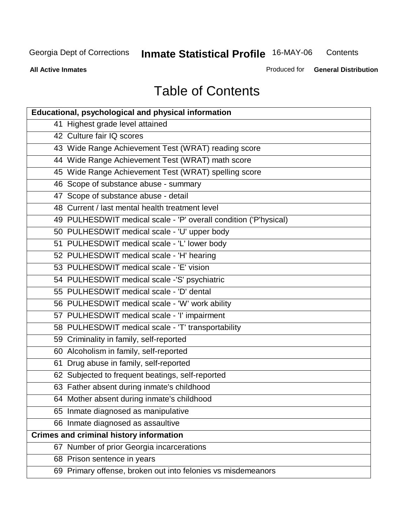**Contents** 

**All Active Inmates**

Produced for **General Distribution**

# Table of Contents

| <b>Educational, psychological and physical information</b>       |
|------------------------------------------------------------------|
| 41 Highest grade level attained                                  |
| 42 Culture fair IQ scores                                        |
| 43 Wide Range Achievement Test (WRAT) reading score              |
| 44 Wide Range Achievement Test (WRAT) math score                 |
| 45 Wide Range Achievement Test (WRAT) spelling score             |
| 46 Scope of substance abuse - summary                            |
| 47 Scope of substance abuse - detail                             |
| 48 Current / last mental health treatment level                  |
| 49 PULHESDWIT medical scale - 'P' overall condition ('P'hysical) |
| 50 PULHESDWIT medical scale - 'U' upper body                     |
| 51 PULHESDWIT medical scale - 'L' lower body                     |
| 52 PULHESDWIT medical scale - 'H' hearing                        |
| 53 PULHESDWIT medical scale - 'E' vision                         |
| 54 PULHESDWIT medical scale -'S' psychiatric                     |
| 55 PULHESDWIT medical scale - 'D' dental                         |
| 56 PULHESDWIT medical scale - 'W' work ability                   |
| 57 PULHESDWIT medical scale - 'I' impairment                     |
| 58 PULHESDWIT medical scale - 'T' transportability               |
| 59 Criminality in family, self-reported                          |
| 60 Alcoholism in family, self-reported                           |
| 61 Drug abuse in family, self-reported                           |
| 62 Subjected to frequent beatings, self-reported                 |
| 63 Father absent during inmate's childhood                       |
| 64 Mother absent during inmate's childhood                       |
| 65 Inmate diagnosed as manipulative                              |
| 66 Inmate diagnosed as assaultive                                |
| <b>Crimes and criminal history information</b>                   |
| 67 Number of prior Georgia incarcerations                        |
| 68 Prison sentence in years                                      |
| 69 Primary offense, broken out into felonies vs misdemeanors     |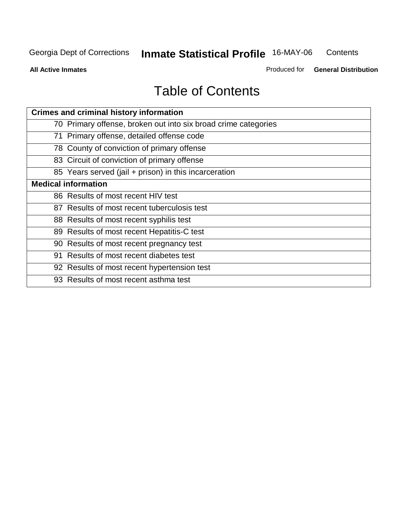**All Active Inmates**

Produced for **General Distribution**

# Table of Contents

| <b>Crimes and criminal history information</b>                 |
|----------------------------------------------------------------|
| 70 Primary offense, broken out into six broad crime categories |
| 71 Primary offense, detailed offense code                      |
| 78 County of conviction of primary offense                     |
| 83 Circuit of conviction of primary offense                    |
| 85 Years served (jail + prison) in this incarceration          |
| <b>Medical information</b>                                     |
| 86 Results of most recent HIV test                             |
| 87 Results of most recent tuberculosis test                    |
| 88 Results of most recent syphilis test                        |
| 89 Results of most recent Hepatitis-C test                     |
| 90 Results of most recent pregnancy test                       |
| 91 Results of most recent diabetes test                        |
| 92 Results of most recent hypertension test                    |
| 93 Results of most recent asthma test                          |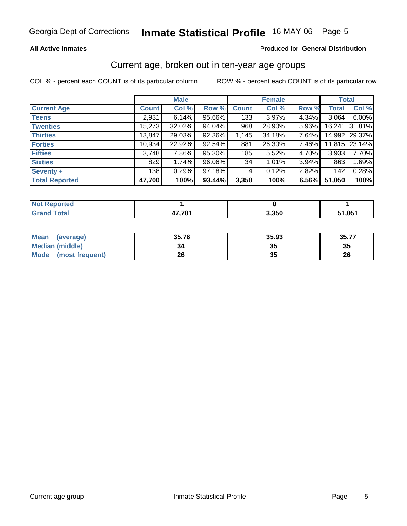### **All Active Inmates**

### Produced for **General Distribution**

### Current age, broken out in ten-year age groups

|                       |              | <b>Male</b> |        |              | <b>Female</b> |       | <b>Total</b> |               |
|-----------------------|--------------|-------------|--------|--------------|---------------|-------|--------------|---------------|
| <b>Current Age</b>    | <b>Count</b> | Col %       | Row %  | <b>Count</b> | Col %         | Row % | <b>Total</b> | Col %         |
| <b>Teens</b>          | 2,931        | 6.14%       | 95.66% | 133          | 3.97%         | 4.34% | 3,064        | 6.00%         |
| <b>Twenties</b>       | 15,273       | 32.02%      | 94.04% | 968          | 28.90%        | 5.96% | 16,241       | 31.81%        |
| <b>Thirties</b>       | 13,847       | 29.03%      | 92.36% | 1,145        | 34.18%        | 7.64% |              | 14,992 29.37% |
| <b>Forties</b>        | 10,934       | 22.92%      | 92.54% | 881          | 26.30%        | 7.46% |              | 11,815 23.14% |
| <b>Fifties</b>        | 3,748        | 7.86%       | 95.30% | 185          | 5.52%         | 4.70% | 3,933        | 7.70%         |
| <b>Sixties</b>        | 829          | 1.74%       | 96.06% | 34           | 1.01%         | 3.94% | 863          | 1.69%         |
| Seventy +             | 138          | 0.29%       | 97.18% | 4            | 0.12%         | 2.82% | 142          | 0.28%         |
| <b>Total Reported</b> | 47,700       | 100%        | 93.44% | 3,350        | 100%          | 6.56% | 51,050       | 100%          |

| <b>Not Reported</b> |      |       |                    |
|---------------------|------|-------|--------------------|
| Total               | 70٠. | 3,350 | 51,05 <sup>4</sup> |

| <b>Mean</b><br>(average) | 35.76 | 35.93   | 35.77 |
|--------------------------|-------|---------|-------|
| <b>Median (middle)</b>   | 34    | ^^<br>w | 35    |
| Mode<br>(most frequent)  | 26    | 21<br>w | 26    |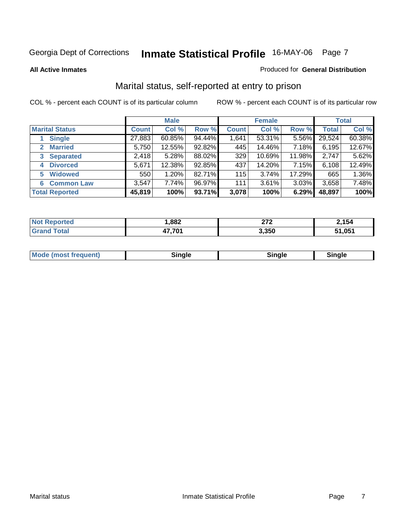### **All Active Inmates**

### Produced for **General Distribution**

# Marital status, self-reported at entry to prison

|                                | <b>Male</b>  |           |        | <b>Female</b> |           |        | <b>Total</b> |        |
|--------------------------------|--------------|-----------|--------|---------------|-----------|--------|--------------|--------|
| <b>Marital Status</b>          | <b>Count</b> | Col %     | Row %  | <b>Count</b>  | Col %     | Row %  | <b>Total</b> | Col %  |
| <b>Single</b>                  | 27,883       | $60.85\%$ | 94.44% | 1,641         | $53.31\%$ | 5.56%  | 29,524       | 60.38% |
| <b>Married</b><br>$\mathbf{2}$ | 5,750        | 12.55%    | 92.82% | 445           | 14.46%    | 7.18%  | 6,195        | 12.67% |
| <b>Separated</b><br>3          | 2,418        | 5.28%     | 88.02% | 329           | 10.69%    | 11.98% | 2,747        | 5.62%  |
| <b>Divorced</b><br>4           | 5,671        | 12.38%    | 92.85% | 437           | 14.20%    | 7.15%  | 6,108        | 12.49% |
| <b>Widowed</b><br>5            | 550          | 1.20%     | 82.71% | 115           | 3.74%     | 17.29% | 665          | 1.36%  |
| <b>Common Law</b><br>6         | 3,547        | 7.74%     | 96.97% | 111           | 3.61%     | 3.03%  | 3,658        | 7.48%  |
| <b>Total Reported</b>          | 45,819       | 100%      | 93.71% | 3,078         | 100%      | 6.29%  | 48,897       | 100%   |

| ,882 | $\sim$<br>--- | ำ54   |
|------|---------------|-------|
| 70/  | 3.350         | . 051 |

|  | <b>Mode</b><br>(most frequent) | .<br>luie | лане | ---- |
|--|--------------------------------|-----------|------|------|
|--|--------------------------------|-----------|------|------|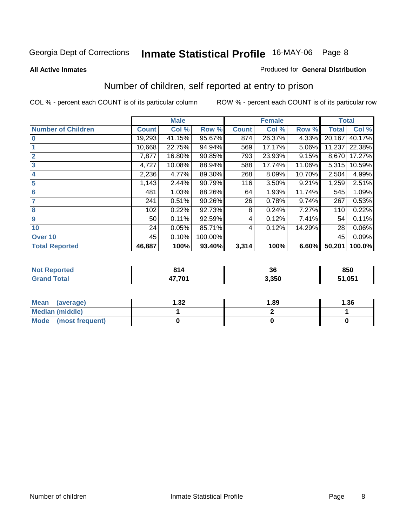### **All Active Inmates**

### Produced for **General Distribution**

# Number of children, self reported at entry to prison

|                           |              | <b>Male</b> |         |              | <b>Female</b> |        | <b>Total</b> |        |
|---------------------------|--------------|-------------|---------|--------------|---------------|--------|--------------|--------|
| <b>Number of Children</b> | <b>Count</b> | Col %       | Row %   | <b>Count</b> | Col %         | Row %  | <b>Total</b> | Col %  |
| $\overline{0}$            | 19,293       | 41.15%      | 95.67%  | 874          | 26.37%        | 4.33%  | 20,167       | 40.17% |
|                           | 10,668       | 22.75%      | 94.94%  | 569          | 17.17%        | 5.06%  | 11,237       | 22.38% |
| $\overline{2}$            | 7,877        | 16.80%      | 90.85%  | 793          | 23.93%        | 9.15%  | 8,670        | 17.27% |
| $\overline{\mathbf{3}}$   | 4,727        | 10.08%      | 88.94%  | 588          | 17.74%        | 11.06% | 5,315        | 10.59% |
| $\overline{\mathbf{4}}$   | 2,236        | 4.77%       | 89.30%  | 268          | 8.09%         | 10.70% | 2,504        | 4.99%  |
| 5                         | 1,143        | 2.44%       | 90.79%  | 116          | 3.50%         | 9.21%  | 1,259        | 2.51%  |
| $6\phantom{a}6$           | 481          | 1.03%       | 88.26%  | 64           | 1.93%         | 11.74% | 545          | 1.09%  |
| 7                         | 241          | 0.51%       | 90.26%  | 26           | 0.78%         | 9.74%  | 267          | 0.53%  |
| 8                         | 102          | 0.22%       | 92.73%  | 8            | 0.24%         | 7.27%  | 110          | 0.22%  |
| 9                         | 50           | 0.11%       | 92.59%  | 4            | 0.12%         | 7.41%  | 54           | 0.11%  |
| 10                        | 24           | 0.05%       | 85.71%  | 4            | 0.12%         | 14.29% | 28           | 0.06%  |
| Over 10                   | 45           | 0.10%       | 100.00% |              |               |        | 45           | 0.09%  |
| <b>Total Reported</b>     | 46,887       | 100%        | 93.40%  | 3,314        | 100%          | 6.60%  | 50,201       | 100.0% |

| reo | O <sub>4</sub><br>914<br>$\sim$ $\sim$ | $\sim$<br>-JU | 850  |
|-----|----------------------------------------|---------------|------|
|     | 17.701<br>--                           | 3.350         | .051 |

| <b>Mean</b><br>(average) | 1.32 | 1.89 | 1.36 |
|--------------------------|------|------|------|
| <b>Median (middle)</b>   |      |      |      |
| Mode<br>(most frequent)  |      |      |      |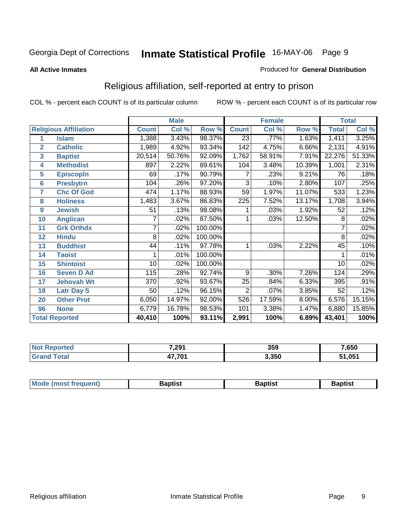### **All Active Inmates**

### Produced for **General Distribution**

# Religious affiliation, self-reported at entry to prison

|                         |                              | <b>Male</b>  |        |         | <b>Female</b>   |        |        | <b>Total</b> |        |
|-------------------------|------------------------------|--------------|--------|---------|-----------------|--------|--------|--------------|--------|
|                         | <b>Religious Affiliation</b> | <b>Count</b> | Col %  | Row %   | <b>Count</b>    | Col %  | Row %  | <b>Total</b> | Col %  |
| 1                       | <b>Islam</b>                 | 1,388        | 3.43%  | 98.37%  | $\overline{23}$ | .77%   | 1.63%  | 1,411        | 3.25%  |
| $\overline{2}$          | <b>Catholic</b>              | 1,989        | 4.92%  | 93.34%  | 142             | 4.75%  | 6.66%  | 2,131        | 4.91%  |
| $\overline{\mathbf{3}}$ | <b>Baptist</b>               | 20,514       | 50.76% | 92.09%  | 1,762           | 58.91% | 7.91%  | 22,276       | 51.33% |
| 4                       | <b>Methodist</b>             | 897          | 2.22%  | 89.61%  | 104             | 3.48%  | 10.39% | 1,001        | 2.31%  |
| 5                       | <b>EpiscopIn</b>             | 69           | .17%   | 90.79%  | 7               | .23%   | 9.21%  | 76           | .18%   |
| $6\phantom{1}6$         | <b>Presbytrn</b>             | 104          | .26%   | 97.20%  | 3               | .10%   | 2.80%  | 107          | .25%   |
| 7                       | <b>Chc Of God</b>            | 474          | 1.17%  | 88.93%  | 59              | 1.97%  | 11.07% | 533          | 1.23%  |
| 8                       | <b>Holiness</b>              | 1,483        | 3.67%  | 86.83%  | 225             | 7.52%  | 13.17% | 1,708        | 3.94%  |
| 9                       | <b>Jewish</b>                | 51           | .13%   | 98.08%  | 1               | .03%   | 1.92%  | 52           | .12%   |
| 10                      | <b>Anglican</b>              |              | .02%   | 87.50%  |                 | .03%   | 12.50% | 8            | .02%   |
| 11                      | <b>Grk Orthdx</b>            | 7            | .02%   | 100.00% |                 |        |        | 7            | .02%   |
| 12                      | <b>Hindu</b>                 | 8            | .02%   | 100.00% |                 |        |        | 8            | .02%   |
| 13                      | <b>Buddhist</b>              | 44           | .11%   | 97.78%  | 1               | .03%   | 2.22%  | 45           | .10%   |
| 14                      | <b>Taoist</b>                | 1            | .01%   | 100.00% |                 |        |        |              | .01%   |
| 15                      | <b>Shintoist</b>             | 10           | .02%   | 100.00% |                 |        |        | 10           | .02%   |
| 16                      | <b>Seven D Ad</b>            | 115          | .28%   | 92.74%  | 9               | .30%   | 7.26%  | 124          | .29%   |
| 17                      | <b>Jehovah Wt</b>            | 370          | .92%   | 93.67%  | 25              | .84%   | 6.33%  | 395          | .91%   |
| 18                      | <b>Latr Day S</b>            | 50           | .12%   | 96.15%  | $\overline{2}$  | .07%   | 3.85%  | 52           | .12%   |
| 20                      | <b>Other Prot</b>            | 6,050        | 14.97% | 92.00%  | 526             | 17.59% | 8.00%  | 6,576        | 15.15% |
| 96                      | <b>None</b>                  | 6,779        | 16.78% | 98.53%  | 101             | 3.38%  | 1.47%  | 6,880        | 15.85% |
|                         | <b>Total Reported</b>        | 40,410       | 100%   | 93.11%  | 2,991           | 100%   | 6.89%  | 43,401       | 100%   |

| 7,291   | 359   | .650       |
|---------|-------|------------|
| 704<br> | 3.350 | <b>054</b> |

| Mode (mo<br>ost freauent) | 3aptist | Baptist | 3aptist |
|---------------------------|---------|---------|---------|
|                           |         |         |         |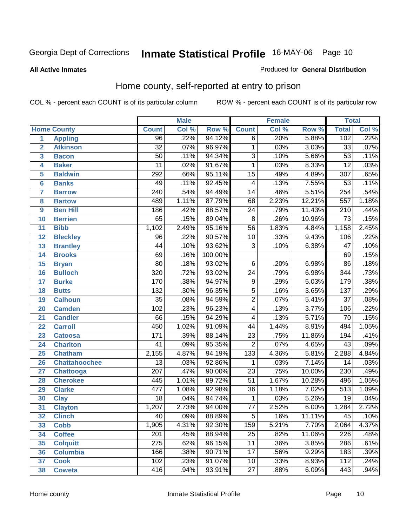### **All Active Inmates**

### Produced for **General Distribution**

# Home county, self-reported at entry to prison

|                 |                      |                  | <b>Male</b> |         | <b>Female</b>   |       |        | <b>Total</b>     |       |
|-----------------|----------------------|------------------|-------------|---------|-----------------|-------|--------|------------------|-------|
|                 | <b>Home County</b>   | <b>Count</b>     | Col %       | Row %   | <b>Count</b>    | Col % | Row %  | <b>Total</b>     | Col % |
| $\overline{1}$  | <b>Appling</b>       | 96               | .22%        | 94.12%  | $\overline{6}$  | .20%  | 5.88%  | 102              | .22%  |
| $\overline{2}$  | <b>Atkinson</b>      | $\overline{32}$  | .07%        | 96.97%  | 1               | .03%  | 3.03%  | $\overline{33}$  | .07%  |
| 3               | <b>Bacon</b>         | $\overline{50}$  | .11%        | 94.34%  | $\overline{3}$  | .10%  | 5.66%  | $\overline{53}$  | .11%  |
| 4               | <b>Baker</b>         | $\overline{11}$  | .02%        | 91.67%  | 1               | .03%  | 8.33%  | $\overline{12}$  | .03%  |
| 5               | <b>Baldwin</b>       | 292              | .66%        | 95.11%  | $\overline{15}$ | .49%  | 4.89%  | $\overline{307}$ | .65%  |
| $6\phantom{a}$  | <b>Banks</b>         | 49               | .11%        | 92.45%  | 4               | .13%  | 7.55%  | $\overline{53}$  | .11%  |
| $\overline{7}$  | <b>Barrow</b>        | $\overline{240}$ | .54%        | 94.49%  | $\overline{14}$ | .46%  | 5.51%  | 254              | .54%  |
| 8               | <b>Bartow</b>        | 489              | 1.11%       | 87.79%  | 68              | 2.23% | 12.21% | 557              | 1.18% |
| 9               | <b>Ben Hill</b>      | 186              | .42%        | 88.57%  | $\overline{24}$ | .79%  | 11.43% | $\overline{210}$ | .44%  |
| 10              | <b>Berrien</b>       | 65               | .15%        | 89.04%  | $\overline{8}$  | .26%  | 10.96% | $\overline{73}$  | .15%  |
| 11              | <b>Bibb</b>          | 1,102            | 2.49%       | 95.16%  | $\overline{56}$ | 1.83% | 4.84%  | 1,158            | 2.45% |
| 12              | <b>Bleckley</b>      | $\overline{96}$  | .22%        | 90.57%  | 10              | .33%  | 9.43%  | 106              | .22%  |
| 13              | <b>Brantley</b>      | $\overline{44}$  | .10%        | 93.62%  | $\overline{3}$  | .10%  | 6.38%  | $\overline{47}$  | .10%  |
| 14              | <b>Brooks</b>        | 69               | .16%        | 100.00% |                 |       |        | 69               | .15%  |
| 15              | <b>Bryan</b>         | $\overline{80}$  | .18%        | 93.02%  | $\overline{6}$  | .20%  | 6.98%  | $\overline{86}$  | .18%  |
| 16              | <b>Bulloch</b>       | 320              | .72%        | 93.02%  | $\overline{24}$ | .79%  | 6.98%  | 344              | .73%  |
| 17              | <b>Burke</b>         | 170              | .38%        | 94.97%  | $\overline{9}$  | .29%  | 5.03%  | 179              | .38%  |
| 18              | <b>Butts</b>         | $\overline{132}$ | .30%        | 96.35%  | $\overline{5}$  | .16%  | 3.65%  | 137              | .29%  |
| 19              | <b>Calhoun</b>       | $\overline{35}$  | .08%        | 94.59%  | $\overline{2}$  | .07%  | 5.41%  | $\overline{37}$  | .08%  |
| 20              | <b>Camden</b>        | 102              | .23%        | 96.23%  | 4               | .13%  | 3.77%  | 106              | .22%  |
| 21              | <b>Candler</b>       | $\overline{66}$  | .15%        | 94.29%  | 4               | .13%  | 5.71%  | $\overline{70}$  | .15%  |
| $\overline{22}$ | <b>Carroll</b>       | 450              | 1.02%       | 91.09%  | 44              | 1.44% | 8.91%  | 494              | 1.05% |
| 23              | <b>Catoosa</b>       | 171              | .39%        | 88.14%  | $\overline{23}$ | .75%  | 11.86% | 194              | .41%  |
| 24              | <b>Charlton</b>      | 41               | .09%        | 95.35%  | $\overline{2}$  | .07%  | 4.65%  | $\overline{43}$  | .09%  |
| 25              | <b>Chatham</b>       | 2,155            | 4.87%       | 94.19%  | 133             | 4.36% | 5.81%  | 2,288            | 4.84% |
| 26              | <b>Chattahoochee</b> | 13               | .03%        | 92.86%  | 1               | .03%  | 7.14%  | 14               | .03%  |
| 27              | Chattooga            | $\overline{207}$ | .47%        | 90.00%  | $\overline{23}$ | .75%  | 10.00% | 230              | .49%  |
| 28              | <b>Cherokee</b>      | 445              | 1.01%       | 89.72%  | $\overline{51}$ | 1.67% | 10.28% | 496              | 1.05% |
| 29              | <b>Clarke</b>        | 477              | 1.08%       | 92.98%  | $\overline{36}$ | 1.18% | 7.02%  | $\overline{513}$ | 1.09% |
| 30              | <b>Clay</b>          | $\overline{18}$  | .04%        | 94.74%  | 1               | .03%  | 5.26%  | $\overline{19}$  | .04%  |
| $\overline{31}$ | <b>Clayton</b>       | 1,207            | 2.73%       | 94.00%  | $\overline{77}$ | 2.52% | 6.00%  | 1,284            | 2.72% |
| 32              | <b>Clinch</b>        | 40               | .09%        | 88.89%  | 5               | .16%  | 11.11% | 45               | .10%  |
| 33              | <b>Cobb</b>          | 1,905            | 4.31%       | 92.30%  | 159             | 5.21% | 7.70%  | 2,064            | 4.37% |
| 34              | <b>Coffee</b>        | 201              | .45%        | 88.94%  | 25              | .82%  | 11.06% | 226              | .48%  |
| 35              | <b>Colquitt</b>      | $\overline{275}$ | .62%        | 96.15%  | 11              | .36%  | 3.85%  | 286              | .61%  |
| 36              | <b>Columbia</b>      | 166              | .38%        | 90.71%  | 17              | .56%  | 9.29%  | 183              | .39%  |
| 37              | <b>Cook</b>          | 102              | .23%        | 91.07%  | $\overline{10}$ | .33%  | 8.93%  | $\frac{11}{2}$   | .24%  |
| 38              | <b>Coweta</b>        | 416              | .94%        | 93.91%  | 27              | .88%  | 6.09%  | 443              | .94%  |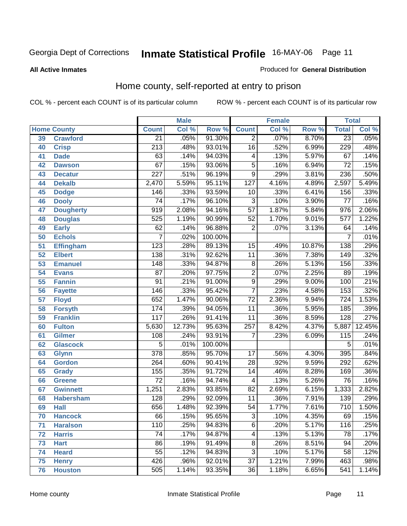### **All Active Inmates**

### Produced for **General Distribution**

# Home county, self-reported at entry to prison

|    |                    |                  | <b>Male</b> |         |                  | <b>Female</b> |          | <b>Total</b>     |        |
|----|--------------------|------------------|-------------|---------|------------------|---------------|----------|------------------|--------|
|    | <b>Home County</b> | <b>Count</b>     | Col %       | Row %   | <b>Count</b>     | Col %         | Row %    | <b>Total</b>     | Col %  |
| 39 | <b>Crawford</b>    | $\overline{21}$  | .05%        | 91.30%  | $\overline{2}$   | .07%          | 8.70%    | $\overline{23}$  | .05%   |
| 40 | <b>Crisp</b>       | $\overline{213}$ | .48%        | 93.01%  | $\overline{16}$  | .52%          | 6.99%    | 229              | .48%   |
| 41 | <b>Dade</b>        | $\overline{63}$  | .14%        | 94.03%  | 4                | .13%          | 5.97%    | $\overline{67}$  | .14%   |
| 42 | <b>Dawson</b>      | $\overline{67}$  | .15%        | 93.06%  | $\overline{5}$   | .16%          | 6.94%    | $\overline{72}$  | .15%   |
| 43 | <b>Decatur</b>     | $\overline{227}$ | .51%        | 96.19%  | $\overline{9}$   | .29%          | 3.81%    | 236              | .50%   |
| 44 | <b>Dekalb</b>      | 2,470            | 5.59%       | 95.11%  | $\overline{127}$ | 4.16%         | 4.89%    | 2,597            | 5.49%  |
| 45 | <b>Dodge</b>       | 146              | .33%        | 93.59%  | 10               | .33%          | 6.41%    | 156              | .33%   |
| 46 | <b>Dooly</b>       | $\overline{74}$  | .17%        | 96.10%  | $\overline{3}$   | .10%          | 3.90%    | $\overline{77}$  | .16%   |
| 47 | <b>Dougherty</b>   | $\overline{919}$ | 2.08%       | 94.16%  | $\overline{57}$  | 1.87%         | 5.84%    | 976              | 2.06%  |
| 48 | <b>Douglas</b>     | 525              | 1.19%       | 90.99%  | $\overline{52}$  | 1.70%         | 9.01%    | $\overline{577}$ | 1.22%  |
| 49 | <b>Early</b>       | $\overline{62}$  | .14%        | 96.88%  | $\overline{2}$   | .07%          | 3.13%    | 64               | .14%   |
| 50 | <b>Echols</b>      | 7                | .02%        | 100.00% |                  |               |          | 7                | .01%   |
| 51 | <b>Effingham</b>   | $\overline{123}$ | .28%        | 89.13%  | $\overline{15}$  | .49%          | 10.87%   | 138              | .29%   |
| 52 | <b>Elbert</b>      | 138              | .31%        | 92.62%  | $\overline{11}$  | .36%          | 7.38%    | 149              | .32%   |
| 53 | <b>Emanuel</b>     | 148              | .33%        | 94.87%  | 8                | .26%          | 5.13%    | 156              | .33%   |
| 54 | <b>Evans</b>       | $\overline{87}$  | .20%        | 97.75%  | $\overline{2}$   | .07%          | 2.25%    | $\overline{89}$  | .19%   |
| 55 | <b>Fannin</b>      | $\overline{91}$  | .21%        | 91.00%  | $\overline{9}$   | .29%          | $9.00\%$ | 100              | .21%   |
| 56 | <b>Fayette</b>     | 146              | .33%        | 95.42%  | $\overline{7}$   | .23%          | 4.58%    | 153              | .32%   |
| 57 | <b>Floyd</b>       | 652              | 1.47%       | 90.06%  | $\overline{72}$  | 2.36%         | 9.94%    | $\overline{724}$ | 1.53%  |
| 58 | <b>Forsyth</b>     | 174              | .39%        | 94.05%  | $\overline{11}$  | .36%          | 5.95%    | 185              | .39%   |
| 59 | <b>Franklin</b>    | $\overline{117}$ | .26%        | 91.41%  | $\overline{11}$  | .36%          | 8.59%    | $\overline{128}$ | .27%   |
| 60 | <b>Fulton</b>      | 5,630            | 12.73%      | 95.63%  | 257              | 8.42%         | 4.37%    | 5,887            | 12.45% |
| 61 | <b>Gilmer</b>      | 108              | .24%        | 93.91%  | $\overline{7}$   | .23%          | 6.09%    | 115              | .24%   |
| 62 | <b>Glascock</b>    | $\overline{5}$   | .01%        | 100.00% |                  |               |          | 5                | .01%   |
| 63 | <b>Glynn</b>       | $\overline{378}$ | .85%        | 95.70%  | $\overline{17}$  | .56%          | 4.30%    | 395              | .84%   |
| 64 | <b>Gordon</b>      | 264              | .60%        | 90.41%  | $\overline{28}$  | .92%          | 9.59%    | 292              | .62%   |
| 65 | <b>Grady</b>       | 155              | .35%        | 91.72%  | $\overline{14}$  | .46%          | 8.28%    | 169              | .36%   |
| 66 | <b>Greene</b>      | $\overline{72}$  | .16%        | 94.74%  | $\overline{4}$   | .13%          | 5.26%    | $\overline{76}$  | .16%   |
| 67 | <b>Gwinnett</b>    | 1,251            | 2.83%       | 93.85%  | $\overline{82}$  | 2.69%         | 6.15%    | 1,333            | 2.82%  |
| 68 | <b>Habersham</b>   | $\overline{128}$ | .29%        | 92.09%  | $\overline{11}$  | .36%          | 7.91%    | 139              | .29%   |
| 69 | <b>Hall</b>        | 656              | 1.48%       | 92.39%  | $\overline{54}$  | 1.77%         | 7.61%    | $\overline{710}$ | 1.50%  |
| 70 | <b>Hancock</b>     | 66               | .15%        | 95.65%  | 3                | .10%          | 4.35%    | 69               | .15%   |
| 71 | <b>Haralson</b>    | 110              | .25%        | 94.83%  | $\overline{6}$   | .20%          | 5.17%    | 116              | .25%   |
| 72 | <b>Harris</b>      | $\overline{74}$  | .17%        | 94.87%  | $\overline{4}$   | .13%          | 5.13%    | 78               | .17%   |
| 73 | <b>Hart</b>        | $\overline{86}$  | .19%        | 91.49%  | 8                | .26%          | 8.51%    | 94               | .20%   |
| 74 | <b>Heard</b>       | $\overline{55}$  | .12%        | 94.83%  | $\overline{3}$   | .10%          | 5.17%    | $\overline{58}$  | .12%   |
| 75 | <b>Henry</b>       | 426              | .96%        | 92.01%  | $\overline{37}$  | 1.21%         | 7.99%    | 463              | .98%   |
| 76 | <b>Houston</b>     | 505              | 1.14%       | 93.35%  | $\overline{36}$  | 1.18%         | 6.65%    | 541              | 1.14%  |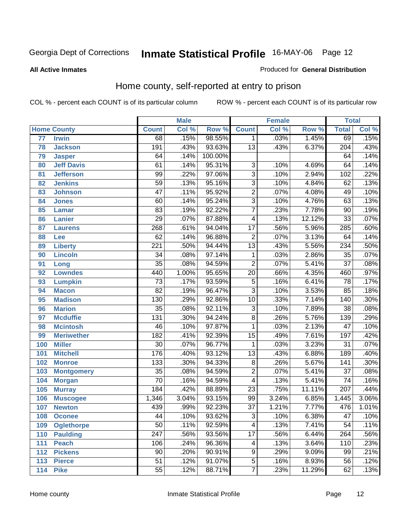### **All Active Inmates**

### Produced for **General Distribution**

# Home county, self-reported at entry to prison

|     |                    |                  | <b>Male</b> |         |                         | <b>Female</b> |        | <b>Total</b>     |       |
|-----|--------------------|------------------|-------------|---------|-------------------------|---------------|--------|------------------|-------|
|     | <b>Home County</b> | <b>Count</b>     | Col %       | Row %   | <b>Count</b>            | Col %         | Row %  | <b>Total</b>     | Col % |
| 77  | <b>Irwin</b>       | 68               | .15%        | 98.55%  | $\mathbf 1$             | .03%          | 1.45%  | 69               | .15%  |
| 78  | <b>Jackson</b>     | 191              | .43%        | 93.63%  | $\overline{13}$         | .43%          | 6.37%  | $\overline{204}$ | .43%  |
| 79  | <b>Jasper</b>      | 64               | .14%        | 100.00% |                         |               |        | 64               | .14%  |
| 80  | <b>Jeff Davis</b>  | 61               | .14%        | 95.31%  | $\overline{3}$          | .10%          | 4.69%  | 64               | .14%  |
| 81  | <b>Jefferson</b>   | $\overline{99}$  | .22%        | 97.06%  | $\overline{3}$          | .10%          | 2.94%  | 102              | .22%  |
| 82  | <b>Jenkins</b>     | $\overline{59}$  | .13%        | 95.16%  | $\overline{3}$          | .10%          | 4.84%  | 62               | .13%  |
| 83  | <b>Johnson</b>     | $\overline{47}$  | .11%        | 95.92%  | $\overline{2}$          | .07%          | 4.08%  | 49               | .10%  |
| 84  | <b>Jones</b>       | $\overline{60}$  | .14%        | 95.24%  | $\overline{3}$          | .10%          | 4.76%  | 63               | .13%  |
| 85  | <b>Lamar</b>       | $\overline{83}$  | .19%        | 92.22%  | $\overline{7}$          | .23%          | 7.78%  | $\overline{90}$  | .19%  |
| 86  | <b>Lanier</b>      | $\overline{29}$  | .07%        | 87.88%  | 4                       | .13%          | 12.12% | $\overline{33}$  | .07%  |
| 87  | <b>Laurens</b>     | 268              | .61%        | 94.04%  | $\overline{17}$         | .56%          | 5.96%  | 285              | .60%  |
| 88  | Lee                | $\overline{62}$  | .14%        | 96.88%  | $\overline{2}$          | .07%          | 3.13%  | 64               | .14%  |
| 89  | <b>Liberty</b>     | $\overline{221}$ | .50%        | 94.44%  | $\overline{13}$         | .43%          | 5.56%  | 234              | .50%  |
| 90  | <b>Lincoln</b>     | $\overline{34}$  | .08%        | 97.14%  | 1                       | .03%          | 2.86%  | $\overline{35}$  | .07%  |
| 91  | Long               | $\overline{35}$  | .08%        | 94.59%  | $\overline{2}$          | .07%          | 5.41%  | $\overline{37}$  | .08%  |
| 92  | <b>Lowndes</b>     | 440              | 1.00%       | 95.65%  | $\overline{20}$         | .66%          | 4.35%  | 460              | .97%  |
| 93  | <b>Lumpkin</b>     | $\overline{73}$  | .17%        | 93.59%  | $\overline{5}$          | .16%          | 6.41%  | $\overline{78}$  | .17%  |
| 94  | <b>Macon</b>       | $\overline{82}$  | .19%        | 96.47%  | $\overline{3}$          | .10%          | 3.53%  | $\overline{85}$  | .18%  |
| 95  | <b>Madison</b>     | $\overline{130}$ | .29%        | 92.86%  | $\overline{10}$         | .33%          | 7.14%  | 140              | .30%  |
| 96  | <b>Marion</b>      | $\overline{35}$  | .08%        | 92.11%  | $\overline{3}$          | .10%          | 7.89%  | $\overline{38}$  | .08%  |
| 97  | <b>Mcduffie</b>    | 131              | .30%        | 94.24%  | $\overline{8}$          | .26%          | 5.76%  | $\overline{139}$ | .29%  |
| 98  | <b>Mcintosh</b>    | $\overline{46}$  | .10%        | 97.87%  | 1                       | .03%          | 2.13%  | $\overline{47}$  | .10%  |
| 99  | <b>Meriwether</b>  | 182              | .41%        | 92.39%  | $\overline{15}$         | .49%          | 7.61%  | 197              | .42%  |
| 100 | <b>Miller</b>      | $\overline{30}$  | .07%        | 96.77%  | $\mathbf{1}$            | .03%          | 3.23%  | $\overline{31}$  | .07%  |
| 101 | <b>Mitchell</b>    | 176              | .40%        | 93.12%  | $\overline{13}$         | .43%          | 6.88%  | 189              | .40%  |
| 102 | <b>Monroe</b>      | 133              | .30%        | 94.33%  | $\overline{8}$          | .26%          | 5.67%  | 141              | .30%  |
| 103 | <b>Montgomery</b>  | $\overline{35}$  | .08%        | 94.59%  | $\overline{2}$          | .07%          | 5.41%  | $\overline{37}$  | .08%  |
| 104 | <b>Morgan</b>      | $\overline{70}$  | .16%        | 94.59%  | $\overline{4}$          | .13%          | 5.41%  | $\overline{74}$  | .16%  |
| 105 | <b>Murray</b>      | 184              | .42%        | 88.89%  | $\overline{23}$         | .75%          | 11.11% | 207              | .44%  |
| 106 | <b>Muscogee</b>    | 1,346            | 3.04%       | 93.15%  | 99                      | 3.24%         | 6.85%  | 1,445            | 3.06% |
| 107 | <b>Newton</b>      | 439              | .99%        | 92.23%  | $\overline{37}$         | 1.21%         | 7.77%  | 476              | 1.01% |
| 108 | <b>Oconee</b>      | 44               | .10%        | 93.62%  | 3                       | .10%          | 6.38%  | 47               | .10%  |
| 109 | <b>Oglethorpe</b>  | $\overline{50}$  | .11%        | 92.59%  | $\overline{\mathbf{4}}$ | .13%          | 7.41%  | $\overline{54}$  | .11%  |
| 110 | <b>Paulding</b>    | $\overline{247}$ | .56%        | 93.56%  | $\overline{17}$         | .56%          | 6.44%  | $\overline{264}$ | .56%  |
| 111 | <b>Peach</b>       | 106              | .24%        | 96.36%  | $\overline{4}$          | .13%          | 3.64%  | 110              | .23%  |
| 112 | <b>Pickens</b>     | $\overline{90}$  | .20%        | 90.91%  | $\overline{9}$          | .29%          | 9.09%  | $\overline{99}$  | .21%  |
| 113 | <b>Pierce</b>      | $\overline{51}$  | .12%        | 91.07%  | $\overline{5}$          | .16%          | 8.93%  | $\overline{56}$  | .12%  |
| 114 | <b>Pike</b>        | $\overline{55}$  | .12%        | 88.71%  | $\overline{7}$          | .23%          | 11.29% | 62               | .13%  |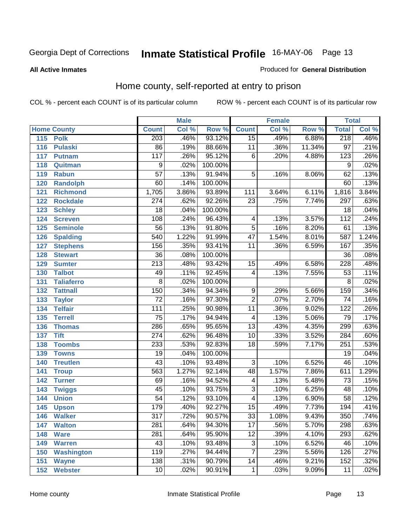### **All Active Inmates**

### Produced for **General Distribution**

# Home county, self-reported at entry to prison

|                          |                  | <b>Male</b> |         |                         | <b>Female</b> |        | <b>Total</b>     |       |
|--------------------------|------------------|-------------|---------|-------------------------|---------------|--------|------------------|-------|
| <b>Home County</b>       | <b>Count</b>     | Col %       | Row %   | <b>Count</b>            | Col %         | Row %  | <b>Total</b>     | Col % |
| 115 Polk                 | 203              | .46%        | 93.12%  | $\overline{15}$         | .49%          | 6.88%  | 218              | .46%  |
| 116<br><b>Pulaski</b>    | $\overline{86}$  | .19%        | 88.66%  | 11                      | .36%          | 11.34% | $\overline{97}$  | .21%  |
| 117<br><b>Putnam</b>     | $\overline{117}$ | .26%        | 95.12%  | $\overline{6}$          | .20%          | 4.88%  | $\overline{123}$ | .26%  |
| 118<br>Quitman           | 9                | .02%        | 100.00% |                         |               |        | 9                | .02%  |
| 119<br><b>Rabun</b>      | $\overline{57}$  | .13%        | 91.94%  | $\overline{5}$          | .16%          | 8.06%  | $\overline{62}$  | .13%  |
| 120<br><b>Randolph</b>   | $\overline{60}$  | .14%        | 100.00% |                         |               |        | 60               | .13%  |
| 121<br><b>Richmond</b>   | 1,705            | 3.86%       | 93.89%  | 111                     | 3.64%         | 6.11%  | 1,816            | 3.84% |
| 122<br><b>Rockdale</b>   | $\overline{274}$ | .62%        | 92.26%  | $\overline{23}$         | .75%          | 7.74%  | 297              | .63%  |
| 123<br><b>Schley</b>     | $\overline{18}$  | .04%        | 100.00% |                         |               |        | $\overline{18}$  | .04%  |
| 124<br><b>Screven</b>    | 108              | .24%        | 96.43%  | 4                       | .13%          | 3.57%  | 112              | .24%  |
| <b>Seminole</b><br>125   | $\overline{56}$  | .13%        | 91.80%  | $\overline{5}$          | .16%          | 8.20%  | 61               | .13%  |
| 126<br><b>Spalding</b>   | 540              | 1.22%       | 91.99%  | $\overline{47}$         | 1.54%         | 8.01%  | 587              | 1.24% |
| 127<br><b>Stephens</b>   | 156              | .35%        | 93.41%  | $\overline{11}$         | .36%          | 6.59%  | 167              | .35%  |
| 128<br><b>Stewart</b>    | $\overline{36}$  | .08%        | 100.00% |                         |               |        | $\overline{36}$  | .08%  |
| 129<br><b>Sumter</b>     | $\overline{213}$ | .48%        | 93.42%  | 15                      | .49%          | 6.58%  | 228              | .48%  |
| 130<br><b>Talbot</b>     | 49               | .11%        | 92.45%  | $\overline{4}$          | .13%          | 7.55%  | $\overline{53}$  | .11%  |
| 131<br><b>Taliaferro</b> | $\overline{8}$   | .02%        | 100.00% |                         |               |        | 8                | .02%  |
| 132<br><b>Tattnall</b>   | 150              | .34%        | 94.34%  | $\overline{9}$          | .29%          | 5.66%  | 159              | .34%  |
| 133<br><b>Taylor</b>     | $\overline{72}$  | .16%        | 97.30%  | $\overline{2}$          | .07%          | 2.70%  | $\overline{74}$  | .16%  |
| <b>Telfair</b><br>134    | $\overline{111}$ | .25%        | 90.98%  | $\overline{11}$         | .36%          | 9.02%  | $\overline{122}$ | .26%  |
| 135<br><b>Terrell</b>    | $\overline{75}$  | .17%        | 94.94%  | $\overline{4}$          | .13%          | 5.06%  | $\overline{79}$  | .17%  |
| 136<br><b>Thomas</b>     | 286              | .65%        | 95.65%  | $\overline{13}$         | .43%          | 4.35%  | 299              | .63%  |
| <b>Tift</b><br>137       | $\overline{274}$ | .62%        | 96.48%  | $\overline{10}$         | .33%          | 3.52%  | 284              | .60%  |
| <b>Toombs</b><br>138     | 233              | .53%        | 92.83%  | $\overline{18}$         | .59%          | 7.17%  | $\overline{251}$ | .53%  |
| 139<br><b>Towns</b>      | $\overline{19}$  | .04%        | 100.00% |                         |               |        | $\overline{19}$  | .04%  |
| <b>Treutlen</b><br>140   | $\overline{43}$  | .10%        | 93.48%  | $\overline{3}$          | .10%          | 6.52%  | 46               | .10%  |
| 141<br><b>Troup</b>      | 563              | 1.27%       | 92.14%  | $\overline{48}$         | 1.57%         | 7.86%  | 611              | 1.29% |
| 142<br><b>Turner</b>     | 69               | .16%        | 94.52%  | $\overline{\mathbf{4}}$ | .13%          | 5.48%  | $\overline{73}$  | .15%  |
| 143<br><b>Twiggs</b>     | $\overline{45}$  | .10%        | 93.75%  | $\overline{3}$          | .10%          | 6.25%  | 48               | .10%  |
| 144<br><b>Union</b>      | $\overline{54}$  | .12%        | 93.10%  | $\overline{4}$          | .13%          | 6.90%  | $\overline{58}$  | .12%  |
| 145<br><b>Upson</b>      | 179              | .40%        | 92.27%  | $\overline{15}$         | .49%          | 7.73%  | 194              | .41%  |
| 146<br><b>Walker</b>     | 317              | .72%        | 90.57%  | 33                      | 1.08%         | 9.43%  | 350              | .74%  |
| 147<br><b>Walton</b>     | 281              | .64%        | 94.30%  | $\overline{17}$         | .56%          | 5.70%  | 298              | .63%  |
| <b>Ware</b><br>148       | $\overline{281}$ | .64%        | 95.90%  | $\overline{12}$         | .39%          | 4.10%  | 293              | .62%  |
| <b>Warren</b><br>149     | $\overline{43}$  | .10%        | 93.48%  | 3                       | .10%          | 6.52%  | 46               | .10%  |
| <b>Washington</b><br>150 | 119              | .27%        | 94.44%  | 7                       | .23%          | 5.56%  | 126              | .27%  |
| 151<br><b>Wayne</b>      | 138              | .31%        | 90.79%  | 14                      | .46%          | 9.21%  | 152              | .32%  |
| <b>Webster</b><br>152    | 10 <sup>°</sup>  | .02%        | 90.91%  | $\mathbf{1}$            | .03%          | 9.09%  | 11               | .02%  |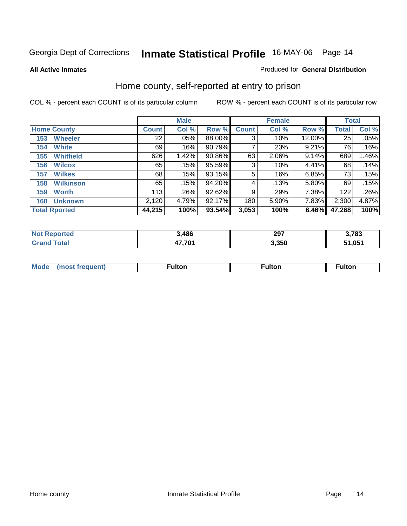### **All Active Inmates**

### Produced for **General Distribution**

# Home county, self-reported at entry to prison

|     |                      |              | <b>Male</b> |           |              | <b>Female</b> |          | <b>Total</b> |       |
|-----|----------------------|--------------|-------------|-----------|--------------|---------------|----------|--------------|-------|
|     | <b>Home County</b>   | <b>Count</b> | Col %       | Row %     | <b>Count</b> | Col %         | Row %    | <b>Total</b> | Col % |
| 153 | <b>Wheeler</b>       | 22           | .05%        | 88.00%    | 3            | .10%          | 12.00%   | 25           | .05%  |
| 154 | <b>White</b>         | 69           | .16%        | 90.79%    |              | .23%          | 9.21%    | 76           | .16%  |
| 155 | <b>Whitfield</b>     | 626          | 1.42%       | 90.86%    | 63           | $2.06\%$      | 9.14%    | 689          | 1.46% |
| 156 | <b>Wilcox</b>        | 65           | .15%        | 95.59%    | 3            | $.10\%$       | 4.41%    | 68           | .14%  |
| 157 | <b>Wilkes</b>        | 68           | .15%        | 93.15%    | 5            | .16%          | 6.85%    | 73           | .15%  |
| 158 | <b>Wilkinson</b>     | 65           | .15%        | 94.20%    | 4            | .13%          | $5.80\%$ | 69           | .15%  |
| 159 | <b>Worth</b>         | 113          | .26%        | $92.62\%$ | 9            | .29%          | 7.38%    | 122          | .26%  |
| 160 | <b>Unknown</b>       | 2,120        | 4.79%       | 92.17%    | 180          | 5.90%         | 7.83%    | 2,300        | 4.87% |
|     | <b>Total Rported</b> | 44,215       | 100%        | 93.54%    | 3,053        | 100%          | 6.46%    | 47,268       | 100%  |

| orted<br><b>NOT</b> | ,486   | 207<br>29 I | 3,783              |
|---------------------|--------|-------------|--------------------|
| <b>otal</b>         | パフ フハイ | 3,350       | 51.05 <sup>4</sup> |

| <b>Mode</b> | - 14 - -<br>τοι. | . . 14. | .<br>unon |
|-------------|------------------|---------|-----------|
|             |                  |         |           |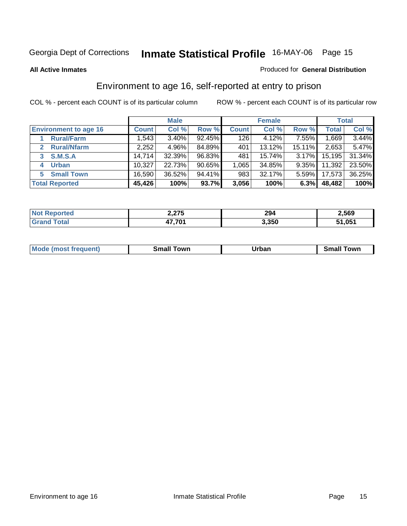### **All Active Inmates**

### Produced for **General Distribution**

# Environment to age 16, self-reported at entry to prison

|                              | <b>Male</b>  |          |           |              | <b>Female</b> |          |        | <b>Total</b> |  |
|------------------------------|--------------|----------|-----------|--------------|---------------|----------|--------|--------------|--|
| <b>Environment to age 16</b> | <b>Count</b> | Col %    | Row %     | <b>Count</b> | Col %         | Row %    | Total  | Col %        |  |
| <b>Rural/Farm</b>            | 1,543        | $3.40\%$ | 92.45%    | 126          | 4.12%         | $7.55\%$ | 1,669  | 3.44%        |  |
| <b>Rural/Nfarm</b>           | 2,252        | 4.96%    | 84.89%    | 401          | $13.12\%$     | 15.11%   | 2,653  | 5.47%        |  |
| <b>S.M.S.A</b>               | 14,714       | 32.39%   | 96.83%    | 481          | $15.74\%$     | 3.17%    | 15,195 | 31.34%       |  |
| <b>Urban</b><br>4            | 10,327       | 22.73%   | $90.65\%$ | 1,065        | 34.85%        | 9.35%    | 11,392 | 23.50%       |  |
| <b>Small Town</b><br>5       | 16,590       | 36.52%   | 94.41%    | 983          | 32.17%        | 5.59%    | 17,573 | 36.25%       |  |
| <b>Total Reported</b>        | 45,426       | 100%     | 93.7%     | 3,056        | 100%          | 6.3%     | 48,482 | 100%         |  |

| <b>Reported</b><br>' Not          | 2,275  | 294   | 2,569                   |
|-----------------------------------|--------|-------|-------------------------|
| <sup>-</sup> otal<br><b>Grang</b> | 47,701 | 3,350 | .05 <sup>4</sup><br>54. |

| Mode (most frequent) | ----<br>Town<br>\mall<br>_____ | Jrban<br>____ | Towr<br>small |
|----------------------|--------------------------------|---------------|---------------|
|                      |                                |               |               |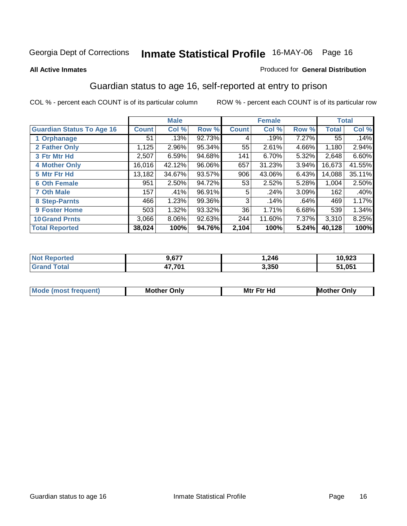### **All Active Inmates**

### Produced for **General Distribution**

# Guardian status to age 16, self-reported at entry to prison

|                                  | <b>Male</b>  |        |        |              | <b>Female</b> | <b>Total</b> |              |        |
|----------------------------------|--------------|--------|--------|--------------|---------------|--------------|--------------|--------|
| <b>Guardian Status To Age 16</b> | <b>Count</b> | Col %  | Row %  | <b>Count</b> | Col %         | Row %        | <b>Total</b> | Col %  |
| 1 Orphanage                      | 51           | .13%   | 92.73% | 4            | .19%          | 7.27%        | 55           | .14%   |
| 2 Father Only                    | 1,125        | 2.96%  | 95.34% | 55           | 2.61%         | 4.66%        | 1,180        | 2.94%  |
| 3 Ftr Mtr Hd                     | 2,507        | 6.59%  | 94.68% | 141          | 6.70%         | 5.32%        | 2,648        | 6.60%  |
| <b>4 Mother Only</b>             | 16,016       | 42.12% | 96.06% | 657          | 31.23%        | 3.94%        | 16,673       | 41.55% |
| 5 Mtr Ftr Hd                     | 13,182       | 34.67% | 93.57% | 906          | 43.06%        | 6.43%        | 14,088       | 35.11% |
| <b>6 Oth Female</b>              | 951          | 2.50%  | 94.72% | 53           | 2.52%         | 5.28%        | 1,004        | 2.50%  |
| <b>7 Oth Male</b>                | 157          | .41%   | 96.91% | 5            | .24%          | 3.09%        | 162          | .40%   |
| 8 Step-Parnts                    | 466          | 1.23%  | 99.36% | 3            | .14%          | .64%         | 469          | 1.17%  |
| <b>9 Foster Home</b>             | 503          | 1.32%  | 93.32% | 36           | 1.71%         | 6.68%        | 539          | 1.34%  |
| <b>10 Grand Prnts</b>            | 3,066        | 8.06%  | 92.63% | 244          | 11.60%        | 7.37%        | 3,310        | 8.25%  |
| <b>Total Reported</b>            | 38,024       | 100%   | 94.76% | 2,104        | 100%          | 5.24%        | 40,128       | 100%   |

| <b>Not Reported</b> | 9,677  | 1,246 | 10,923 |
|---------------------|--------|-------|--------|
| Total               | 17 70' | 3,350 | 51,051 |

| Mode             | Mother | Mtr Ftr Hd                                                                                                      | Only   |
|------------------|--------|-----------------------------------------------------------------------------------------------------------------|--------|
| most frequent) د | Only   | the contract of the contract of the contract of the contract of the contract of the contract of the contract of | Mother |
|                  |        |                                                                                                                 |        |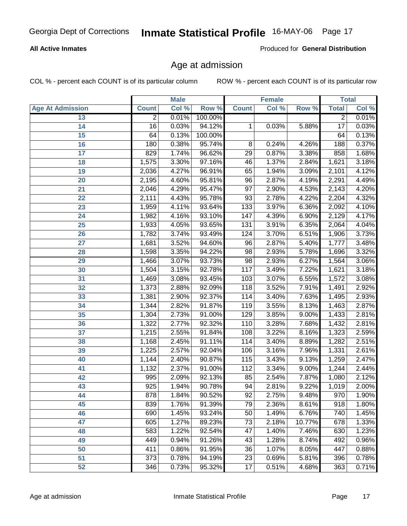### **All Active Inmates**

Produced for **General Distribution**

# Age at admission

|                         | <b>Male</b>      |       | <b>Female</b> |                  |       | <b>Total</b> |                  |       |
|-------------------------|------------------|-------|---------------|------------------|-------|--------------|------------------|-------|
| <b>Age At Admission</b> | <b>Count</b>     | Col % | Row %         | <b>Count</b>     | Col % | Row %        | <b>Total</b>     | Col % |
| 13                      | $\overline{2}$   | 0.01% | 100.00%       |                  |       |              | $\overline{2}$   | 0.01% |
| 14                      | 16               | 0.03% | 94.12%        | 1                | 0.03% | 5.88%        | $\overline{17}$  | 0.03% |
| 15                      | 64               | 0.13% | 100.00%       |                  |       |              | 64               | 0.13% |
| 16                      | 180              | 0.38% | 95.74%        | $\overline{8}$   | 0.24% | 4.26%        | 188              | 0.37% |
| $\overline{17}$         | 829              | 1.74% | 96.62%        | $\overline{29}$  | 0.87% | 3.38%        | 858              | 1.68% |
| 18                      | 1,575            | 3.30% | 97.16%        | 46               | 1.37% | 2.84%        | 1,621            | 3.18% |
| 19                      | 2,036            | 4.27% | 96.91%        | 65               | 1.94% | 3.09%        | 2,101            | 4.12% |
| $\overline{20}$         | 2,195            | 4.60% | 95.81%        | 96               | 2.87% | 4.19%        | 2,291            | 4.49% |
| $\overline{21}$         | 2,046            | 4.29% | 95.47%        | $\overline{97}$  | 2.90% | 4.53%        | 2,143            | 4.20% |
| 22                      | 2,111            | 4.43% | 95.78%        | $\overline{93}$  | 2.78% | 4.22%        | 2,204            | 4.32% |
| 23                      | 1,959            | 4.11% | 93.64%        | $\overline{133}$ | 3.97% | 6.36%        | 2,092            | 4.10% |
| $\overline{24}$         | 1,982            | 4.16% | 93.10%        | $\overline{147}$ | 4.39% | 6.90%        | 2,129            | 4.17% |
| $\overline{25}$         | 1,933            | 4.05% | 93.65%        | $\overline{131}$ | 3.91% | 6.35%        | 2,064            | 4.04% |
| $\overline{26}$         | 1,782            | 3.74% | 93.49%        | 124              | 3.70% | 6.51%        | 1,906            | 3.73% |
| 27                      | 1,681            | 3.52% | 94.60%        | 96               | 2.87% | 5.40%        | 1,777            | 3.48% |
| $\overline{28}$         | 1,598            | 3.35% | 94.22%        | 98               | 2.93% | 5.78%        | 1,696            | 3.32% |
| 29                      | 1,466            | 3.07% | 93.73%        | 98               | 2.93% | 6.27%        | 1,564            | 3.06% |
| 30                      | 1,504            | 3.15% | 92.78%        | 117              | 3.49% | 7.22%        | 1,621            | 3.18% |
| 31                      | 1,469            | 3.08% | 93.45%        | 103              | 3.07% | 6.55%        | 1,572            | 3.08% |
| 32                      | 1,373            | 2.88% | 92.09%        | 118              | 3.52% | 7.91%        | 1,491            | 2.92% |
| 33                      | 1,381            | 2.90% | 92.37%        | $\overline{114}$ | 3.40% | 7.63%        | 1,495            | 2.93% |
| 34                      | 1,344            | 2.82% | 91.87%        | 119              | 3.55% | 8.13%        | 1,463            | 2.87% |
| 35                      | 1,304            | 2.73% | 91.00%        | 129              | 3.85% | 9.00%        | 1,433            | 2.81% |
| 36                      | 1,322            | 2.77% | 92.32%        | 110              | 3.28% | 7.68%        | 1,432            | 2.81% |
| $\overline{37}$         | 1,215            | 2.55% | 91.84%        | 108              | 3.22% | 8.16%        | 1,323            | 2.59% |
| 38                      | 1,168            | 2.45% | 91.11%        | 114              | 3.40% | 8.89%        | 1,282            | 2.51% |
| 39                      | 1,225            | 2.57% | 92.04%        | 106              | 3.16% | 7.96%        | 1,331            | 2.61% |
| 40                      | 1,144            | 2.40% | 90.87%        | 115              | 3.43% | 9.13%        | 1,259            | 2.47% |
| 41                      | 1,132            | 2.37% | 91.00%        | $\overline{112}$ | 3.34% | 9.00%        | 1,244            | 2.44% |
| 42                      | 995              | 2.09% | 92.13%        | 85               | 2.54% | 7.87%        | 1,080            | 2.12% |
| 43                      | $\overline{925}$ | 1.94% | 90.78%        | 94               | 2.81% | 9.22%        | 1,019            | 2.00% |
| 44                      | 878              | 1.84% | 90.52%        | 92               | 2.75% | 9.48%        | 970              | 1.90% |
| 45                      | 839              | 1.76% | 91.39%        | $\overline{79}$  | 2.36% | 8.61%        | $\overline{918}$ | 1.80% |
| 46                      | 690              | 1.45% | 93.24%        | 50               | 1.49% | 6.76%        | 740              | 1.45% |
| 47                      | 605              | 1.27% | 89.23%        | 73               | 2.18% | 10.77%       | 678              | 1.33% |
| 48                      | 583              | 1.22% | 92.54%        | 47               | 1.40% | 7.46%        | 630              | 1.23% |
| 49                      | 449              | 0.94% | 91.26%        | 43               | 1.28% | 8.74%        | 492              | 0.96% |
| 50                      | 411              | 0.86% | 91.95%        | $\overline{36}$  | 1.07% | 8.05%        | 447              | 0.88% |
| 51                      | 373              | 0.78% | 94.19%        | 23               | 0.69% | 5.81%        | 396              | 0.78% |
| $\overline{52}$         | 346              | 0.73% | 95.32%        | 17               | 0.51% | 4.68%        | 363              | 0.71% |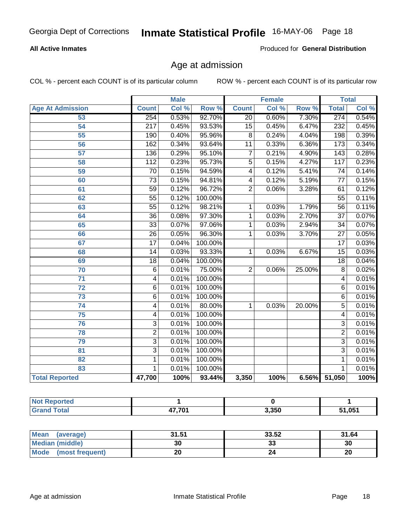### **All Active Inmates**

Produced for **General Distribution**

# Age at admission

|                         | <b>Male</b>      |       |         | <b>Female</b>           |       |        | <b>Total</b>    |       |
|-------------------------|------------------|-------|---------|-------------------------|-------|--------|-----------------|-------|
| <b>Age At Admission</b> | <b>Count</b>     | Col % | Row %   | <b>Count</b>            | Col % | Row %  | <b>Total</b>    | Col % |
| 53                      | 254              | 0.53% | 92.70%  | $\overline{20}$         | 0.60% | 7.30%  | 274             | 0.54% |
| 54                      | $\overline{217}$ | 0.45% | 93.53%  | $\overline{15}$         | 0.45% | 6.47%  | 232             | 0.45% |
| $\overline{55}$         | 190              | 0.40% | 95.96%  | $\overline{8}$          | 0.24% | 4.04%  | 198             | 0.39% |
| $\overline{56}$         | 162              | 0.34% | 93.64%  | $\overline{11}$         | 0.33% | 6.36%  | 173             | 0.34% |
| $\overline{57}$         | 136              | 0.29% | 95.10%  | $\overline{7}$          | 0.21% | 4.90%  | 143             | 0.28% |
| 58                      | $\overline{112}$ | 0.23% | 95.73%  | $\overline{5}$          | 0.15% | 4.27%  | 117             | 0.23% |
| 59                      | $\overline{70}$  | 0.15% | 94.59%  | $\overline{4}$          | 0.12% | 5.41%  | $\overline{74}$ | 0.14% |
| 60                      | $\overline{73}$  | 0.15% | 94.81%  | $\overline{\mathbf{4}}$ | 0.12% | 5.19%  | $\overline{77}$ | 0.15% |
| 61                      | $\overline{59}$  | 0.12% | 96.72%  | $\overline{2}$          | 0.06% | 3.28%  | 61              | 0.12% |
| 62                      | $\overline{55}$  | 0.12% | 100.00% |                         |       |        | $\overline{55}$ | 0.11% |
| 63                      | $\overline{55}$  | 0.12% | 98.21%  | 1                       | 0.03% | 1.79%  | $\overline{56}$ | 0.11% |
| 64                      | $\overline{36}$  | 0.08% | 97.30%  | 1                       | 0.03% | 2.70%  | $\overline{37}$ | 0.07% |
| 65                      | $\overline{33}$  | 0.07% | 97.06%  | 1                       | 0.03% | 2.94%  | 34              | 0.07% |
| 66                      | $\overline{26}$  | 0.05% | 96.30%  | 1                       | 0.03% | 3.70%  | $\overline{27}$ | 0.05% |
| 67                      | $\overline{17}$  | 0.04% | 100.00% |                         |       |        | $\overline{17}$ | 0.03% |
| 68                      | $\overline{14}$  | 0.03% | 93.33%  | 1                       | 0.03% | 6.67%  | $\overline{15}$ | 0.03% |
| 69                      | $\overline{18}$  | 0.04% | 100.00% |                         |       |        | $\overline{18}$ | 0.04% |
| $\overline{70}$         | $\overline{6}$   | 0.01% | 75.00%  | $\overline{2}$          | 0.06% | 25.00% | $\overline{8}$  | 0.02% |
| 71                      | 4                | 0.01% | 100.00% |                         |       |        | 4               | 0.01% |
| 72                      | $\overline{6}$   | 0.01% | 100.00% |                         |       |        | 6               | 0.01% |
| $\overline{73}$         | $\overline{6}$   | 0.01% | 100.00% |                         |       |        | $\overline{6}$  | 0.01% |
| $\overline{74}$         | $\overline{4}$   | 0.01% | 80.00%  | 1                       | 0.03% | 20.00% | $\overline{5}$  | 0.01% |
| $\overline{75}$         | 4                | 0.01% | 100.00% |                         |       |        | 4               | 0.01% |
| 76                      | $\overline{3}$   | 0.01% | 100.00% |                         |       |        | $\overline{3}$  | 0.01% |
| 78                      | $\overline{2}$   | 0.01% | 100.00% |                         |       |        | $\overline{2}$  | 0.01% |
| 79                      | $\overline{3}$   | 0.01% | 100.00% |                         |       |        | $\overline{3}$  | 0.01% |
| $\overline{81}$         | $\overline{3}$   | 0.01% | 100.00% |                         |       |        | $\overline{3}$  | 0.01% |
| 82                      | $\overline{1}$   | 0.01% | 100.00% |                         |       |        | 1               | 0.01% |
| 83                      | 1                | 0.01% | 100.00% |                         |       |        | 1               | 0.01% |
| <b>Total Reported</b>   | 47,700           | 100%  | 93.44%  | 3,350                   | 100%  |        | 6.56% 51,050    | 100%  |

| <b>Not</b><br><b>Reported</b> |              |       |        |
|-------------------------------|--------------|-------|--------|
| Total                         | ィフ フハイ<br>т, | 3,350 | 51,051 |

| Mean (average)       | 31.51 | 33.52 | 31.64 |
|----------------------|-------|-------|-------|
| Median (middle)      | 30    | 33    | 30    |
| Mode (most frequent) | 20    |       | 20    |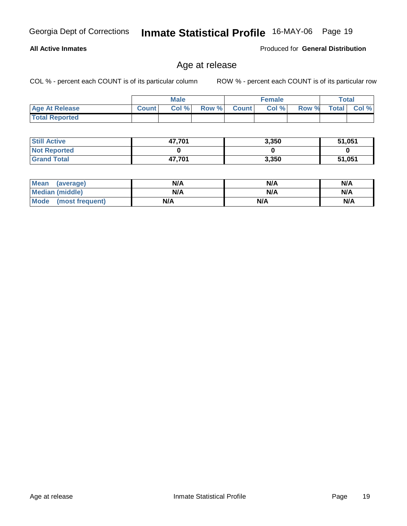**All Active Inmates**

Georgia Dept of Corrections **Inmate Statistical Profile** 16-MAY-06 Page 19

### Produced for **General Distribution**

# Age at release

|                       | <b>Male</b>  |       |       | <b>Female</b> |      |       | <b>Total</b> |             |
|-----------------------|--------------|-------|-------|---------------|------|-------|--------------|-------------|
| <b>Age At Release</b> | <b>Count</b> | Col % | Row % | <b>Count</b>  | Col% | Row % |              | Total Col % |
| <b>Total Reported</b> |              |       |       |               |      |       |              |             |

| <b>Still Active</b> | 47,701 | 3,350 | 51,051 |
|---------------------|--------|-------|--------|
| <b>Not Reported</b> |        |       |        |
| <b>Grand Total</b>  | 47,701 | 3,350 | 51,051 |

| Mean<br>(average)    | N/A | N/A | N/A |
|----------------------|-----|-----|-----|
| Median (middle)      | N/A | N/A | N/A |
| Mode (most frequent) | N/A | N/A | N/A |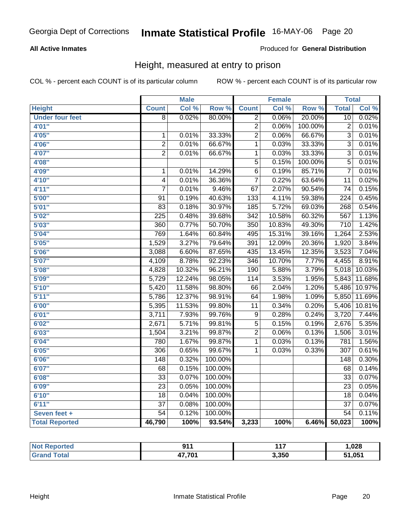### **All Active Inmates**

### Produced for **General Distribution**

# Height, measured at entry to prison

|                        |                  | <b>Male</b> |         |                  | <b>Female</b> |         | <b>Total</b>     |        |
|------------------------|------------------|-------------|---------|------------------|---------------|---------|------------------|--------|
| <b>Height</b>          | <b>Count</b>     | Col %       | Row %   | <b>Count</b>     | Col %         | Row %   | <b>Total</b>     | Col %  |
| <b>Under four feet</b> | $\overline{8}$   | 0.02%       | 80.00%  | $\overline{2}$   | 0.06%         | 20.00%  | $\overline{10}$  | 0.02%  |
| 4'01"                  |                  |             |         | $\overline{2}$   | 0.06%         | 100.00% | $\overline{2}$   | 0.01%  |
| 4'05"                  | $\mathbf 1$      | 0.01%       | 33.33%  | $\overline{2}$   | 0.06%         | 66.67%  | $\overline{3}$   | 0.01%  |
| 4'06"                  | $\overline{2}$   | 0.01%       | 66.67%  | $\overline{1}$   | 0.03%         | 33.33%  | $\overline{3}$   | 0.01%  |
| 4'07"                  | $\overline{2}$   | 0.01%       | 66.67%  | 1                | 0.03%         | 33.33%  | $\overline{3}$   | 0.01%  |
| 4'08"                  |                  |             |         | $\overline{5}$   | 0.15%         | 100.00% | $\overline{5}$   | 0.01%  |
| 4'09"                  | $\overline{1}$   | 0.01%       | 14.29%  | $\overline{6}$   | 0.19%         | 85.71%  | $\overline{7}$   | 0.01%  |
| 4'10"                  | $\overline{4}$   | 0.01%       | 36.36%  | $\overline{7}$   | 0.22%         | 63.64%  | $\overline{11}$  | 0.02%  |
| 4'11''                 | 7                | 0.01%       | 9.46%   | 67               | 2.07%         | 90.54%  | $\overline{74}$  | 0.15%  |
| 5'00''                 | $\overline{91}$  | 0.19%       | 40.63%  | 133              | 4.11%         | 59.38%  | $\overline{224}$ | 0.45%  |
| 5'01''                 | $\overline{83}$  | 0.18%       | 30.97%  | $\overline{185}$ | 5.72%         | 69.03%  | 268              | 0.54%  |
| 5'02''                 | $\overline{225}$ | 0.48%       | 39.68%  | $\overline{342}$ | 10.58%        | 60.32%  | 567              | 1.13%  |
| 5'03''                 | 360              | 0.77%       | 50.70%  | 350              | 10.83%        | 49.30%  | $\overline{710}$ | 1.42%  |
| 5'04"                  | 769              | 1.64%       | 60.84%  | 495              | 15.31%        | 39.16%  | 1,264            | 2.53%  |
| 5'05"                  | 1,529            | 3.27%       | 79.64%  | 391              | 12.09%        | 20.36%  | 1,920            | 3.84%  |
| 5'06''                 | 3,088            | 6.60%       | 87.65%  | 435              | 13.45%        | 12.35%  | 3,523            | 7.04%  |
| 5'07''                 | 4,109            | 8.78%       | 92.23%  | 346              | 10.70%        | 7.77%   | 4,455            | 8.91%  |
| 5'08''                 | 4,828            | 10.32%      | 96.21%  | 190              | 5.88%         | 3.79%   | 5,018            | 10.03% |
| 5'09''                 | 5,729            | 12.24%      | 98.05%  | 114              | 3.53%         | 1.95%   | 5,843            | 11.68% |
| 5'10''                 | 5,420            | 11.58%      | 98.80%  | $\overline{66}$  | 2.04%         | 1.20%   | 5,486            | 10.97% |
| 5'11''                 | 5,786            | 12.37%      | 98.91%  | 64               | 1.98%         | 1.09%   | 5,850            | 11.69% |
| 6'00''                 | 5,395            | 11.53%      | 99.80%  | 11               | 0.34%         | 0.20%   | 5,406            | 10.81% |
| 6'01''                 | 3,711            | 7.93%       | 99.76%  | 9                | 0.28%         | 0.24%   | 3,720            | 7.44%  |
| 6'02''                 | 2,671            | 5.71%       | 99.81%  | $\overline{5}$   | 0.15%         | 0.19%   | 2,676            | 5.35%  |
| 6'03''                 | 1,504            | 3.21%       | 99.87%  | $\overline{2}$   | 0.06%         | 0.13%   | 1,506            | 3.01%  |
| 6'04''                 | 780              | 1.67%       | 99.87%  | 1                | 0.03%         | 0.13%   | $\overline{781}$ | 1.56%  |
| 6'05''                 | $\overline{306}$ | 0.65%       | 99.67%  | 1                | 0.03%         | 0.33%   | $\overline{307}$ | 0.61%  |
| 6'06''                 | $\overline{148}$ | 0.32%       | 100.00% |                  |               |         | $\overline{148}$ | 0.30%  |
| 6'07''                 | 68               | 0.15%       | 100.00% |                  |               |         | 68               | 0.14%  |
| 6'08''                 | $\overline{33}$  | 0.07%       | 100.00% |                  |               |         | $\overline{33}$  | 0.07%  |
| 6'09''                 | $\overline{23}$  | 0.05%       | 100.00% |                  |               |         | $\overline{23}$  | 0.05%  |
| 6'10''                 | $\overline{18}$  | 0.04%       | 100.00% |                  |               |         | $\overline{18}$  | 0.04%  |
| 6'11''                 | $\overline{37}$  | 0.08%       | 100.00% |                  |               |         | $\overline{37}$  | 0.07%  |
| Seven feet +           | $\overline{54}$  | 0.12%       | 100.00% |                  |               |         | $\overline{54}$  | 0.11%  |
| <b>Total Reported</b>  | 46,790           | 100%        | 93.54%  | 3,233            | 100%          | 6.46%   | 50,023           | 100%   |

| Not F<br><b>Reported</b>  | $\alpha$ 14<br>. . | 447   | ,028               |
|---------------------------|--------------------|-------|--------------------|
| Tota <sub>i</sub><br>Grar | 17,701             | 3,350 | 51.05 <sup>4</sup> |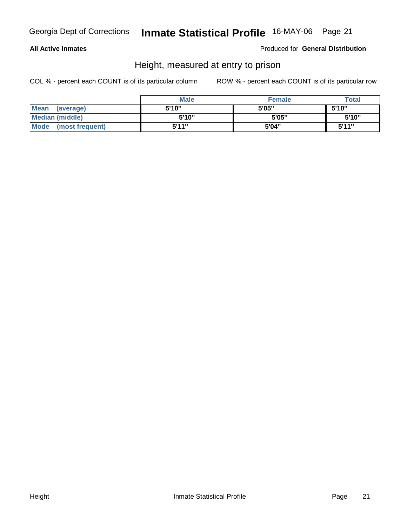### **All Active Inmates**

Produced for **General Distribution**

# Height, measured at entry to prison

|                      | <b>Male</b> | <b>Female</b> | <b>Total</b> |
|----------------------|-------------|---------------|--------------|
| Mean (average)       | 5'10"       | 5'05"         | 5'10"        |
| Median (middle)      | 5'10"       | 5'05"         | 5'10''       |
| Mode (most frequent) | 5'11"       | 5'04"         | 5'11"        |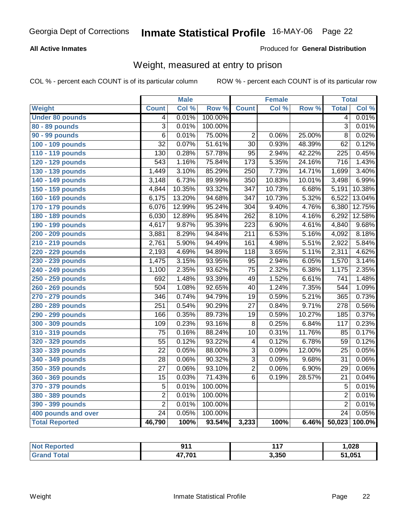### **All Active Inmates**

### Produced for **General Distribution**

# Weight, measured at entry to prison

|                        |                  | <b>Male</b> |                  |                  | <b>Female</b> |        | <b>Total</b>     |        |
|------------------------|------------------|-------------|------------------|------------------|---------------|--------|------------------|--------|
| Weight                 | <b>Count</b>     | Col %       | Row <sup>%</sup> | <b>Count</b>     | Col %         | Row %  | <b>Total</b>     | Col %  |
| <b>Under 80 pounds</b> | 4                | 0.01%       | 100.00%          |                  |               |        | 4                | 0.01%  |
| 80 - 89 pounds         | $\overline{3}$   | 0.01%       | 100.00%          |                  |               |        | $\overline{3}$   | 0.01%  |
| <b>90 - 99 pounds</b>  | $\overline{6}$   | 0.01%       | 75.00%           | $\overline{2}$   | 0.06%         | 25.00% | $\overline{8}$   | 0.02%  |
| 100 - 109 pounds       | $\overline{32}$  | 0.07%       | 51.61%           | $\overline{30}$  | 0.93%         | 48.39% | $\overline{62}$  | 0.12%  |
| 110 - 119 pounds       | 130              | 0.28%       | 57.78%           | $\overline{95}$  | 2.94%         | 42.22% | 225              | 0.45%  |
| 120 - 129 pounds       | $\overline{543}$ | 1.16%       | 75.84%           | 173              | 5.35%         | 24.16% | $\overline{716}$ | 1.43%  |
| 130 - 139 pounds       | 1,449            | 3.10%       | 85.29%           | $\overline{250}$ | 7.73%         | 14.71% | 1,699            | 3.40%  |
| 140 - 149 pounds       | 3,148            | 6.73%       | 89.99%           | $\overline{350}$ | 10.83%        | 10.01% | 3,498            | 6.99%  |
| 150 - 159 pounds       | 4,844            | 10.35%      | 93.32%           | $\overline{347}$ | 10.73%        | 6.68%  | 5,191            | 10.38% |
| 160 - 169 pounds       | 6,175            | 13.20%      | 94.68%           | 347              | 10.73%        | 5.32%  | 6,522            | 13.04% |
| 170 - 179 pounds       | 6,076            | 12.99%      | 95.24%           | $\overline{304}$ | 9.40%         | 4.76%  | 6,380            | 12.75% |
| 180 - 189 pounds       | 6,030            | 12.89%      | 95.84%           | 262              | 8.10%         | 4.16%  | 6,292            | 12.58% |
| 190 - 199 pounds       | 4,617            | 9.87%       | 95.39%           | $\overline{223}$ | 6.90%         | 4.61%  | 4,840            | 9.68%  |
| 200 - 209 pounds       | 3,881            | 8.29%       | 94.84%           | $\overline{211}$ | 6.53%         | 5.16%  | 4,092            | 8.18%  |
| 210 - 219 pounds       | 2,761            | 5.90%       | 94.49%           | 161              | 4.98%         | 5.51%  | 2,922            | 5.84%  |
| 220 - 229 pounds       | 2,193            | 4.69%       | 94.89%           | 118              | 3.65%         | 5.11%  | 2,311            | 4.62%  |
| 230 - 239 pounds       | 1,475            | 3.15%       | 93.95%           | $\overline{95}$  | 2.94%         | 6.05%  | 1,570            | 3.14%  |
| 240 - 249 pounds       | 1,100            | 2.35%       | 93.62%           | $\overline{75}$  | 2.32%         | 6.38%  | 1,175            | 2.35%  |
| 250 - 259 pounds       | 692              | 1.48%       | 93.39%           | 49               | 1.52%         | 6.61%  | 741              | 1.48%  |
| 260 - 269 pounds       | 504              | 1.08%       | 92.65%           | 40               | 1.24%         | 7.35%  | 544              | 1.09%  |
| 270 - 279 pounds       | 346              | 0.74%       | 94.79%           | $\overline{19}$  | 0.59%         | 5.21%  | 365              | 0.73%  |
| 280 - 289 pounds       | 251              | 0.54%       | 90.29%           | $\overline{27}$  | 0.84%         | 9.71%  | $\overline{278}$ | 0.56%  |
| 290 - 299 pounds       | 166              | 0.35%       | 89.73%           | $\overline{19}$  | 0.59%         | 10.27% | 185              | 0.37%  |
| 300 - 309 pounds       | 109              | 0.23%       | 93.16%           | 8                | 0.25%         | 6.84%  | $\overline{117}$ | 0.23%  |
| 310 - 319 pounds       | $\overline{75}$  | 0.16%       | 88.24%           | $\overline{10}$  | 0.31%         | 11.76% | 85               | 0.17%  |
| 320 - 329 pounds       | $\overline{55}$  | 0.12%       | 93.22%           | 4                | 0.12%         | 6.78%  | 59               | 0.12%  |
| 330 - 339 pounds       | $\overline{22}$  | 0.05%       | 88.00%           | $\overline{3}$   | 0.09%         | 12.00% | $\overline{25}$  | 0.05%  |
| 340 - 349 pounds       | $\overline{28}$  | 0.06%       | 90.32%           | $\overline{3}$   | 0.09%         | 9.68%  | $\overline{31}$  | 0.06%  |
| 350 - 359 pounds       | $\overline{27}$  | 0.06%       | 93.10%           | $\overline{2}$   | 0.06%         | 6.90%  | $\overline{29}$  | 0.06%  |
| 360 - 369 pounds       | 15               | 0.03%       | 71.43%           | $\overline{6}$   | 0.19%         | 28.57% | 21               | 0.04%  |
| 370 - 379 pounds       | $\overline{5}$   | 0.01%       | 100.00%          |                  |               |        | 5                | 0.01%  |
| 380 - 389 pounds       | $\overline{2}$   | 0.01%       | 100.00%          |                  |               |        | $\overline{2}$   | 0.01%  |
| 390 - 399 pounds       | $\overline{2}$   | 0.01%       | 100.00%          |                  |               |        | $\overline{2}$   | 0.01%  |
| 400 pounds and over    | $\overline{24}$  | 0.05%       | 100.00%          |                  |               |        | $\overline{24}$  | 0.05%  |
| <b>Total Reported</b>  | 46,790           | 100%        | 93.54%           | 3,233            | 100%          | 6.46%  | 50,023           | 100.0% |

| <b>Not Reported</b> | <b>044</b> | $44-$ | 028, ا |
|---------------------|------------|-------|--------|
| $T0$ to<br>Grar     | 47,701     | 3,350 | 51,051 |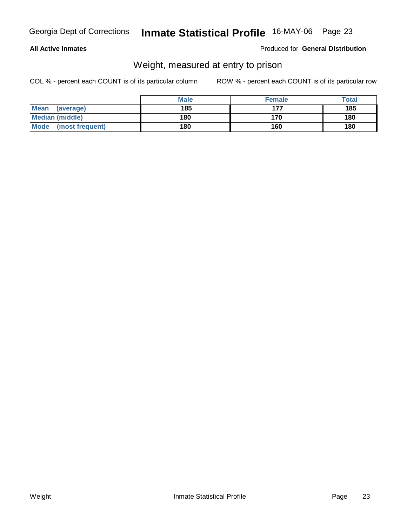### **All Active Inmates**

### Produced for **General Distribution**

# Weight, measured at entry to prison

|                      | <b>Male</b> | <b>Female</b> | <b>Total</b> |
|----------------------|-------------|---------------|--------------|
| Mean<br>(average)    | 185         | 177           | 185          |
| Median (middle)      | 180         | 170           | 180          |
| Mode (most frequent) | 180         | 160           | 180          |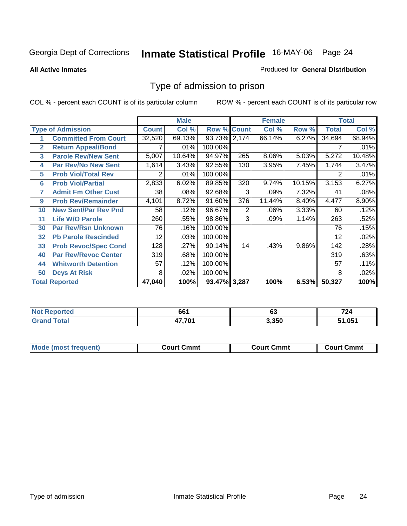**All Active Inmates**

### Produced for **General Distribution**

# Type of admission to prison

|                |                             |              | <b>Male</b> |                       |     | <b>Female</b> |        |              | <b>Total</b> |
|----------------|-----------------------------|--------------|-------------|-----------------------|-----|---------------|--------|--------------|--------------|
|                | <b>Type of Admission</b>    | <b>Count</b> | Col %       | <b>Row % Count</b>    |     | Col %         | Row %  | <b>Total</b> | Col %        |
|                | <b>Committed From Court</b> | 32,520       | 69.13%      | 93.73% 2,174          |     | 66.14%        | 6.27%  | 34,694       | 68.94%       |
| $\overline{2}$ | <b>Return Appeal/Bond</b>   |              | .01%        | 100.00%               |     |               |        |              | .01%         |
| 3              | <b>Parole Rev/New Sent</b>  | 5,007        | 10.64%      | 94.97%                | 265 | 8.06%         | 5.03%  | 5,272        | 10.48%       |
| 4              | <b>Par Rev/No New Sent</b>  | 1,614        | 3.43%       | 92.55%                | 130 | 3.95%         | 7.45%  | 1,744        | 3.47%        |
| 5              | <b>Prob Viol/Total Rev</b>  | 2            | .01%        | $\overline{100.00\%}$ |     |               |        | 2            | .01%         |
| 6              | <b>Prob Viol/Partial</b>    | 2,833        | 6.02%       | 89.85%                | 320 | 9.74%         | 10.15% | 3,153        | 6.27%        |
| 7              | <b>Admit Fm Other Cust</b>  | 38           | .08%        | 92.68%                | 3   | .09%          | 7.32%  | 41           | .08%         |
| 9              | <b>Prob Rev/Remainder</b>   | 4,101        | 8.72%       | 91.60%                | 376 | 11.44%        | 8.40%  | 4,477        | 8.90%        |
| 10             | <b>New Sent/Par Rev Pnd</b> | 58           | .12%        | 96.67%                | 2   | .06%          | 3.33%  | 60           | .12%         |
| 11             | <b>Life W/O Parole</b>      | 260          | .55%        | 98.86%                | 3   | .09%          | 1.14%  | 263          | .52%         |
| 30             | <b>Par Rev/Rsn Unknown</b>  | 76           | .16%        | 100.00%               |     |               |        | 76           | .15%         |
| 32             | <b>Pb Parole Rescinded</b>  | 12           | .03%        | 100.00%               |     |               |        | 12           | .02%         |
| 33             | <b>Prob Revoc/Spec Cond</b> | 128          | .27%        | 90.14%                | 14  | .43%          | 9.86%  | 142          | .28%         |
| 40             | <b>Par Rev/Revoc Center</b> | 319          | .68%        | 100.00%               |     |               |        | 319          | .63%         |
| 44             | <b>Whitworth Detention</b>  | 57           | .12%        | 100.00%               |     |               |        | 57           | .11%         |
| 50             | <b>Dcys At Risk</b>         | 8            | .02%        | 100.00%               |     |               |        | 8            | .02%         |
|                | <b>Total Reported</b>       | 47,040       | 100%        | 93.47% 3.287          |     | 100%          | 6.53%  | 50,327       | 100%         |

| NO:     | 661 | ~~    | 724  |
|---------|-----|-------|------|
| eported |     | v.    | 1 Z4 |
| _____   | 70. | 3,350 | .051 |

| Mode<br>Cmmt<br>Cmmt<br>∴∩urt<br>frequent)<br>วmmt<br>Court<br>יזווח: |  |  |
|-----------------------------------------------------------------------|--|--|
|                                                                       |  |  |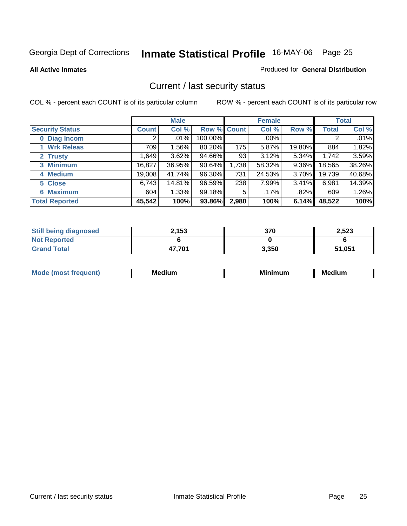**All Active Inmates**

### Produced for **General Distribution**

# Current / last security status

|                        |              | <b>Male</b> |             |       | <b>Female</b> |          |              | <b>Total</b> |
|------------------------|--------------|-------------|-------------|-------|---------------|----------|--------------|--------------|
| <b>Security Status</b> | <b>Count</b> | Col %       | Row % Count |       | Col %         | Row %    | <b>Total</b> | Col %        |
| 0 Diag Incom           | 2            | $.01\%$     | 100.00%     |       | .00%          |          | 2            | .01%         |
| <b>Wrk Releas</b>      | 709          | 1.56%       | 80.20%      | 175   | 5.87%         | 19.80%   | 884          | 1.82%        |
| 2 Trusty               | 1,649        | 3.62%       | 94.66%      | 93    | 3.12%         | 5.34%    | 1,742        | 3.59%        |
| 3 Minimum              | 16,827       | 36.95%      | 90.64%      | 1,738 | 58.32%        | $9.36\%$ | 18,565       | 38.26%       |
| 4 Medium               | 19,008       | 41.74%      | 96.30%      | 731   | 24.53%        | $3.70\%$ | 19,739       | 40.68%       |
| 5 Close                | 6,743        | 14.81%      | 96.59%      | 238   | 7.99%         | 3.41%    | 6,981        | 14.39%       |
| <b>6 Maximum</b>       | 604          | 1.33%       | 99.18%      | 5     | .17%          | .82%     | 609          | 1.26%        |
| <b>Total Reported</b>  | 45,542       | 100%        | 93.86%      | 2,980 | 100%          | 6.14%    | 48,522       | 100%         |

| <b>Still being diagnosed</b> | 2.153  | 370   | 2,523  |
|------------------------------|--------|-------|--------|
| <b>Not Reported</b>          |        |       |        |
| <b>Grand Total</b>           | 47,701 | 3,350 | 51,051 |

| M<br>--- | $\blacksquare$<br>. .<br>dium<br>М6 | Mi<br>.<br>iliulli | - -<br>ıum<br>MQ. |
|----------|-------------------------------------|--------------------|-------------------|
|          |                                     |                    |                   |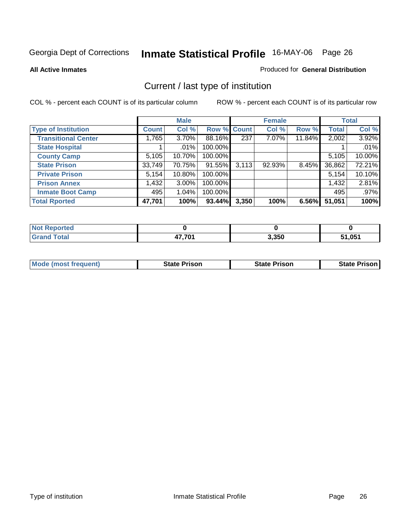**All Active Inmates**

### Produced for **General Distribution**

# Current / last type of institution

|                            |              | <b>Male</b> |         |             | <b>Female</b> |        |              | <b>Total</b> |
|----------------------------|--------------|-------------|---------|-------------|---------------|--------|--------------|--------------|
| <b>Type of Institution</b> | <b>Count</b> | Col %       |         | Row % Count | Col %         | Row %  | <b>Total</b> | Col %        |
| <b>Transitional Center</b> | 1.765        | $3.70\%$    | 88.16%  | 237         | $7.07\%$      | 11.84% | 2,002        | 3.92%        |
| <b>State Hospital</b>      |              | $.01\%$     | 100.00% |             |               |        |              | .01%         |
| <b>County Camp</b>         | 5,105        | 10.70%      | 100.00% |             |               |        | 5,105        | 10.00%       |
| <b>State Prison</b>        | 33,749       | 70.75%      | 91.55%  | 3,113       | $92.93\%$     | 8.45%  | 36,862       | 72.21%       |
| <b>Private Prison</b>      | 5,154        | $10.80\%$   | 100.00% |             |               |        | 5,154        | 10.10%       |
| <b>Prison Annex</b>        | 1,432        | $3.00\%$    | 100.00% |             |               |        | 1,432        | 2.81%        |
| <b>Inmate Boot Camp</b>    | 495          | 1.04%       | 100.00% |             |               |        | 495          | .97%         |
| <b>Total Rported</b>       | 47,701       | 100%        | 93.44%  | 3,350       | 100%          | 6.56%  | 51,051       | 100%         |

| orted |               |       |        |
|-------|---------------|-------|--------|
| `otal | ニフ ラヘイ<br>. . | 3,350 | 51.051 |

| <b>Mode (most frequent)</b> | <b>State Prison</b> | <b>State Prison</b> | State Prison |
|-----------------------------|---------------------|---------------------|--------------|
|                             |                     |                     |              |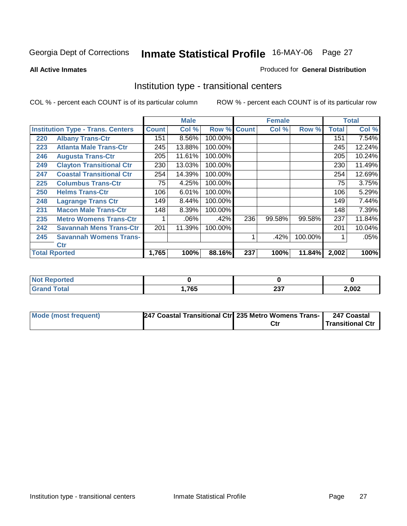### **All Active Inmates**

### Produced for **General Distribution**

# Institution type - transitional centers

|     |                                          | <b>Male</b>  |         | <b>Female</b> |     |        | <b>Total</b> |              |        |
|-----|------------------------------------------|--------------|---------|---------------|-----|--------|--------------|--------------|--------|
|     | <b>Institution Type - Trans. Centers</b> | <b>Count</b> | Col %   | Row % Count   |     | Col %  | Row %        | <b>Total</b> | Col %  |
| 220 | <b>Albany Trans-Ctr</b>                  | 151          | 8.56%   | 100.00%       |     |        |              | 151          | 7.54%  |
| 223 | <b>Atlanta Male Trans-Ctr</b>            | 245          | 13.88%  | 100.00%       |     |        |              | 245          | 12.24% |
| 246 | <b>Augusta Trans-Ctr</b>                 | 205          | 11.61%  | 100.00%       |     |        |              | 205          | 10.24% |
| 249 | <b>Clayton Transitional Ctr</b>          | 230          | 13.03%  | 100.00%       |     |        |              | 230          | 11.49% |
| 247 | <b>Coastal Transitional Ctr</b>          | 254          | 14.39%  | 100.00%       |     |        |              | 254          | 12.69% |
| 225 | <b>Columbus Trans-Ctr</b>                | 75           | 4.25%   | 100.00%       |     |        |              | 75           | 3.75%  |
| 250 | <b>Helms Trans-Ctr</b>                   | 106          | 6.01%   | 100.00%       |     |        |              | 106          | 5.29%  |
| 248 | <b>Lagrange Trans Ctr</b>                | 149          | 8.44%   | 100.00%       |     |        |              | 149          | 7.44%  |
| 231 | <b>Macon Male Trans-Ctr</b>              | 148          | 8.39%   | 100.00%       |     |        |              | 148          | 7.39%  |
| 235 | <b>Metro Womens Trans-Ctr</b>            | 1            | $.06\%$ | .42%          | 236 | 99.58% | 99.58%       | 237          | 11.84% |
| 242 | <b>Savannah Mens Trans-Ctr</b>           | 201          | 11.39%  | 100.00%       |     |        |              | 201          | 10.04% |
| 245 | <b>Savannah Womens Trans-</b>            |              |         |               | 1   | .42%   | 100.00%      |              | .05%   |
|     | <b>Ctr</b>                               |              |         |               |     |        |              |              |        |
|     | <b>Total Rported</b>                     | 1,765        | 100%    | 88.16%        | 237 | 100%   | 11.84%       | 2,002        | 100%   |

| orted           |      |                |       |
|-----------------|------|----------------|-------|
| 'otal<br>------ | .765 | $\sim$<br>2J I | 2,002 |

| Mode (most frequent) | 247 Coastal Transitional Ctr 235 Metro Womens Trans- |     | 247 Coastal             |
|----------------------|------------------------------------------------------|-----|-------------------------|
|                      |                                                      | Ctr | <b>Transitional Ctr</b> |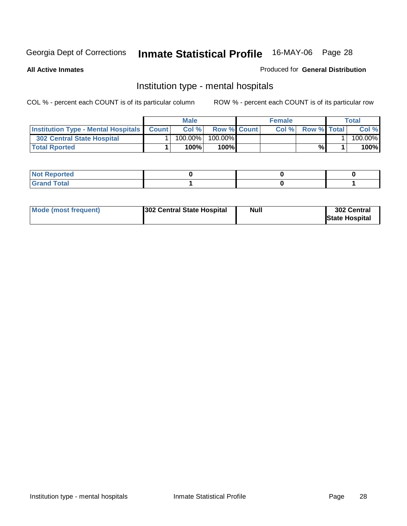**All Active Inmates**

### Produced for **General Distribution**

# Institution type - mental hospitals

|                                                      | Male |            |                    | <b>Female</b> |      |                    | $\tau$ otal |         |
|------------------------------------------------------|------|------------|--------------------|---------------|------|--------------------|-------------|---------|
| <b>Institution Type - Mental Hospitals   Count  </b> |      | Col %      | <b>Row % Count</b> |               | Col% | <b>Row % Total</b> |             | Col %   |
| 302 Central State Hospital                           |      | $100.00\%$ | $100.00\%$         |               |      |                    |             | 100.00% |
| <b>Total Rported</b>                                 |      | 100%       | $100\%$            |               |      | %                  |             | 100%    |

| $\mathsf{I}$ Not Reported |  |  |
|---------------------------|--|--|
| $int^{\bullet}$<br>____   |  |  |

| Mode (most frequent) | <b>Null</b><br>302 Central State Hospital | 302 Central<br><b>State Hospital</b> |
|----------------------|-------------------------------------------|--------------------------------------|
|----------------------|-------------------------------------------|--------------------------------------|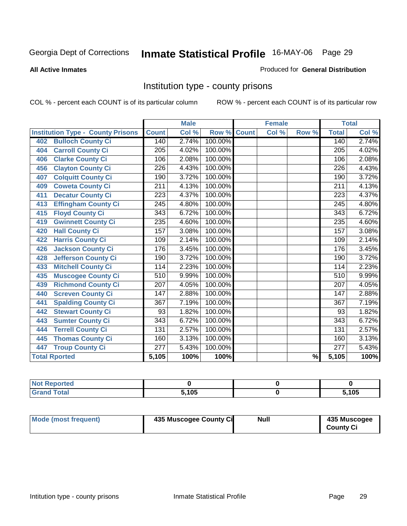### **All Active Inmates**

### Produced for **General Distribution**

# Institution type - county prisons

|                                          | <b>Male</b>      |       | <b>Female</b> |              |       | <b>Total</b>             |                  |       |
|------------------------------------------|------------------|-------|---------------|--------------|-------|--------------------------|------------------|-------|
| <b>Institution Type - County Prisons</b> | <b>Count</b>     | Col % | Row %         | <b>Count</b> | Col % | Row %                    | <b>Total</b>     | Col % |
| <b>Bulloch County Ci</b><br>402          | 140              | 2.74% | 100.00%       |              |       |                          | 140              | 2.74% |
| <b>Carroll County Ci</b><br>404          | $\overline{205}$ | 4.02% | 100.00%       |              |       |                          | $\overline{205}$ | 4.02% |
| <b>Clarke County Ci</b><br>406           | 106              | 2.08% | 100.00%       |              |       |                          | 106              | 2.08% |
| <b>Clayton County Ci</b><br>456          | 226              | 4.43% | 100.00%       |              |       |                          | 226              | 4.43% |
| <b>Colquitt County Ci</b><br>407         | 190              | 3.72% | 100.00%       |              |       |                          | 190              | 3.72% |
| <b>Coweta County Ci</b><br>409           | 211              | 4.13% | 100.00%       |              |       |                          | $\overline{211}$ | 4.13% |
| <b>Decatur County Ci</b><br>411          | 223              | 4.37% | 100.00%       |              |       |                          | 223              | 4.37% |
| <b>Effingham County Ci</b><br>413        | 245              | 4.80% | 100.00%       |              |       |                          | 245              | 4.80% |
| <b>Floyd County Ci</b><br>415            | $\overline{343}$ | 6.72% | 100.00%       |              |       |                          | $\overline{343}$ | 6.72% |
| <b>Gwinnett County Ci</b><br>419         | 235              | 4.60% | 100.00%       |              |       |                          | 235              | 4.60% |
| <b>Hall County Ci</b><br>420             | 157              | 3.08% | 100.00%       |              |       |                          | 157              | 3.08% |
| <b>Harris County Ci</b><br>422           | 109              | 2.14% | 100.00%       |              |       |                          | 109              | 2.14% |
| <b>Jackson County Ci</b><br>426          | 176              | 3.45% | 100.00%       |              |       |                          | 176              | 3.45% |
| <b>Jefferson County Ci</b><br>428        | 190              | 3.72% | 100.00%       |              |       |                          | 190              | 3.72% |
| <b>Mitchell County Ci</b><br>433         | 114              | 2.23% | 100.00%       |              |       |                          | 114              | 2.23% |
| <b>Muscogee County Ci</b><br>435         | 510              | 9.99% | 100.00%       |              |       |                          | $\overline{510}$ | 9.99% |
| <b>Richmond County Ci</b><br>439         | 207              | 4.05% | 100.00%       |              |       |                          | 207              | 4.05% |
| <b>Screven County Ci</b><br>440          | 147              | 2.88% | 100.00%       |              |       |                          | 147              | 2.88% |
| <b>Spalding County Ci</b><br>441         | 367              | 7.19% | 100.00%       |              |       |                          | 367              | 7.19% |
| <b>Stewart County Ci</b><br>442          | 93               | 1.82% | 100.00%       |              |       |                          | 93               | 1.82% |
| <b>Sumter County Ci</b><br>443           | $\overline{343}$ | 6.72% | 100.00%       |              |       |                          | $\overline{343}$ | 6.72% |
| <b>Terrell County Ci</b><br>444          | 131              | 2.57% | 100.00%       |              |       |                          | 131              | 2.57% |
| <b>Thomas County Ci</b><br>445           | 160              | 3.13% | 100.00%       |              |       |                          | 160              | 3.13% |
| <b>Troup County Ci</b><br>447            | $\overline{277}$ | 5.43% | 100.00%       |              |       |                          | $\overline{277}$ | 5.43% |
| <b>Total Rported</b>                     | 5,105            | 100%  | 100%          |              |       | $\overline{\frac{9}{6}}$ | 5,105            | 100%  |

| τeα    |      |            |
|--------|------|------------|
| ______ | .105 | 5105<br>טי |

| Mode (most frequent) | 435 Muscogee County Ci | Null | 435 Muscogee     |
|----------------------|------------------------|------|------------------|
|                      |                        |      | <b>County Ci</b> |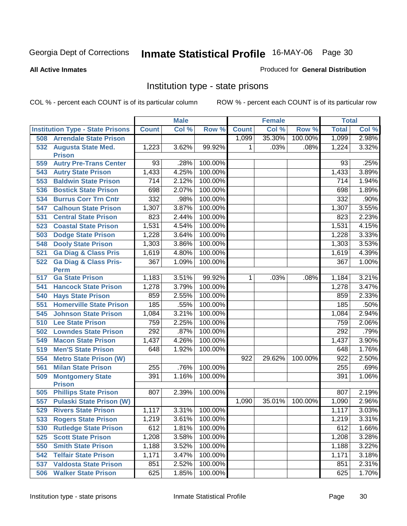### **All Active Inmates**

### Produced for **General Distribution**

# Institution type - state prisons

|     |                                                 |              | <b>Male</b>         |         |              | <b>Female</b> |         | <b>Total</b>     |       |
|-----|-------------------------------------------------|--------------|---------------------|---------|--------------|---------------|---------|------------------|-------|
|     | <b>Institution Type - State Prisons</b>         | <b>Count</b> | Col %               | Row %   | <b>Count</b> | Col %         | Row %   | <b>Total</b>     | Col % |
| 508 | <b>Arrendale State Prison</b>                   |              |                     |         | 1,099        | 35.30%        | 100.00% | 1,099            | 2.98% |
| 532 | <b>Augusta State Med.</b><br><b>Prison</b>      | 1,223        | 3.62%               | 99.92%  | $\mathbf 1$  | .03%          | .08%    | 1,224            | 3.32% |
| 559 | <b>Autry Pre-Trans Center</b>                   | 93           | .28%                | 100.00% |              |               |         | 93               | .25%  |
| 543 | <b>Autry State Prison</b>                       | 1,433        | 4.25%               | 100.00% |              |               |         | 1,433            | 3.89% |
| 553 | <b>Baldwin State Prison</b>                     | 714          | 2.12%               | 100.00% |              |               |         | 714              | 1.94% |
| 536 | <b>Bostick State Prison</b>                     | 698          | 2.07%               | 100.00% |              |               |         | 698              | 1.89% |
| 534 | <b>Burrus Corr Trn Cntr</b>                     | 332          | .98%                | 100.00% |              |               |         | 332              | .90%  |
| 547 | <b>Calhoun State Prison</b>                     | 1,307        | 3.87%               | 100.00% |              |               |         | 1,307            | 3.55% |
| 531 | <b>Central State Prison</b>                     | 823          | 2.44%               | 100.00% |              |               |         | 823              | 2.23% |
| 523 | <b>Coastal State Prison</b>                     | 1,531        | 4.54%               | 100.00% |              |               |         | 1,531            | 4.15% |
| 503 | <b>Dodge State Prison</b>                       | 1,228        | 3.64%               | 100.00% |              |               |         | 1,228            | 3.33% |
| 548 | <b>Dooly State Prison</b>                       | 1,303        | 3.86%               | 100.00% |              |               |         | 1,303            | 3.53% |
| 521 | <b>Ga Diag &amp; Class Pris</b>                 | 1,619        | 4.80%               | 100.00% |              |               |         | 1,619            | 4.39% |
| 522 | <b>Ga Diag &amp; Class Pris-</b><br><b>Perm</b> | 367          | 1.09%               | 100.00% |              |               |         | 367              | 1.00% |
| 517 | <b>Ga State Prison</b>                          | 1,183        | 3.51%               | 99.92%  | $\mathbf{1}$ | .03%          | .08%    | 1,184            | 3.21% |
| 541 | <b>Hancock State Prison</b>                     | 1,278        | 3.79%               | 100.00% |              |               |         | 1,278            | 3.47% |
| 540 | <b>Hays State Prison</b>                        | 859          | 2.55%               | 100.00% |              |               |         | 859              | 2.33% |
| 551 | <b>Homerville State Prison</b>                  | 185          | .55%                | 100.00% |              |               |         | 185              | .50%  |
| 545 | <b>Johnson State Prison</b>                     | 1,084        | 3.21%               | 100.00% |              |               |         | 1,084            | 2.94% |
| 510 | <b>Lee State Prison</b>                         | 759          | 2.25%               | 100.00% |              |               |         | 759              | 2.06% |
| 502 | <b>Lowndes State Prison</b>                     | 292          | .87%                | 100.00% |              |               |         | 292              | .79%  |
| 549 | <b>Macon State Prison</b>                       | 1,437        | 4.26%               | 100.00% |              |               |         | 1,437            | 3.90% |
| 519 | <b>Men'S State Prison</b>                       | 648          | 1.92%               | 100.00% |              |               |         | 648              | 1.76% |
| 554 | <b>Metro State Prison (W)</b>                   |              |                     |         | 922          | 29.62%        | 100.00% | $\overline{922}$ | 2.50% |
| 561 | <b>Milan State Prison</b>                       | 255          | .76%                | 100.00% |              |               |         | 255              | .69%  |
| 509 | <b>Montgomery State</b><br><b>Prison</b>        | 391          | 1.16%               | 100.00% |              |               |         | 391              | 1.06% |
| 505 | <b>Phillips State Prison</b>                    | 807          | 2.39%               | 100.00% |              |               |         | 807              | 2.19% |
| 557 | <b>Pulaski State Prison (W)</b>                 |              |                     |         | 1,090        | 35.01%        | 100.00% | 1,090            | 2.96% |
| 529 | <b>Rivers State Prison</b>                      | 1,117        | $3.\overline{31\%}$ | 100.00% |              |               |         | 1,117            | 3.03% |
| 533 | <b>Rogers State Prison</b>                      | 1,219        | 3.61%               | 100.00% |              |               |         | 1,219            | 3.31% |
| 530 | <b>Rutledge State Prison</b>                    | 612          | 1.81%               | 100.00% |              |               |         | 612              | 1.66% |
| 525 | <b>Scott State Prison</b>                       | 1,208        | 3.58%               | 100.00% |              |               |         | 1,208            | 3.28% |
| 550 | <b>Smith State Prison</b>                       | 1,188        | 3.52%               | 100.00% |              |               |         | 1,188            | 3.22% |
| 542 | <b>Telfair State Prison</b>                     | 1,171        | 3.47%               | 100.00% |              |               |         | 1,171            | 3.18% |
| 537 | <b>Valdosta State Prison</b>                    | 851          | 2.52%               | 100.00% |              |               |         | 851              | 2.31% |
| 506 | <b>Walker State Prison</b>                      | 625          | 1.85%               | 100.00% |              |               |         | 625              | 1.70% |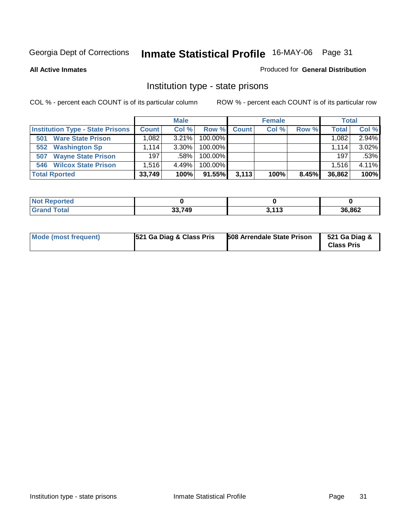**All Active Inmates**

### Produced for **General Distribution**

# Institution type - state prisons

|                                         |              | <b>Male</b> |            |              | <b>Female</b> |       | <b>Total</b> |          |
|-----------------------------------------|--------------|-------------|------------|--------------|---------------|-------|--------------|----------|
| <b>Institution Type - State Prisons</b> | <b>Count</b> | Col %       | Row %      | <b>Count</b> | Col %         | Row % | <b>Total</b> | Col %    |
| <b>Ware State Prison</b><br>501         | .082         | $3.21\%$    | $100.00\%$ |              |               |       | 1,082        | 2.94%    |
| <b>Washington Sp</b><br>552             | l.114        | $3.30\%$    | $100.00\%$ |              |               |       | 1.114        | $3.02\%$ |
| <b>Wayne State Prison</b><br>507        | 197          | .58%        | $100.00\%$ |              |               |       | 197          | .53%     |
| <b>Wilcox State Prison</b><br>546       | .516         | 4.49%       | 100.00%    |              |               |       | 1,516        | 4.11%    |
| <b>Total Rported</b>                    | 33,749       | 100%        | 91.55%     | 3,113        | 100%          | 8.45% | 36,862       | 100%     |

| <b>Not</b><br><b>Reported</b> |        |                 |        |  |
|-------------------------------|--------|-----------------|--------|--|
| <b>Total</b>                  | 33,749 | 2442<br>J. I IJ | 36,862 |  |

| <b>Mode (most frequent)</b> | 521 Ga Diag & Class Pris | <b>508 Arrendale State Prison</b> | 521 Ga Diag &<br><b>Class Pris</b> |
|-----------------------------|--------------------------|-----------------------------------|------------------------------------|
|-----------------------------|--------------------------|-----------------------------------|------------------------------------|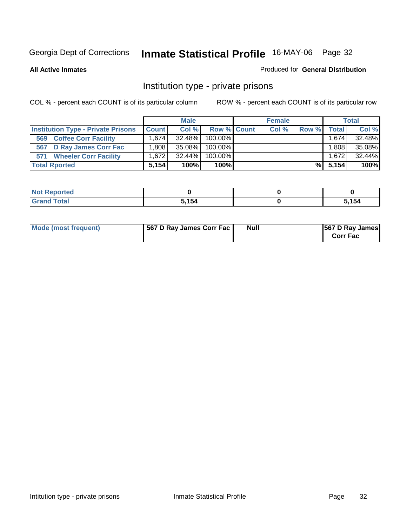### **All Active Inmates**

### Produced for **General Distribution**

# Institution type - private prisons

|                                           |              | <b>Male</b> |             | <b>Female</b> |       |                   | <b>Total</b> |
|-------------------------------------------|--------------|-------------|-------------|---------------|-------|-------------------|--------------|
| <b>Institution Type - Private Prisons</b> | <b>Count</b> | Col %       | Row % Count | Col %         | Row % | <b>Total</b>      | Col %        |
| <b>Coffee Corr Facility</b><br>569        | 1.674        | $32.48\%$   | $100.00\%$  |               |       | .674              | 32.48%       |
| <b>D Ray James Corr Fac</b><br>567        | ا 808. ،     | 35.08%      | $100.00\%$  |               |       | .808 <sup>1</sup> | 35.08%       |
| <b>Wheeler Corr Facility</b><br>571       | 1.672        | $32.44\%$   | $100.00\%$  |               |       | 1.672             | 32.44%       |
| <b>Total Rported</b>                      | 5.154        | 100%        | 100%        |               | %     | 5,154             | 100%         |

| Reported<br>' NOT |       |      |
|-------------------|-------|------|
| <b>otal</b><br>-- | 5,154 | .154 |

| Mode (most frequent) | 567 D Ray James Corr Fac | Null | <b>567 D Ray James</b><br><b>Corr Fac</b> |
|----------------------|--------------------------|------|-------------------------------------------|
|----------------------|--------------------------|------|-------------------------------------------|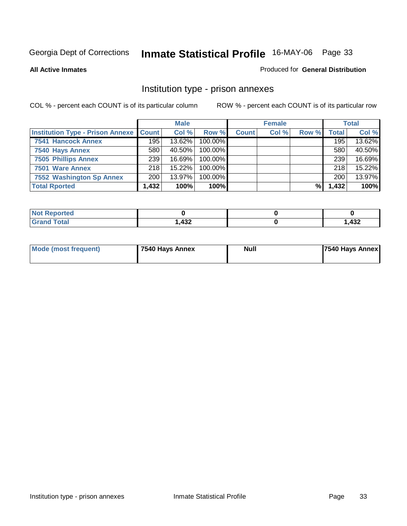### **All Active Inmates**

### Produced for **General Distribution**

# Institution type - prison annexes

|                                                   | <b>Male</b> |           | <b>Female</b> |              |       | <b>Total</b> |              |        |
|---------------------------------------------------|-------------|-----------|---------------|--------------|-------|--------------|--------------|--------|
| <b>Institution Type - Prison Annexe   Count  </b> |             | Col %     | Row %         | <b>Count</b> | Col % | Row %        | <b>Total</b> | Col %  |
| <b>7541 Hancock Annex</b>                         | 195         | 13.62%    | 100.00%       |              |       |              | 195          | 13.62% |
| 7540 Hays Annex                                   | 580         | 40.50%    | 100.00%       |              |       |              | 580          | 40.50% |
| <b>7505 Phillips Annex</b>                        | 239         | $16.69\%$ | $100.00\%$    |              |       |              | 239          | 16.69% |
| 7501 Ware Annex                                   | 218         | 15.22%    | 100.00%       |              |       |              | 218          | 15.22% |
| 7552 Washington Sp Annex                          | 200         | $13.97\%$ | 100.00%       |              |       |              | 200          | 13.97% |
| <b>Total Rported</b>                              | 1,432       | 100%      | 100%          |              |       | %            | 1,432        | 100%   |

| <b>Reported</b>      |            |       |
|----------------------|------------|-------|
| <b>Total</b><br>Grar | 122<br>45∠ | 1,432 |

| Mode (most frequent) | 7540 Hays Annex | Null | 7540 Hays Annex |
|----------------------|-----------------|------|-----------------|
|                      |                 |      |                 |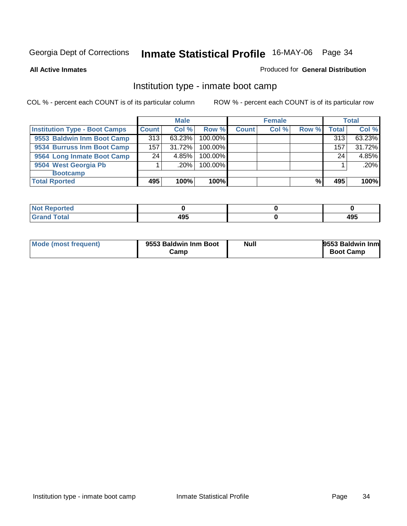**All Active Inmates**

### Produced for **General Distribution**

# Institution type - inmate boot camp

|                                      |              | <b>Male</b> |         |              | <b>Female</b> |       |       | <b>Total</b> |
|--------------------------------------|--------------|-------------|---------|--------------|---------------|-------|-------|--------------|
| <b>Institution Type - Boot Camps</b> | <b>Count</b> | Col %       | Row %   | <b>Count</b> | Col %         | Row % | Total | Col %        |
| 9553 Baldwin Inm Boot Camp           | 313          | 63.23%      | 100.00% |              |               |       | 313   | 63.23%       |
| 9534 Burruss Inm Boot Camp           | 157          | 31.72%      | 100.00% |              |               |       | 157   | 31.72%       |
| 9564 Long Inmate Boot Camp           | 24           | 4.85%       | 100.00% |              |               |       | 24    | 4.85%        |
| 9504 West Georgia Pb                 |              | $.20\%$     | 100.00% |              |               |       |       | $.20\%$      |
| <b>Bootcamp</b>                      |              |             |         |              |               |       |       |              |
| <b>Total Rported</b>                 | 495          | 100%        | 100%    |              |               | %     | 495   | 100%         |

| тео   |     |     |
|-------|-----|-----|
| Coto" | 495 | 495 |

| Mode (most frequent) | 9553 Baldwin Inm Boot | <b>Null</b> | 9553 Baldwin Inm |
|----------------------|-----------------------|-------------|------------------|
|                      | Camp                  |             | <b>Boot Camp</b> |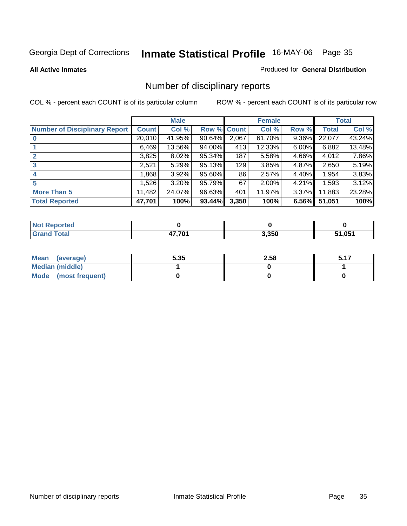**All Active Inmates**

### Produced for **General Distribution**

# Number of disciplinary reports

|                               |              | <b>Male</b> |             |       | <b>Female</b> |          |        | <b>Total</b> |
|-------------------------------|--------------|-------------|-------------|-------|---------------|----------|--------|--------------|
| Number of Disciplinary Report | <b>Count</b> | Col %       | Row % Count |       | Col %         | Row %    | Total  | Col %        |
|                               | 20,010       | 41.95%      | 90.64%      | 2,067 | 61.70%        | $9.36\%$ | 22,077 | 43.24%       |
|                               | 6,469        | 13.56%      | 94.00%      | 413   | 12.33%        | $6.00\%$ | 6,882  | 13.48%       |
|                               | 3,825        | 8.02%       | 95.34%      | 187   | 5.58%         | 4.66%    | 4,012  | 7.86%        |
| 3                             | 2,521        | 5.29%       | 95.13%      | 129   | 3.85%         | 4.87%    | 2,650  | 5.19%        |
| 4                             | 1,868        | 3.92%       | 95.60%      | 86    | 2.57%         | 4.40%    | 1,954  | 3.83%        |
| 5                             | 1,526        | 3.20%       | 95.79%      | 67    | 2.00%         | 4.21%    | 1,593  | 3.12%        |
| <b>More Than 5</b>            | 11,482       | 24.07%      | 96.63%      | 401   | 11.97%        | $3.37\%$ | 11,883 | 23.28%       |
| <b>Total Reported</b>         | 47,701       | 100%        | 93.44%      | 3,350 | 100%          | 6.56%    | 51,051 | 100%         |

| TA 0<br>N |        |       |     |
|-----------|--------|-------|-----|
|           | 47 7A4 | 3.350 | 051 |

| Mean (average)       | 5.35 | 2.58 | 5.17 |
|----------------------|------|------|------|
| Median (middle)      |      |      |      |
| Mode (most frequent) |      |      |      |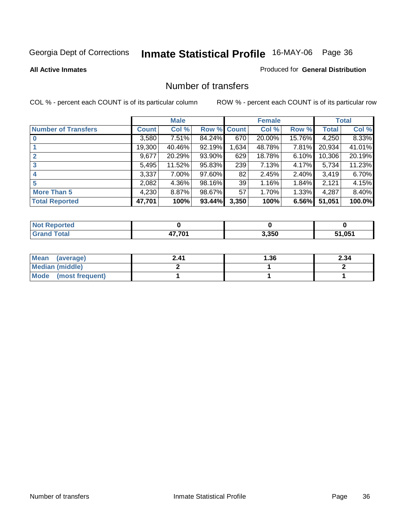### **All Active Inmates**

### Produced for **General Distribution**

### Number of transfers

|                            |              | <b>Male</b> |             |       | <b>Female</b> |          |              | <b>Total</b> |
|----------------------------|--------------|-------------|-------------|-------|---------------|----------|--------------|--------------|
| <b>Number of Transfers</b> | <b>Count</b> | Col %       | Row % Count |       | Col %         | Row %    | <b>Total</b> | Col %        |
|                            | 3,580        | $7.51\%$    | 84.24%      | 670   | 20.00%        | 15.76%   | 4,250        | 8.33%        |
|                            | 19,300       | 40.46%      | 92.19%      | 1,634 | 48.78%        | 7.81%    | 20,934       | 41.01%       |
|                            | 9,677        | 20.29%      | 93.90%      | 629   | 18.78%        | 6.10%    | 10,306       | 20.19%       |
| 3                          | 5,495        | 11.52%      | 95.83%      | 239   | 7.13%         | $4.17\%$ | 5,734        | 11.23%       |
|                            | 3,337        | 7.00%       | 97.60%      | 82    | 2.45%         | $2.40\%$ | 3,419        | 6.70%        |
| 5                          | 2,082        | $4.36\%$    | 98.16%      | 39    | 1.16%         | 1.84%    | 2,121        | 4.15%        |
| <b>More Than 5</b>         | 4,230        | $8.87\%$    | 98.67%      | 57    | 1.70%         | $1.33\%$ | 4,287        | 8.40%        |
| <b>Total Reported</b>      | 47,701       | 100%        | 93.44%      | 3,350 | 100%          | 6.56%    | 51,051       | 100.0%       |

| тео.<br>NG |       |       |             |
|------------|-------|-------|-------------|
| _____      | 7.704 | 3,350 | .051<br>E4. |

| Mean (average)       | 2.41 | l.36 | 2.34 |
|----------------------|------|------|------|
| Median (middle)      |      |      |      |
| Mode (most frequent) |      |      |      |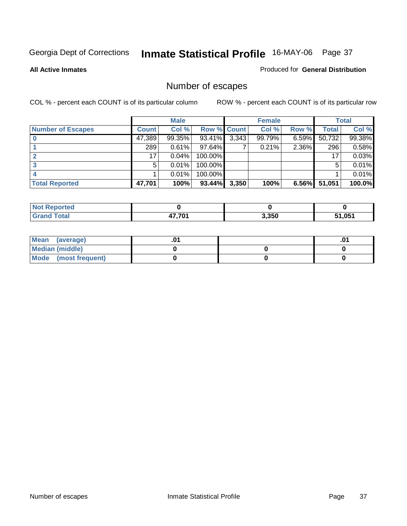**All Active Inmates**

### Produced for **General Distribution**

# Number of escapes

|                          |              | <b>Male</b> |                    |       | <b>Female</b> |          |        | <b>Total</b> |
|--------------------------|--------------|-------------|--------------------|-------|---------------|----------|--------|--------------|
| <b>Number of Escapes</b> | <b>Count</b> | Col %       | <b>Row % Count</b> |       | Col %         | Row %    | Total  | Col %        |
|                          | 47,389       | 99.35%      | 93.41%             | 3,343 | 99.79%        | $6.59\%$ | 50,732 | 99.38%       |
|                          | 289          | 0.61%       | 97.64%             |       | 0.21%         | 2.36%    | 296    | 0.58%        |
|                          | 17           | 0.04%       | 100.00%            |       |               |          | 17     | 0.03%        |
|                          | 5            | 0.01%       | 100.00%            |       |               |          | 5      | 0.01%        |
|                          |              | 0.01%       | $100.00\%$         |       |               |          |        | 0.01%        |
| <b>Total Reported</b>    | 47,701       | 100%        | 93.44%             | 3,350 | 100%          | $6.56\%$ | 51,051 | 100.0%       |

| <b>Not Reported</b> |        |       |      |
|---------------------|--------|-------|------|
|                     | 17.701 | 3,350 | .051 |

| Mean<br>(average)    |  | .01 |
|----------------------|--|-----|
| Median (middle)      |  |     |
| Mode (most frequent) |  |     |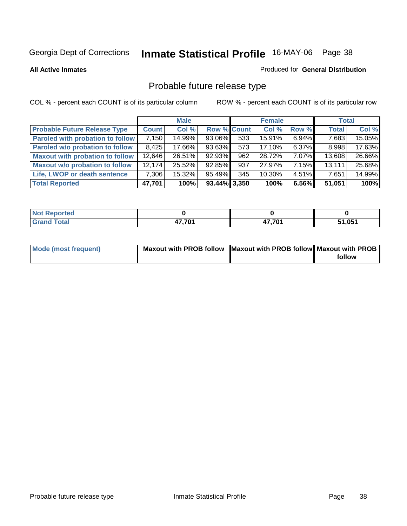**All Active Inmates**

### Produced for **General Distribution**

# Probable future release type

|                                         |        | <b>Male</b> |                    |     | <b>Female</b> |          | <b>Total</b> |        |
|-----------------------------------------|--------|-------------|--------------------|-----|---------------|----------|--------------|--------|
| <b>Probable Future Release Type</b>     | Count  | Col %       | <b>Row % Count</b> |     | Col %         | Row %    | <b>Total</b> | Col %  |
| <b>Paroled with probation to follow</b> | 7,150  | 14.99%      | 93.06%             | 533 | 15.91%        | $6.94\%$ | 7,683        | 15.05% |
| Paroled w/o probation to follow         | 8.425  | 17.66%      | $93.63\%$          | 573 | 17.10%        | $6.37\%$ | 8,998        | 17.63% |
| Maxout with probation to follow         | 12,646 | 26.51%      | 92.93%             | 962 | 28.72%        | 7.07%    | 13,608       | 26.66% |
| <b>Maxout w/o probation to follow</b>   | 12.174 | 25.52%      | 92.85%             | 937 | 27.97%        | 7.15%    | 13,111       | 25.68% |
| Life, LWOP or death sentence            | 7,306  | 15.32%      | 95.49%             | 345 | 10.30%        | $4.51\%$ | 7,651        | 14.99% |
| <b>Total Reported</b>                   | 47,701 | 100%        | $93.44\%$ 3,350    |     | 100%          | 6.56%    | 51,051       | 100%   |

| ported<br>NOT               |        |        |                |
|-----------------------------|--------|--------|----------------|
| <b>Total</b><br><b>Circ</b> | 17 7N1 | 47,701 | 51 O51<br>. כט |

| <b>Mode (most frequent)</b> | Maxout with PROB follow Maxout with PROB follow Maxout with PROB |        |
|-----------------------------|------------------------------------------------------------------|--------|
|                             |                                                                  | follow |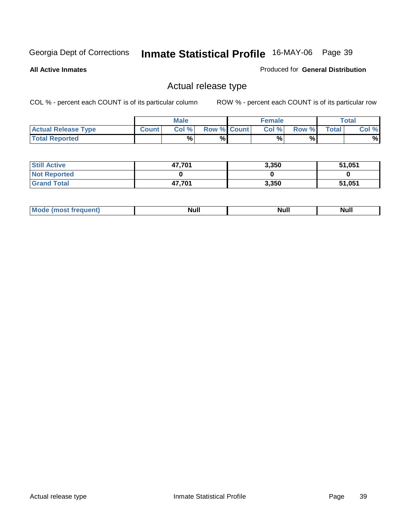**All Active Inmates**

### Produced for **General Distribution**

## Actual release type

|                            |              | <b>Male</b> |                    | <b>Female</b> |       |        | $\tau$ otal |
|----------------------------|--------------|-------------|--------------------|---------------|-------|--------|-------------|
| <b>Actual Release Type</b> | <b>Count</b> | Col %       | <b>Row % Count</b> | Col %         | Row % | Total, | Col %       |
| <b>Total Reported</b>      |              | %           | %                  | %             | %     |        | %           |

| <b>Still Active</b> | 47,701 | 3,350 | 51,051 |
|---------------------|--------|-------|--------|
| <b>Not Reported</b> |        |       |        |
| <b>Grand Total</b>  | 47,701 | 3,350 | 51,051 |

| M<br><b>Null</b><br>Null<br>11WH |  |  |
|----------------------------------|--|--|
|                                  |  |  |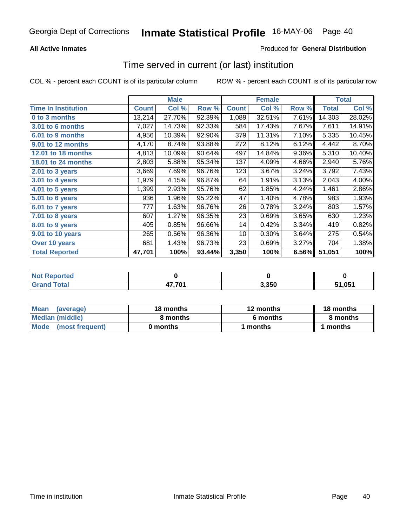## **All Active Inmates**

## Produced for **General Distribution**

## Time served in current (or last) institution

|                              |              | <b>Male</b> |        |              | <b>Female</b> |       |                  | <b>Total</b> |
|------------------------------|--------------|-------------|--------|--------------|---------------|-------|------------------|--------------|
| <b>Time In Institution</b>   | <b>Count</b> | Col %       | Row %  | <b>Count</b> | Col %         | Row % | Total            | Col %        |
| 0 to 3 months                | 13,214       | 27.70%      | 92.39% | 1,089        | 32.51%        | 7.61% | 14,303           | 28.02%       |
| 3.01 to 6 months             | 7,027        | 14.73%      | 92.33% | 584          | 17.43%        | 7.67% | 7,611            | 14.91%       |
| 6.01 to 9 months             | 4,956        | 10.39%      | 92.90% | 379          | 11.31%        | 7.10% | 5,335            | 10.45%       |
| 9.01 to 12 months            | 4,170        | 8.74%       | 93.88% | 272          | 8.12%         | 6.12% | 4,442            | 8.70%        |
| 12.01 to 18 months           | 4,813        | 10.09%      | 90.64% | 497          | 14.84%        | 9.36% | 5,310            | 10.40%       |
| 18.01 to 24 months           | 2,803        | 5.88%       | 95.34% | 137          | 4.09%         | 4.66% | 2,940            | 5.76%        |
| 2.01 to 3 years              | 3,669        | 7.69%       | 96.76% | 123          | 3.67%         | 3.24% | 3,792            | 7.43%        |
| 3.01 to 4 years              | 1,979        | 4.15%       | 96.87% | 64           | 1.91%         | 3.13% | 2,043            | 4.00%        |
| $\overline{4.01}$ to 5 years | 1,399        | 2.93%       | 95.76% | 62           | 1.85%         | 4.24% | 1,461            | 2.86%        |
| 5.01 to 6 years              | 936          | 1.96%       | 95.22% | 47           | 1.40%         | 4.78% | 983              | 1.93%        |
| 6.01 to 7 years              | 777          | 1.63%       | 96.76% | 26           | 0.78%         | 3.24% | 803              | 1.57%        |
| 7.01 to 8 years              | 607          | 1.27%       | 96.35% | 23           | 0.69%         | 3.65% | 630              | 1.23%        |
| 8.01 to 9 years              | 405          | 0.85%       | 96.66% | 14           | 0.42%         | 3.34% | 419              | 0.82%        |
| 9.01 to 10 years             | 265          | 0.56%       | 96.36% | 10           | 0.30%         | 3.64% | $\overline{275}$ | 0.54%        |
| Over 10 years                | 681          | 1.43%       | 96.73% | 23           | 0.69%         | 3.27% | 704              | 1.38%        |
| <b>Total Reported</b>        | 47,701       | 100%        | 93.44% | 3,350        | 100%          | 6.56% | 51,051           | 100%         |

| <b>Not Reported</b> |        |       |                    |
|---------------------|--------|-------|--------------------|
| ⊺ิ∩tal<br>. Gror    | 17,701 | 3,350 | 51,05 <sup>4</sup> |

| Mean<br>(average)       | 18 months | 12 months | 18 months |  |
|-------------------------|-----------|-----------|-----------|--|
| Median (middle)         | 8 months  | 6 months  | 8 months  |  |
| Mode<br>(most frequent) | 0 months  | months    | 1 months  |  |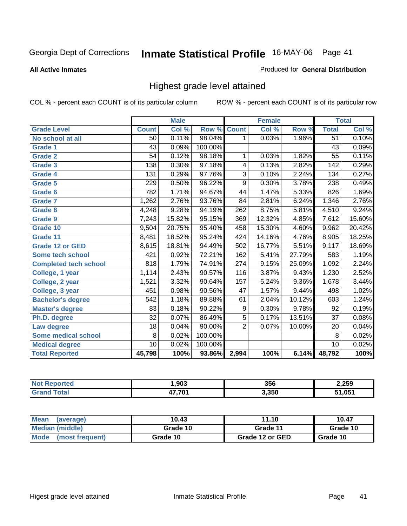### **All Active Inmates**

### Produced for **General Distribution**

## Highest grade level attained

|                              |                  | <b>Male</b> |         |                  | <b>Female</b> |        |                 | <b>Total</b> |
|------------------------------|------------------|-------------|---------|------------------|---------------|--------|-----------------|--------------|
| <b>Grade Level</b>           | <b>Count</b>     | Col %       | Row %   | <b>Count</b>     | Col %         | Row %  | <b>Total</b>    | Col %        |
| No school at all             | 50               | 0.11%       | 98.04%  | 1                | 0.03%         | 1.96%  | $\overline{51}$ | 0.10%        |
| <b>Grade 1</b>               | 43               | 0.09%       | 100.00% |                  |               |        | 43              | 0.09%        |
| <b>Grade 2</b>               | $\overline{54}$  | 0.12%       | 98.18%  | 1                | 0.03%         | 1.82%  | $\overline{55}$ | 0.11%        |
| <b>Grade 3</b>               | 138              | 0.30%       | 97.18%  | 4                | 0.13%         | 2.82%  | 142             | 0.29%        |
| Grade 4                      | $\overline{131}$ | 0.29%       | 97.76%  | $\overline{3}$   | 0.10%         | 2.24%  | 134             | 0.27%        |
| Grade 5                      | $\overline{229}$ | 0.50%       | 96.22%  | $\overline{9}$   | 0.30%         | 3.78%  | 238             | 0.49%        |
| Grade 6                      | $\overline{782}$ | 1.71%       | 94.67%  | $\overline{44}$  | 1.47%         | 5.33%  | 826             | 1.69%        |
| Grade 7                      | 1,262            | 2.76%       | 93.76%  | $\overline{84}$  | 2.81%         | 6.24%  | 1,346           | 2.76%        |
| Grade 8                      | 4,248            | 9.28%       | 94.19%  | 262              | 8.75%         | 5.81%  | 4,510           | 9.24%        |
| Grade 9                      | 7,243            | 15.82%      | 95.15%  | 369              | 12.32%        | 4.85%  | 7,612           | 15.60%       |
| Grade 10                     | 9,504            | 20.75%      | 95.40%  | 458              | 15.30%        | 4.60%  | 9,962           | 20.42%       |
| Grade 11                     | 8,481            | 18.52%      | 95.24%  | 424              | 14.16%        | 4.76%  | 8,905           | 18.25%       |
| <b>Grade 12 or GED</b>       | 8,615            | 18.81%      | 94.49%  | 502              | 16.77%        | 5.51%  | 9,117           | 18.69%       |
| Some tech school             | 421              | 0.92%       | 72.21%  | 162              | 5.41%         | 27.79% | 583             | 1.19%        |
| <b>Completed tech school</b> | 818              | 1.79%       | 74.91%  | $\overline{274}$ | 9.15%         | 25.09% | 1,092           | 2.24%        |
| College, 1 year              | 1,114            | 2.43%       | 90.57%  | 116              | 3.87%         | 9.43%  | 1,230           | 2.52%        |
| College, 2 year              | 1,521            | 3.32%       | 90.64%  | $\overline{157}$ | 5.24%         | 9.36%  | 1,678           | 3.44%        |
| College, 3 year              | 451              | 0.98%       | 90.56%  | $\overline{47}$  | 1.57%         | 9.44%  | 498             | 1.02%        |
| <b>Bachelor's degree</b>     | 542              | 1.18%       | 89.88%  | 61               | 2.04%         | 10.12% | 603             | 1.24%        |
| <b>Master's degree</b>       | 83               | 0.18%       | 90.22%  | 9                | 0.30%         | 9.78%  | 92              | 0.19%        |
| Ph.D. degree                 | $\overline{32}$  | 0.07%       | 86.49%  | $\overline{5}$   | 0.17%         | 13.51% | $\overline{37}$ | 0.08%        |
| Law degree                   | 18               | 0.04%       | 90.00%  | $\overline{2}$   | 0.07%         | 10.00% | $\overline{20}$ | 0.04%        |
| <b>Some medical school</b>   | 8                | 0.02%       | 100.00% |                  |               |        | 8               | 0.02%        |
| <b>Medical degree</b>        | 10               | 0.02%       | 100.00% |                  |               |        | 10              | 0.02%        |
| <b>Total Reported</b>        | 45,798           | 100%        | 93.86%  | 2,994            | 100%          | 6.14%  | 48,792          | 100%         |

| ,903   | 356   | 2,259      |
|--------|-------|------------|
| 17.701 | 3,350 | <b>051</b> |

| Mean<br>(average)       | 10.43    | 11.10           | 10.47    |
|-------------------------|----------|-----------------|----------|
| Median (middle)         | Grade 10 | Grade 11        | Grade 10 |
| Mode<br>(most frequent) | Grade 10 | Grade 12 or GED | Grade 10 |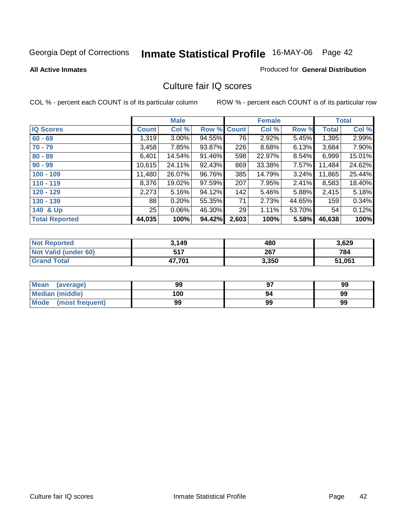### **All Active Inmates**

### Produced for **General Distribution**

## Culture fair IQ scores

|                       |              | <b>Male</b> |        |              | <b>Female</b> |          |        | <b>Total</b> |
|-----------------------|--------------|-------------|--------|--------------|---------------|----------|--------|--------------|
| <b>IQ Scores</b>      | <b>Count</b> | Col %       | Row %  | <b>Count</b> | Col %         | Row %    | Total  | Col %        |
| $60 - 69$             | 1,319        | $3.00\%$    | 94.55% | 76           | 2.92%         | 5.45%    | 1,395  | 2.99%        |
| $70 - 79$             | 3,458        | 7.85%       | 93.87% | 226          | 8.68%         | 6.13%    | 3,684  | 7.90%        |
| $80 - 89$             | 6,401        | 14.54%      | 91.46% | 598          | 22.97%        | 8.54%    | 6,999  | 15.01%       |
| $90 - 99$             | 10,615       | 24.11%      | 92.43% | 869          | 33.38%        | $7.57\%$ | 11,484 | 24.62%       |
| $100 - 109$           | 11,480       | 26.07%      | 96.76% | 385          | 14.79%        | $3.24\%$ | 11,865 | 25.44%       |
| $110 - 119$           | 8,376        | 19.02%      | 97.59% | 207          | 7.95%         | 2.41%    | 8,583  | 18.40%       |
| $120 - 129$           | 2,273        | 5.16%       | 94.12% | 142          | 5.46%         | 5.88%    | 2,415  | 5.18%        |
| $130 - 139$           | 88           | 0.20%       | 55.35% | 71           | 2.73%         | 44.65%   | 159    | 0.34%        |
| 140 & Up              | 25           | $0.06\%$    | 46.30% | 29           | 1.11%         | 53.70%   | 54     | 0.12%        |
| <b>Total Reported</b> | 44,035       | 100%        | 94.42% | 2,603        | 100%          | 5.58%    | 46,638 | 100%         |

| <b>Not Reported</b>  | 3,149  | 480   | 3,629  |
|----------------------|--------|-------|--------|
| Not Valid (under 60) | 517    | 267   | 784    |
| <b>Grand Total</b>   | 47,701 | 3,350 | 51,051 |

| Mean<br>(average)       | 99  | 97 | 99 |
|-------------------------|-----|----|----|
| Median (middle)         | 100 | 94 | 99 |
| Mode<br>(most frequent) | 99  | 99 | 99 |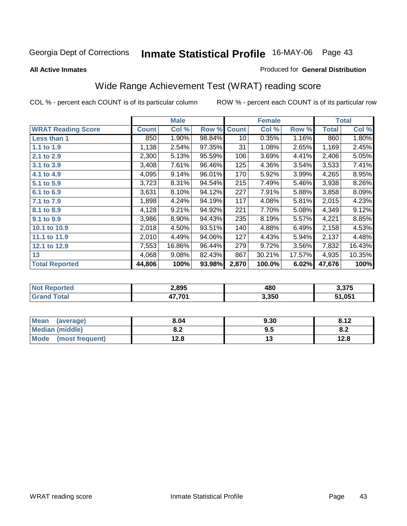### **All Active Inmates**

### Produced for **General Distribution**

## Wide Range Achievement Test (WRAT) reading score

|                           |              | <b>Male</b> |        |              | <b>Female</b> |        |              | <b>Total</b> |
|---------------------------|--------------|-------------|--------|--------------|---------------|--------|--------------|--------------|
| <b>WRAT Reading Score</b> | <b>Count</b> | Col %       | Row %  | <b>Count</b> | Col %         | Row %  | <b>Total</b> | Col %        |
| <b>Less than 1</b>        | 850          | 1.90%       | 98.84% | 10           | 0.35%         | 1.16%  | 860          | 1.80%        |
| 1.1 to 1.9                | 1,138        | 2.54%       | 97.35% | 31           | 1.08%         | 2.65%  | 1,169        | 2.45%        |
| 2.1 to 2.9                | 2,300        | 5.13%       | 95.59% | 106          | 3.69%         | 4.41%  | 2,406        | 5.05%        |
| 3.1 to 3.9                | 3,408        | 7.61%       | 96.46% | 125          | 4.36%         | 3.54%  | 3,533        | 7.41%        |
| 4.1 to 4.9                | 4,095        | 9.14%       | 96.01% | 170          | 5.92%         | 3.99%  | 4,265        | 8.95%        |
| 5.1 to 5.9                | 3,723        | 8.31%       | 94.54% | 215          | 7.49%         | 5.46%  | 3,938        | 8.26%        |
| 6.1 to 6.9                | 3,631        | 8.10%       | 94.12% | 227          | 7.91%         | 5.88%  | 3,858        | 8.09%        |
| 7.1 to 7.9                | 1,898        | 4.24%       | 94.19% | 117          | 4.08%         | 5.81%  | 2,015        | 4.23%        |
| 8.1 to 8.9                | 4,128        | 9.21%       | 94.92% | 221          | 7.70%         | 5.08%  | 4,349        | 9.12%        |
| 9.1 to 9.9                | 3,986        | 8.90%       | 94.43% | 235          | 8.19%         | 5.57%  | 4,221        | 8.85%        |
| 10.1 to 10.9              | 2,018        | 4.50%       | 93.51% | 140          | 4.88%         | 6.49%  | 2,158        | 4.53%        |
| 11.1 to 11.9              | 2,010        | 4.49%       | 94.06% | 127          | 4.43%         | 5.94%  | 2,137        | 4.48%        |
| 12.1 to 12.9              | 7,553        | 16.86%      | 96.44% | 279          | 9.72%         | 3.56%  | 7,832        | 16.43%       |
| 13                        | 4,068        | 9.08%       | 82.43% | 867          | 30.21%        | 17.57% | 4,935        | 10.35%       |
| <b>Total Reported</b>     | 44,806       | 100%        | 93.98% | 2,870        | 100.0%        | 6.02%  | 47,676       | 100%         |

| Teo | 2,895  | 480   | <b>1 275</b> |
|-----|--------|-------|--------------|
|     | 47,701 | 3,350 | 51,051       |

| Mean<br>(average)      | 8.04       | 9.30 | 8.12 |
|------------------------|------------|------|------|
| <b>Median (middle)</b> | ה ה<br>o.z | 9.5  | o.z  |
| Mode (most frequent)   | 12.8       | 1 J  | 12.8 |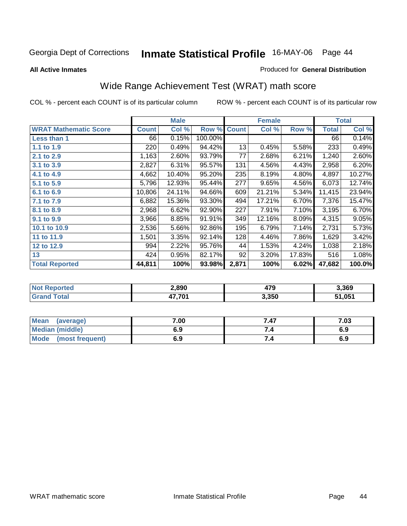**All Active Inmates**

### Produced for **General Distribution**

## Wide Range Achievement Test (WRAT) math score

|                              |              | <b>Male</b> |                    |       | <b>Female</b> |        |              | <b>Total</b> |
|------------------------------|--------------|-------------|--------------------|-------|---------------|--------|--------------|--------------|
| <b>WRAT Mathematic Score</b> | <b>Count</b> | Col %       | <b>Row % Count</b> |       | Col %         | Row %  | <b>Total</b> | Col %        |
| Less than 1                  | 66           | 0.15%       | 100.00%            |       |               |        | 66           | 0.14%        |
| 1.1 to 1.9                   | 220          | 0.49%       | 94.42%             | 13    | 0.45%         | 5.58%  | 233          | 0.49%        |
| 2.1 to 2.9                   | 1,163        | 2.60%       | 93.79%             | 77    | 2.68%         | 6.21%  | 1,240        | 2.60%        |
| 3.1 to 3.9                   | 2,827        | 6.31%       | 95.57%             | 131   | 4.56%         | 4.43%  | 2,958        | 6.20%        |
| 4.1 to 4.9                   | 4,662        | 10.40%      | 95.20%             | 235   | 8.19%         | 4.80%  | 4,897        | 10.27%       |
| 5.1 to 5.9                   | 5,796        | 12.93%      | 95.44%             | 277   | 9.65%         | 4.56%  | 6,073        | 12.74%       |
| 6.1 to 6.9                   | 10,806       | 24.11%      | 94.66%             | 609   | 21.21%        | 5.34%  | 11,415       | 23.94%       |
| 7.1 to 7.9                   | 6,882        | 15.36%      | 93.30%             | 494   | 17.21%        | 6.70%  | 7,376        | 15.47%       |
| 8.1 to 8.9                   | 2,968        | 6.62%       | 92.90%             | 227   | 7.91%         | 7.10%  | 3,195        | 6.70%        |
| 9.1 to 9.9                   | 3,966        | 8.85%       | 91.91%             | 349   | 12.16%        | 8.09%  | 4,315        | 9.05%        |
| 10.1 to 10.9                 | 2,536        | 5.66%       | 92.86%             | 195   | 6.79%         | 7.14%  | 2,731        | 5.73%        |
| 11 to 11.9                   | 1,501        | 3.35%       | 92.14%             | 128   | 4.46%         | 7.86%  | 1,629        | 3.42%        |
| 12 to 12.9                   | 994          | 2.22%       | 95.76%             | 44    | 1.53%         | 4.24%  | 1,038        | 2.18%        |
| 13                           | 424          | 0.95%       | 82.17%             | 92    | 3.20%         | 17.83% | 516          | 1.08%        |
| <b>Total Reported</b>        | 44,811       | 100%        | 93.98%             | 2,871 | 100%          | 6.02%  | 47,682       | 100.0%       |

| 2,890  | ידו<br>412 | 3,369  |
|--------|------------|--------|
| .7.701 | 3,350      | 51,051 |

| <b>Mean</b><br>(average) | 7.00 | 7.47 | 7.03 |
|--------------------------|------|------|------|
| <b>Median (middle)</b>   | 6.9  |      | 6.9  |
| Mode<br>(most frequent)  | 6.9  | 7.4  | 6.9  |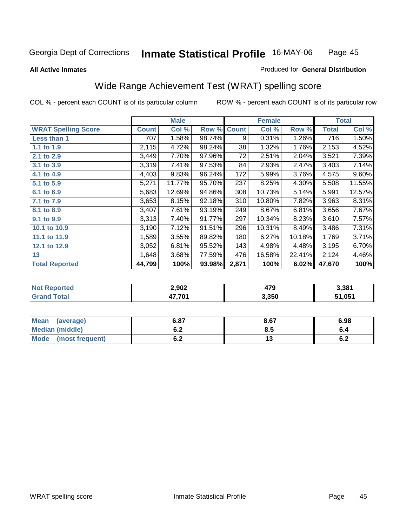### **All Active Inmates**

### Produced for **General Distribution**

## Wide Range Achievement Test (WRAT) spelling score

|                            |              | <b>Male</b> |        |              | <b>Female</b> |          |              | <b>Total</b> |
|----------------------------|--------------|-------------|--------|--------------|---------------|----------|--------------|--------------|
| <b>WRAT Spelling Score</b> | <b>Count</b> | Col %       | Row %  | <b>Count</b> | Col %         | Row %    | <b>Total</b> | Col %        |
| Less than 1                | 707          | 1.58%       | 98.74% | 9            | 0.31%         | $1.26\%$ | 716          | 1.50%        |
| 1.1 to 1.9                 | 2,115        | 4.72%       | 98.24% | 38           | 1.32%         | 1.76%    | 2,153        | 4.52%        |
| 2.1 to 2.9                 | 3,449        | 7.70%       | 97.96% | 72           | 2.51%         | 2.04%    | 3,521        | 7.39%        |
| 3.1 to 3.9                 | 3,319        | 7.41%       | 97.53% | 84           | 2.93%         | 2.47%    | 3,403        | 7.14%        |
| 4.1 to 4.9                 | 4,403        | 9.83%       | 96.24% | 172          | 5.99%         | 3.76%    | 4,575        | 9.60%        |
| 5.1 to 5.9                 | 5,271        | 11.77%      | 95.70% | 237          | 8.25%         | 4.30%    | 5,508        | 11.55%       |
| 6.1 to 6.9                 | 5,683        | 12.69%      | 94.86% | 308          | 10.73%        | 5.14%    | 5,991        | 12.57%       |
| 7.1 to 7.9                 | 3,653        | 8.15%       | 92.18% | 310          | 10.80%        | 7.82%    | 3,963        | 8.31%        |
| 8.1 to 8.9                 | 3,407        | 7.61%       | 93.19% | 249          | 8.67%         | 6.81%    | 3,656        | 7.67%        |
| 9.1 to 9.9                 | 3,313        | 7.40%       | 91.77% | 297          | 10.34%        | 8.23%    | 3,610        | 7.57%        |
| 10.1 to 10.9               | 3,190        | 7.12%       | 91.51% | 296          | 10.31%        | 8.49%    | 3,486        | 7.31%        |
| 11.1 to 11.9               | 1,589        | 3.55%       | 89.82% | 180          | 6.27%         | 10.18%   | 1,769        | 3.71%        |
| 12.1 to 12.9               | 3,052        | 6.81%       | 95.52% | 143          | 4.98%         | 4.48%    | 3,195        | 6.70%        |
| 13                         | 1,648        | 3.68%       | 77.59% | 476          | 16.58%        | 22.41%   | 2,124        | 4.46%        |
| <b>Total Reported</b>      | 44,799       | 100%        | 93.98% | 2,871        | 100%          | 6.02%    | 47,670       | 100%         |

| orted<br>NO. | 2,902  | הלו<br>413 | 3.381  |
|--------------|--------|------------|--------|
| $\sim$       | 17 701 | 3,350      | 51,051 |

| <b>Mean</b><br>(average) | 6.87       | 8.67 | 6.98       |
|--------------------------|------------|------|------------|
| <b>Median (middle)</b>   | v.z        | Ծ. : | o.4        |
| Mode<br>(most frequent)  | . .<br>U.Z | ن ،  | . .<br>0.4 |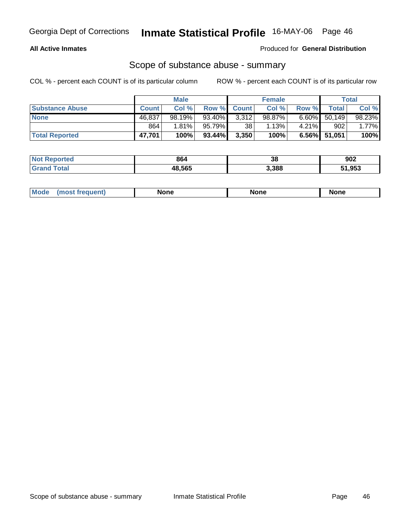## **All Active Inmates**

Produced for **General Distribution**

## Scope of substance abuse - summary

|                        |              | <b>Male</b> |                    |                 | <b>Female</b> |          |                 | Total    |
|------------------------|--------------|-------------|--------------------|-----------------|---------------|----------|-----------------|----------|
| <b>Substance Abuse</b> | <b>Count</b> | Col %       | <b>Row % Count</b> |                 | Col %         | Row %    | Total           | Col %    |
| <b>None</b>            | 46,837       | $98.19\%$   | 93.40%             | 3,312           | 98.87%        | $6.60\%$ | 50,149          | 98.23%   |
|                        | 864          | $1.81\%$    | 95.79% I           | 38 <sup>1</sup> | 1.13%         | $4.21\%$ | 902             | $1.77\%$ |
| <b>Total Reported</b>  | 47,701       | 100%        | 93.44%             | 3,350           | 100%          |          | $6.56\%$ 51,051 | 100%     |

| <b>Not Reported</b> | 864    | 38    | 902    |
|---------------------|--------|-------|--------|
| <b>Total</b>        | 48,565 | 3,388 | 51,953 |

| Mode<br>eduent | None | None | <b>None</b> |
|----------------|------|------|-------------|
|                |      |      |             |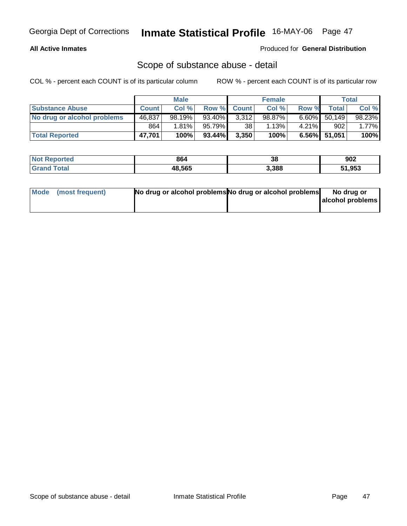## **All Active Inmates**

### Produced for **General Distribution**

## Scope of substance abuse - detail

|                             |              | <b>Male</b> |           |             | <b>Female</b> |          |                 | Total    |
|-----------------------------|--------------|-------------|-----------|-------------|---------------|----------|-----------------|----------|
| <b>Substance Abuse</b>      | <b>Count</b> | Col%        |           | Row % Count | Col %         | Row %    | <b>Total</b>    | Col %    |
| No drug or alcohol problems | 46,837       | 98.19%      | 93.40%    | 3,312       | 98.87%        | $6.60\%$ | 50,149          | 98.23%   |
|                             | 864          | 1.81%       | $95.79\%$ | 38          | 1.13%         | $4.21\%$ | 902             | $1.77\%$ |
| <b>Total Reported</b>       | 47,701       | 100%        | 93.44%    | 3,350       | 100%          |          | $6.56\%$ 51,051 | 100%     |

| <b>Not Reported</b> | 864    | 38    | 902    |
|---------------------|--------|-------|--------|
| <b>Grand Total</b>  | 48,565 | 3,388 | 51,953 |

| Mode (most frequent) | No drug or alcohol problems No drug or alcohol problems | No drug or       |
|----------------------|---------------------------------------------------------|------------------|
|                      |                                                         | alcohol problems |
|                      |                                                         |                  |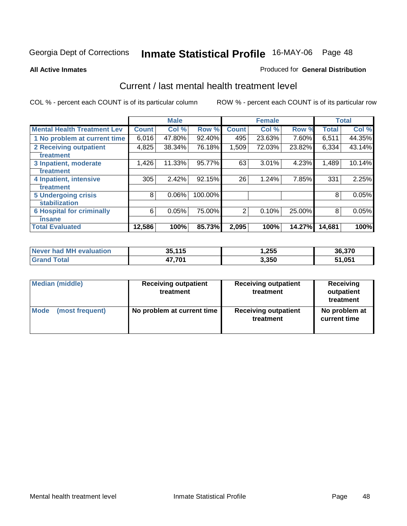### **All Active Inmates**

### Produced for **General Distribution**

## Current / last mental health treatment level

|                                    |              | <b>Male</b> |         |              | <b>Female</b> |        |              | <b>Total</b> |
|------------------------------------|--------------|-------------|---------|--------------|---------------|--------|--------------|--------------|
| <b>Mental Health Treatment Lev</b> | <b>Count</b> | Col %       | Row %   | <b>Count</b> | Col %         | Row %  | <b>Total</b> | Col %        |
| 1 No problem at current time       | 6,016        | 47.80%      | 92.40%  | 495          | 23.63%        | 7.60%  | 6,511        | 44.35%       |
| <b>2 Receiving outpatient</b>      | 4,825        | 38.34%      | 76.18%  | 1,509        | 72.03%        | 23.82% | 6,334        | 43.14%       |
| treatment                          |              |             |         |              |               |        |              |              |
| 3 Inpatient, moderate              | 1,426        | 11.33%      | 95.77%  | 63           | 3.01%         | 4.23%  | 1,489        | 10.14%       |
| treatment                          |              |             |         |              |               |        |              |              |
| 4 Inpatient, intensive             | 305          | 2.42%       | 92.15%  | 26           | 1.24%         | 7.85%  | 331          | 2.25%        |
| treatment                          |              |             |         |              |               |        |              |              |
| <b>5 Undergoing crisis</b>         | 8            | 0.06%       | 100.00% |              |               |        | 8            | 0.05%        |
| stabilization                      |              |             |         |              |               |        |              |              |
| <b>6 Hospital for criminally</b>   | 6            | 0.05%       | 75.00%  | 2            | 0.10%         | 25.00% | 8            | 0.05%        |
| insane                             |              |             |         |              |               |        |              |              |
| <b>Total Evaluated</b>             | 12,586       | 100%        | 85.73%  | 2,095        | 100%          | 14.27% | 14,681       | 100%         |

| Never had MH evaluation | 35,115 | 255. ا | 36,370 |
|-------------------------|--------|--------|--------|
| Total<br>Grand          | 17.701 | 3,350  | 51,051 |

| <b>Median (middle)</b> | <b>Receiving outpatient</b><br>treatment | <b>Receiving outpatient</b><br>treatment | Receiving<br>outpatient<br>treatment |  |
|------------------------|------------------------------------------|------------------------------------------|--------------------------------------|--|
| Mode                   | No problem at current time               | <b>Receiving outpatient</b>              | No problem at                        |  |
| (most frequent)        |                                          | treatment                                | current time                         |  |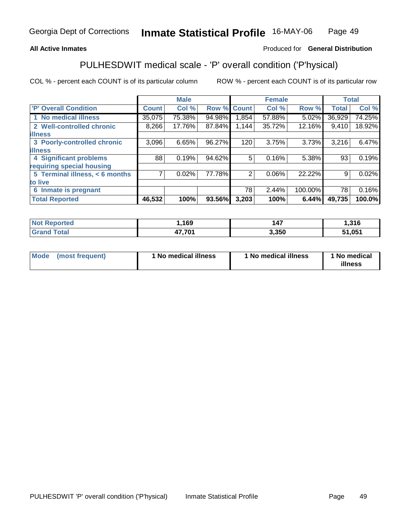### **All Active Inmates**

## Produced for **General Distribution**

## PULHESDWIT medical scale - 'P' overall condition ('P'hysical)

|                                |        | <b>Male</b> |             |       | <b>Female</b> |         |              | <b>Total</b> |
|--------------------------------|--------|-------------|-------------|-------|---------------|---------|--------------|--------------|
| 'P' Overall Condition          | Count  | Col %       | Row % Count |       | Col %         | Row %   | <b>Total</b> | Col%         |
| 1 No medical illness           | 35,075 | 75.38%      | 94.98%      | 1,854 | 57.88%        | 5.02%   | 36,929       | 74.25%       |
| 2 Well-controlled chronic      | 8,266  | 17.76%      | 87.84%      | 1,144 | 35.72%        | 12.16%  | 9,410        | 18.92%       |
| <b>illness</b>                 |        |             |             |       |               |         |              |              |
| 3 Poorly-controlled chronic    | 3,096  | 6.65%       | 96.27%      | 120   | 3.75%         | 3.73%   | 3,216        | 6.47%        |
| <b>illness</b>                 |        |             |             |       |               |         |              |              |
| <b>4 Significant problems</b>  | 88     | 0.19%       | 94.62%      | 5     | 0.16%         | 5.38%   | 93           | 0.19%        |
| requiring special housing      |        |             |             |       |               |         |              |              |
| 5 Terminal illness, < 6 months |        | 0.02%       | 77.78%      | 2     | $0.06\%$      | 22.22%  | 9            | 0.02%        |
| to live                        |        |             |             |       |               |         |              |              |
| 6 Inmate is pregnant           |        |             |             | 78    | 2.44%         | 100.00% | 78           | 0.16%        |
| <b>Total Reported</b>          | 46,532 | 100%        | 93.56%      | 3,203 | 100%          | 6.44%   | 49,735       | 100.0%       |

| <b>Not</b><br>Reported | ,169   | 147   | .316   |
|------------------------|--------|-------|--------|
| Total                  | 17,701 | 3,350 | 1,051ذ |
| <b>Grand</b>           | . .    |       | 64     |

| <b>Mode</b> | (most frequent) | 1 No medical illness | 1 No medical illness | 1 No medical<br>illness |
|-------------|-----------------|----------------------|----------------------|-------------------------|
|-------------|-----------------|----------------------|----------------------|-------------------------|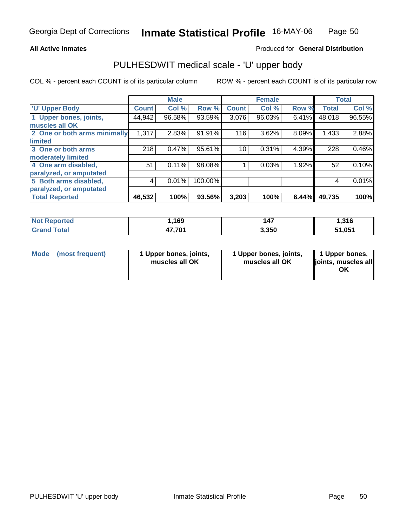### **All Active Inmates**

## Produced for **General Distribution**

## PULHESDWIT medical scale - 'U' upper body

|                              |              | <b>Male</b> |         |              | <b>Female</b> |       |              | <b>Total</b> |
|------------------------------|--------------|-------------|---------|--------------|---------------|-------|--------------|--------------|
| <b>U' Upper Body</b>         | <b>Count</b> | Col %       | Row %   | <b>Count</b> | Col %         | Row % | <b>Total</b> | Col %        |
| 1 Upper bones, joints,       | 44,942       | 96.58%      | 93.59%  | 3,076        | 96.03%        | 6.41% | 48,018       | 96.55%       |
| muscles all OK               |              |             |         |              |               |       |              |              |
| 2 One or both arms minimally | 1,317        | 2.83%       | 91.91%  | 116          | 3.62%         | 8.09% | 1,433        | 2.88%        |
| <b>limited</b>               |              |             |         |              |               |       |              |              |
| 3 One or both arms           | 218          | 0.47%       | 95.61%  | 10           | 0.31%         | 4.39% | 228          | 0.46%        |
| moderately limited           |              |             |         |              |               |       |              |              |
| 4 One arm disabled,          | 51           | 0.11%       | 98.08%  |              | 0.03%         | 1.92% | 52           | 0.10%        |
| paralyzed, or amputated      |              |             |         |              |               |       |              |              |
| 5 Both arms disabled,        | 4            | 0.01%       | 100.00% |              |               |       | 4            | 0.01%        |
| paralyzed, or amputated      |              |             |         |              |               |       |              |              |
| <b>Total Reported</b>        | 46,532       | 100%        | 93.56%  | 3,203        | 100%          | 6.44% | 49,735       | 100%         |

| <b>Not</b><br><u>rted</u> | 169                    | 147   | 1,316  |
|---------------------------|------------------------|-------|--------|
| ™otal                     | 17.704<br>"<br>$\dots$ | 3.350 | 51,051 |

| <b>Mode</b> | (most frequent) | 1 Upper bones, joints,<br>muscles all OK | 1 Upper bones, joints,<br>muscles all OK | 1 Upper bones,<br>joints, muscles all<br>OK |
|-------------|-----------------|------------------------------------------|------------------------------------------|---------------------------------------------|
|-------------|-----------------|------------------------------------------|------------------------------------------|---------------------------------------------|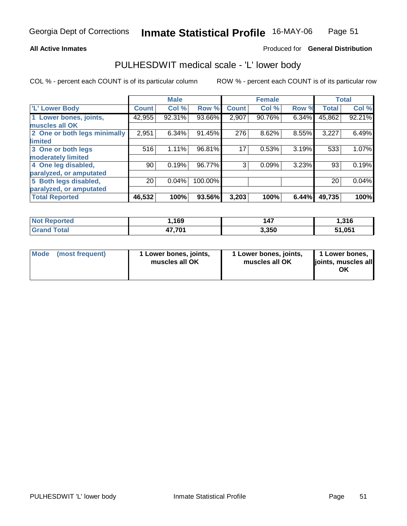### **All Active Inmates**

## Produced for **General Distribution**

## PULHESDWIT medical scale - 'L' lower body

|                              |              | <b>Male</b> |         |              | <b>Female</b> |       |              | <b>Total</b> |
|------------------------------|--------------|-------------|---------|--------------|---------------|-------|--------------|--------------|
| 'L' Lower Body               | <b>Count</b> | Col %       | Row %   | <b>Count</b> | Col %         | Row % | <b>Total</b> | Col %        |
| 1 Lower bones, joints,       | 42,955       | 92.31%      | 93.66%  | 2,907        | 90.76%        | 6.34% | 45,862       | 92.21%       |
| muscles all OK               |              |             |         |              |               |       |              |              |
| 2 One or both legs minimally | 2,951        | 6.34%       | 91.45%  | 276          | 8.62%         | 8.55% | 3,227        | 6.49%        |
| limited                      |              |             |         |              |               |       |              |              |
| 3 One or both legs           | 516          | 1.11%       | 96.81%  | 17           | 0.53%         | 3.19% | 533          | 1.07%        |
| moderately limited           |              |             |         |              |               |       |              |              |
| 4 One leg disabled,          | 90           | 0.19%       | 96.77%  | 3            | 0.09%         | 3.23% | 93           | 0.19%        |
| paralyzed, or amputated      |              |             |         |              |               |       |              |              |
| 5 Both legs disabled,        | 20           | 0.04%       | 100.00% |              |               |       | 20           | 0.04%        |
| paralyzed, or amputated      |              |             |         |              |               |       |              |              |
| <b>Total Reported</b>        | 46,532       | 100%        | 93.56%  | 3,203        | 100%          | 6.44% | 49,735       | 100%         |

| ported<br>NO. | 1,169               | 147   | 1,316  |
|---------------|---------------------|-------|--------|
| <b>Total</b>  | 17 7A1<br>.и.<br>т. | 3,350 | 51,051 |

| <b>Mode</b><br>(most frequent)<br>1 Lower bones, joints,<br>muscles all OK | 1 Lower bones, joints,<br>muscles all OK | 1 Lower bones,<br>joints, muscles all<br>ΟK |
|----------------------------------------------------------------------------|------------------------------------------|---------------------------------------------|
|----------------------------------------------------------------------------|------------------------------------------|---------------------------------------------|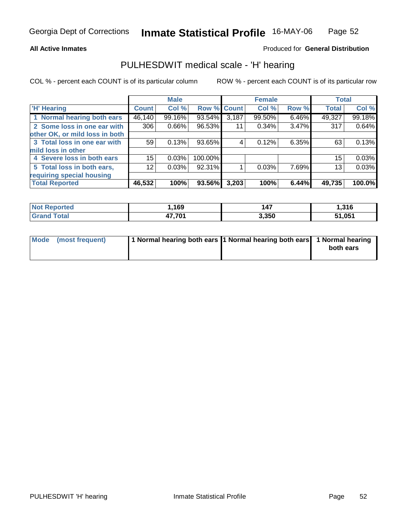### **All Active Inmates**

## Produced for **General Distribution**

## PULHESDWIT medical scale - 'H' hearing

|                                |              | <b>Male</b> |             |       | <b>Female</b> |       | <b>Total</b> |        |
|--------------------------------|--------------|-------------|-------------|-------|---------------|-------|--------------|--------|
| <b>H'</b> Hearing              | <b>Count</b> | Col %       | Row % Count |       | Col %         | Row % | <b>Total</b> | Col %  |
| 1 Normal hearing both ears     | 46,140       | 99.16%      | 93.54%      | 3,187 | 99.50%        | 6.46% | 49,327       | 99.18% |
| 2 Some loss in one ear with    | 306          | 0.66%       | 96.53%      | 11    | 0.34%         | 3.47% | 317          | 0.64%  |
| other OK, or mild loss in both |              |             |             |       |               |       |              |        |
| 3 Total loss in one ear with   | 59           | 0.13%       | 93.65%      | 4     | 0.12%         | 6.35% | 63           | 0.13%  |
| mild loss in other             |              |             |             |       |               |       |              |        |
| 4 Severe loss in both ears     | 15           | 0.03%       | 100.00%     |       |               |       | 15           | 0.03%  |
| 5 Total loss in both ears,     | 12           | 0.03%       | 92.31%      |       | 0.03%         | 7.69% | 13           | 0.03%  |
| requiring special housing      |              |             |             |       |               |       |              |        |
| <b>Total Reported</b>          | 46,532       | 100%        | 93.56%      | 3,203 | 100%          | 6.44% | 49,735       | 100.0% |

| rtec | 169    | .<br>147 | ,316        |
|------|--------|----------|-------------|
|      | パフ ワハイ | 3,350    | .051<br>- - |

| Mode (most frequent) | 1 Normal hearing both ears 1 Normal hearing both ears 1 Normal hearing |           |
|----------------------|------------------------------------------------------------------------|-----------|
|                      |                                                                        | both ears |
|                      |                                                                        |           |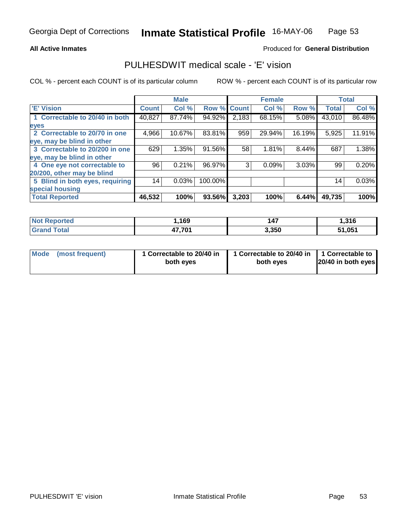### **All Active Inmates**

### Produced for **General Distribution**

## PULHESDWIT medical scale - 'E' vision

|                                 |              | <b>Male</b> |                    |                    | <b>Female</b> |        |              | <b>Total</b> |
|---------------------------------|--------------|-------------|--------------------|--------------------|---------------|--------|--------------|--------------|
| <b>E' Vision</b>                | <b>Count</b> | Col %       | <b>Row % Count</b> |                    | Col %         | Row %  | <b>Total</b> | Col %        |
| 1 Correctable to 20/40 in both  | 40,827       | 87.74%      | 94.92%             | $\overline{2,183}$ | 68.15%        | 5.08%  | 43,010       | 86.48%       |
| eyes                            |              |             |                    |                    |               |        |              |              |
| 2 Correctable to 20/70 in one   | 4,966        | 10.67%      | 83.81%             | 959                | 29.94%        | 16.19% | 5,925        | 11.91%       |
| eye, may be blind in other      |              |             |                    |                    |               |        |              |              |
| 3 Correctable to 20/200 in one  | 629          | 1.35%       | 91.56%             | 58                 | 1.81%         | 8.44%  | 687          | 1.38%        |
| eye, may be blind in other      |              |             |                    |                    |               |        |              |              |
| 4 One eye not correctable to    | 96           | 0.21%       | 96.97%             | 3                  | 0.09%         | 3.03%  | 99           | 0.20%        |
| 20/200, other may be blind      |              |             |                    |                    |               |        |              |              |
| 5 Blind in both eyes, requiring | 14           | 0.03%       | 100.00%            |                    |               |        | 14           | 0.03%        |
| special housing                 |              |             |                    |                    |               |        |              |              |
| <b>Total Reported</b>           | 46,532       | 100%        | 93.56%             | 3,203              | 100%          | 6.44%  | 49,735       | 100%         |

| orted<br><b>Not</b>          | ,169                     | 147   | 316، ا |
|------------------------------|--------------------------|-------|--------|
| <b>Total</b><br><b>Grand</b> | 17 701<br>. <i>I</i> V I | 3,350 | 51,051 |

| Mode            | 1 Correctable to 20/40 in | 1 Correctable to 20/40 in   1 Correctable to | 20/40 in both eyes |
|-----------------|---------------------------|----------------------------------------------|--------------------|
| (most frequent) | both eyes                 | both eyes                                    |                    |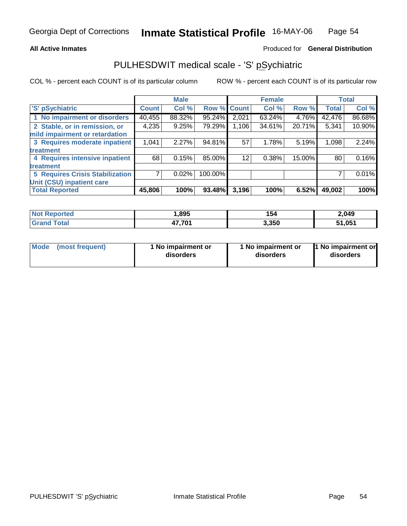### **All Active Inmates**

### Produced for **General Distribution**

## PULHESDWIT medical scale - 'S' pSychiatric

|                                        |              | <b>Male</b> |         |              | <b>Female</b> |        |              | <b>Total</b> |
|----------------------------------------|--------------|-------------|---------|--------------|---------------|--------|--------------|--------------|
| 'S' pSychiatric                        | <b>Count</b> | Col %       | Row %   | <b>Count</b> | Col %         | Row %  | <b>Total</b> | Col %        |
| 1 No impairment or disorders           | 40,455       | 88.32%      | 95.24%  | 2,021        | $63.24\%$     | 4.76%  | 42,476       | 86.68%       |
| 2 Stable, or in remission, or          | 4,235        | 9.25%       | 79.29%  | 1,106        | 34.61%        | 20.71% | 5,341        | 10.90%       |
| mild impairment or retardation         |              |             |         |              |               |        |              |              |
| 3 Requires moderate inpatient          | 1,041        | 2.27%       | 94.81%  | 57           | 1.78%         | 5.19%  | 1,098        | 2.24%        |
| treatment                              |              |             |         |              |               |        |              |              |
| 4 Requires intensive inpatient         | 68           | 0.15%       | 85.00%  | 12           | 0.38%         | 15.00% | 80           | 0.16%        |
| treatment                              |              |             |         |              |               |        |              |              |
| <b>5 Requires Crisis Stabilization</b> |              | 0.02%       | 100.00% |              |               |        |              | 0.01%        |
| Unit (CSU) inpatient care              |              |             |         |              |               |        |              |              |
| <b>Total Reported</b>                  | 45,806       | 100%        | 93.48%  | 3,196        | 100%          | 6.52%  | 49,002       | 100%         |

| Not <b>R</b><br><b>roorted</b> | .895   | 154   | 2,049  |
|--------------------------------|--------|-------|--------|
| $f$ $f$ $f$ $f$ $f$<br>Cron    | 17,701 | 3,350 | 51,051 |

| Mode | (most frequent) | 1 No impairment or<br>disorders | 1 No impairment or<br>disorders | 1 No impairment or<br>disorders |
|------|-----------------|---------------------------------|---------------------------------|---------------------------------|
|------|-----------------|---------------------------------|---------------------------------|---------------------------------|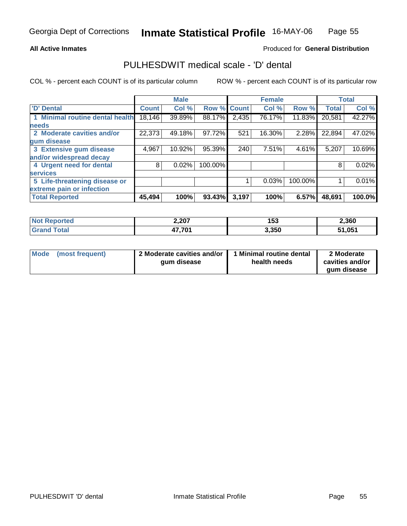### **All Active Inmates**

## Produced for **General Distribution**

## PULHESDWIT medical scale - 'D' dental

|                                 |              | <b>Male</b> |             |       | <b>Female</b> |         |              | <b>Total</b> |
|---------------------------------|--------------|-------------|-------------|-------|---------------|---------|--------------|--------------|
| 'D' Dental                      | <b>Count</b> | Col %       | Row % Count |       | Col %         | Row %   | <b>Total</b> | Col %        |
| 1 Minimal routine dental health | 18,146       | 39.89%      | 88.17%      | 2,435 | 76.17%        | 11.83%  | 20,581       | 42.27%       |
| <b>needs</b>                    |              |             |             |       |               |         |              |              |
| 2 Moderate cavities and/or      | 22,373       | 49.18%      | 97.72%      | 521   | 16.30%        | 2.28%   | 22,894       | 47.02%       |
| gum disease                     |              |             |             |       |               |         |              |              |
| 3 Extensive gum disease         | 4,967        | 10.92%      | 95.39%      | 240   | 7.51%         | 4.61%   | 5,207        | 10.69%       |
| and/or widespread decay         |              |             |             |       |               |         |              |              |
| 4 Urgent need for dental        | 8            | 0.02%       | 100.00%     |       |               |         | 8            | 0.02%        |
| <b>services</b>                 |              |             |             |       |               |         |              |              |
| 5 Life-threatening disease or   |              |             |             |       | 0.03%         | 100.00% |              | 0.01%        |
| extreme pain or infection       |              |             |             |       |               |         |              |              |
| <b>Total Reported</b>           | 45,494       | 100%        | 93.43%      | 3,197 | 100%          | 6.57%   | 48,691       | 100.0%       |

| <b>No</b><br>orted   | 2,207                    | .<br>153 | 2,360  |
|----------------------|--------------------------|----------|--------|
| <b>Tota</b><br>"Grai | パフ ワハイ<br>. <i>I</i> U I | 3,350    | 51,051 |

| Mode | (most frequent) | 2 Moderate cavities and/or<br>qum disease | 1 Minimal routine dental<br>health needs | 2 Moderate<br>cavities and/or |
|------|-----------------|-------------------------------------------|------------------------------------------|-------------------------------|
|      |                 |                                           |                                          | qum disease                   |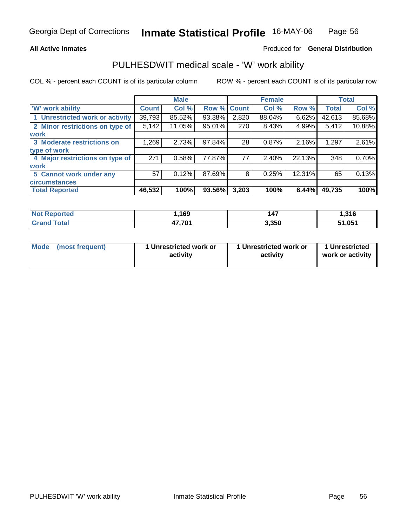### **All Active Inmates**

### Produced for **General Distribution**

## PULHESDWIT medical scale - 'W' work ability

|                                 |              | <b>Male</b> |                    |       | <b>Female</b> |          |              | <b>Total</b> |
|---------------------------------|--------------|-------------|--------------------|-------|---------------|----------|--------------|--------------|
| <b>W' work ability</b>          | <b>Count</b> | Col %       | <b>Row % Count</b> |       | Col %         | Row %    | <b>Total</b> | Col %        |
| 1 Unrestricted work or activity | 39,793       | 85.52%      | 93.38%             | 2,820 | 88.04%        | $6.62\%$ | 42,613       | 85.68%       |
| 2 Minor restrictions on type of | 5,142        | 11.05%      | 95.01%             | 270   | 8.43%         | 4.99%    | 5,412        | 10.88%       |
| <b>work</b>                     |              |             |                    |       |               |          |              |              |
| 3 Moderate restrictions on      | 1,269        | 2.73%       | 97.84%             | 28    | 0.87%         | 2.16%    | 1,297        | 2.61%        |
| type of work                    |              |             |                    |       |               |          |              |              |
| 4 Major restrictions on type of | 271          | 0.58%       | 77.87%             | 77    | 2.40%         | 22.13%   | 348          | 0.70%        |
| work                            |              |             |                    |       |               |          |              |              |
| 5 Cannot work under any         | 57           | 0.12%       | 87.69%             | 8     | 0.25%         | 12.31%   | 65           | 0.13%        |
| <b>circumstances</b>            |              |             |                    |       |               |          |              |              |
| <b>Total Reported</b>           | 46,532       | 100%        | 93.56%             | 3,203 | 100%          | 6.44%    | 49,735       | 100%         |

| <b>Not Reported</b>          | ,169   | .<br>14, | 216<br>. טוי |
|------------------------------|--------|----------|--------------|
| <b>Total</b><br><b>Grand</b> | 47,701 | 3,350    | 51,051       |

| Mode | (most frequent) | 1 Unrestricted work or<br>activity | 1 Unrestricted work or<br>activity | 1 Unrestricted<br>work or activity |
|------|-----------------|------------------------------------|------------------------------------|------------------------------------|
|------|-----------------|------------------------------------|------------------------------------|------------------------------------|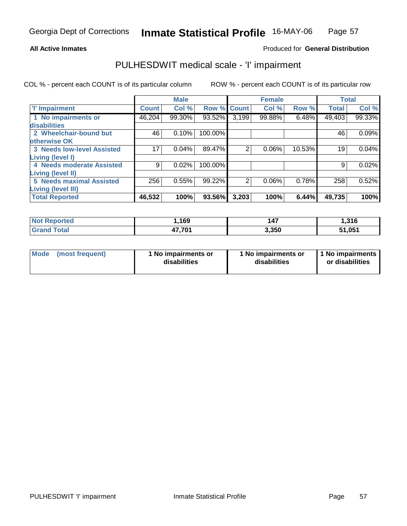### **All Active Inmates**

## Produced for **General Distribution**

## PULHESDWIT medical scale - 'I' impairment

|                                   |              | <b>Male</b> |             |                | <b>Female</b> |        |              | <b>Total</b> |
|-----------------------------------|--------------|-------------|-------------|----------------|---------------|--------|--------------|--------------|
| <b>T' Impairment</b>              | <b>Count</b> | Col %       | Row % Count |                | Col %         | Row %  | <b>Total</b> | Col %        |
| 1 No impairments or               | 46,204       | 99.30%      | $93.52\%$   | 3,199          | 99.88%        | 6.48%  | 49,403       | 99.33%       |
| disabilities                      |              |             |             |                |               |        |              |              |
| 2 Wheelchair-bound but            | 46           | 0.10%       | 100.00%     |                |               |        | 46           | 0.09%        |
| otherwise OK                      |              |             |             |                |               |        |              |              |
| <b>3 Needs low-level Assisted</b> | 17           | 0.04%       | 89.47%      | $\overline{2}$ | 0.06%         | 10.53% | 19           | 0.04%        |
| Living (level I)                  |              |             |             |                |               |        |              |              |
| 4 Needs moderate Assisted         | 9            | 0.02%       | 100.00%     |                |               |        | 9            | 0.02%        |
| Living (level II)                 |              |             |             |                |               |        |              |              |
| <b>5 Needs maximal Assisted</b>   | 256          | 0.55%       | 99.22%      | $\overline{2}$ | 0.06%         | 0.78%  | 258          | 0.52%        |
| <b>Living (level III)</b>         |              |             |             |                |               |        |              |              |
| <b>Total Reported</b>             | 46,532       | 100%        | 93.56%      | 3,203          | 100%          | 6.44%  | 49,735       | 100%         |

| <b>Not</b><br><b>Reported</b> | ,169   | <b>47</b> | 1,316  |
|-------------------------------|--------|-----------|--------|
| <b>Total</b><br>'Grand        | 47,701 | 3,350     | 51,051 |

|  | Mode (most frequent) | 1 No impairments or<br>disabilities | 1 No impairments or<br>disabilities | 1 No impairments<br>or disabilities |
|--|----------------------|-------------------------------------|-------------------------------------|-------------------------------------|
|--|----------------------|-------------------------------------|-------------------------------------|-------------------------------------|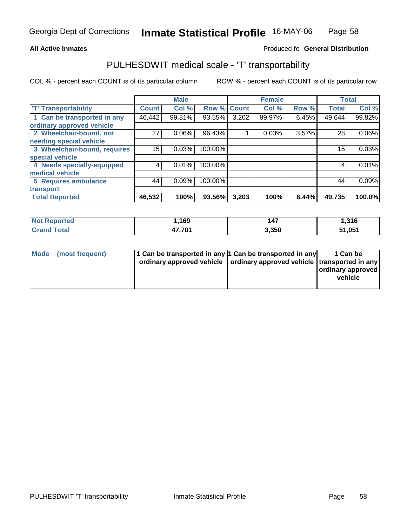#### **Inmate Statistical Profile** 16-MAY-06 Page Page 58

### **All Active Inmates Allowski** Produced fo **General Distribution**

## PULHESDWIT medical scale - 'T' transportability

|                              |              | <b>Male</b> |             |       | <b>Female</b> |       | <b>Total</b> |          |
|------------------------------|--------------|-------------|-------------|-------|---------------|-------|--------------|----------|
| <b>T' Transportability</b>   | <b>Count</b> | Col %       | Row % Count |       | Col %         | Row % | <b>Total</b> | Col %    |
| 1 Can be transported in any  | 46,442       | 99.81%      | 93.55%      | 3,202 | 99.97%        | 6.45% | 49,644       | 99.82%   |
| ordinary approved vehicle    |              |             |             |       |               |       |              |          |
| 2 Wheelchair-bound, not      | 27           | 0.06%       | 96.43%      |       | 0.03%         | 3.57% | 28           | $0.06\%$ |
| needing special vehicle      |              |             |             |       |               |       |              |          |
| 3 Wheelchair-bound, requires | 15           | 0.03%       | 100.00%     |       |               |       | 15           | 0.03%    |
| special vehicle              |              |             |             |       |               |       |              |          |
| 4 Needs specially-equipped   |              | 0.01%       | 100.00%     |       |               |       | 4            | 0.01%    |
| medical vehicle              |              |             |             |       |               |       |              |          |
| 5 Requires ambulance         | 44           | 0.09%       | 100.00%     |       |               |       | 44           | 0.09%    |
| transport                    |              |             |             |       |               |       |              |          |
| <b>Total Reported</b>        | 46,532       | 100%        | 93.56%      | 3,203 | 100%          | 6.44% | 49,735       | 100.0%   |

| <b>Not Reported</b>   | 1,169  | 147   | 1,316  |
|-----------------------|--------|-------|--------|
| ™otal<br><b>Grand</b> | 47,701 | 3,350 | 51,051 |

| Mode (most frequent) | 1 Can be transported in any 1 Can be transported in any<br>ordinary approved vehicle   ordinary approved vehicle   transported in any | 1 Can be<br>ordinary approved<br>vehicle |
|----------------------|---------------------------------------------------------------------------------------------------------------------------------------|------------------------------------------|
|                      |                                                                                                                                       |                                          |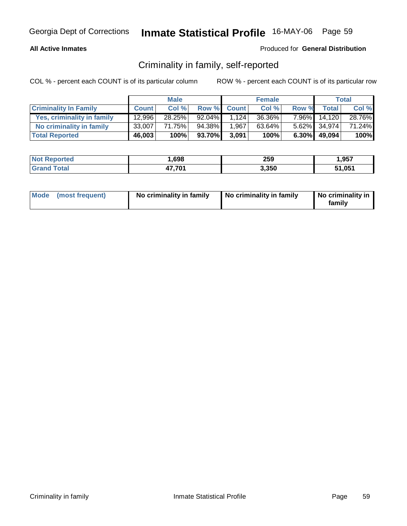### **All Active Inmates**

### Produced for **General Distribution**

## Criminality in family, self-reported

|                              |              | <b>Male</b> |        |             | <b>Female</b> |          |                 | <b>Total</b> |
|------------------------------|--------------|-------------|--------|-------------|---------------|----------|-----------------|--------------|
| <b>Criminality In Family</b> | <b>Count</b> | Col %       |        | Row % Count | Col %         | Row %    | <b>Total</b>    | Col %        |
| Yes, criminality in family   | 12,996       | 28.25%      | 92.04% | 1.124       | 36.36%        | $7.96\%$ | 14.120          | 28.76%       |
| No criminality in family     | 33,007       | 71.75%      | 94.38% | 1,967       | 63.64%        |          | 5.62% 34,974    | 71.24%       |
| <b>Total Reported</b>        | 46,003       | 100%        | 93.70% | 3,091       | 100%          |          | $6.30\%$ 49,094 | 100%         |

| <b>Not Reported</b>     | ,698   | 259   | 957,،  |
|-------------------------|--------|-------|--------|
| <b>Total</b><br>l Grand | 17,701 | 3,350 | 51,051 |

| Mode (most frequent) | No criminality in family | No criminality in family | No criminality in<br>family |
|----------------------|--------------------------|--------------------------|-----------------------------|
|----------------------|--------------------------|--------------------------|-----------------------------|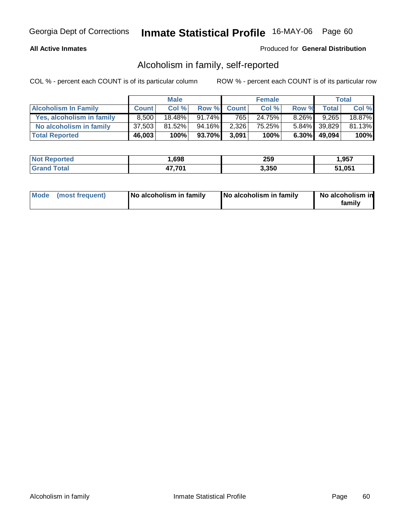### **All Active Inmates**

## Produced for **General Distribution**

## Alcoholism in family, self-reported

|                             |              | <b>Male</b> |           |             | <b>Female</b> |          |                 | Total     |
|-----------------------------|--------------|-------------|-----------|-------------|---------------|----------|-----------------|-----------|
| <b>Alcoholism In Family</b> | <b>Count</b> | Col %       |           | Row % Count | Col %         | Row %    | <b>Total</b>    | Col %     |
| Yes, alcoholism in family   | 8.500        | $18.48\%$   | $91.74\%$ | 765         | 24.75%        | $8.26\%$ | 9.265           | $18.87\%$ |
| No alcoholism in family     | 37,503       | 81.52%      | 94.16%I   | 2,326       | 75.25%        |          | 5.84% 39,829    | 81.13%    |
| <b>Total Reported</b>       | 46,003       | 100%        | 93.70%    | 3,091       | 100%          |          | $6.30\%$ 49,094 | 100%      |

| <b>Not Reported</b> | ,698   | 259   | .957,  |
|---------------------|--------|-------|--------|
| <b>Tota</b>         | 17,701 | 3.350 | 51,051 |

| Mode (most frequent) | No alcoholism in family | No alcoholism in family | No alcoholism in<br>familv |
|----------------------|-------------------------|-------------------------|----------------------------|
|----------------------|-------------------------|-------------------------|----------------------------|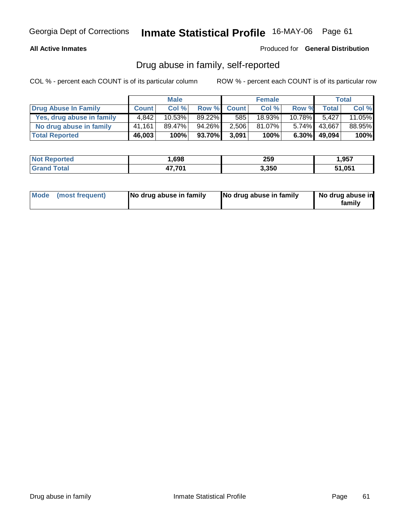## **All Active Inmates**

Produced for **General Distribution**

## Drug abuse in family, self-reported

|                           |              | <b>Male</b> |           |             | <b>Female</b> |           |                    | Total  |
|---------------------------|--------------|-------------|-----------|-------------|---------------|-----------|--------------------|--------|
| Drug Abuse In Family      | <b>Count</b> | Col %       |           | Row % Count | Col %         | Row %     | Total <sub>1</sub> | Col %  |
| Yes, drug abuse in family | 4.842        | 10.53%      | $89.22\%$ | 585         | 18.93%        | $10.78\%$ | 5.427              | 11.05% |
| No drug abuse in family   | 41,161       | 89.47%      | 94.26%    | 2,506       | 81.07%        | $5.74\%$  | 43,667             | 88.95% |
| <b>Total Reported</b>     | 46,003       | 100%        | 93.70%    | 3,091       | 100%          | $6.30\%$  | 49,094             | 100%   |

| <b>Not Reported</b>     | ,698   | 259   | 957,،  |
|-------------------------|--------|-------|--------|
| <b>Total</b><br>l Grand | 17,701 | 3,350 | 51,051 |

| Mode (most frequent)<br>No drug abuse in family | No drug abuse in family | No drug abuse in<br>familv |
|-------------------------------------------------|-------------------------|----------------------------|
|-------------------------------------------------|-------------------------|----------------------------|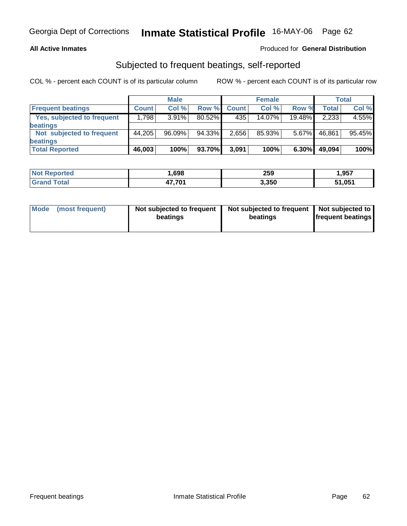### **All Active Inmates**

## Produced for **General Distribution**

## Subjected to frequent beatings, self-reported

|                            |              | <b>Male</b> |           |              | <b>Female</b> |          |              | <b>Total</b> |
|----------------------------|--------------|-------------|-----------|--------------|---------------|----------|--------------|--------------|
| <b>Frequent beatings</b>   | <b>Count</b> | Col%        | Row %     | <b>Count</b> | Col%          | Row %    | <b>Total</b> | Col %        |
| Yes, subjected to frequent | .798         | $3.91\%$    | $80.52\%$ | 435          | 14.07%        | 19.48%   | 2,233        | 4.55%        |
| <b>beatings</b>            |              |             |           |              |               |          |              |              |
| Not subjected to frequent  | 44,205       | 96.09%      | 94.33%    | 2.656        | 85.93%        | $5.67\%$ | 46.861       | 95.45%       |
| beatings                   |              |             |           |              |               |          |              |              |
| <b>Total Reported</b>      | 46,003       | 100%        | 93.70%    | 3,091        | 100%          | 6.30%    | 49,094       | 100%         |

| <b>Not Reported</b>    | 698, ا | 259   | 1,957  |
|------------------------|--------|-------|--------|
| <b>Total</b><br>'Grano | 47,701 | 3,350 | 51,051 |

| Mode            | Not subjected to frequent | Not subjected to frequent | Not subjected to         |
|-----------------|---------------------------|---------------------------|--------------------------|
| (most frequent) | beatings                  | beatings                  | <b>frequent beatings</b> |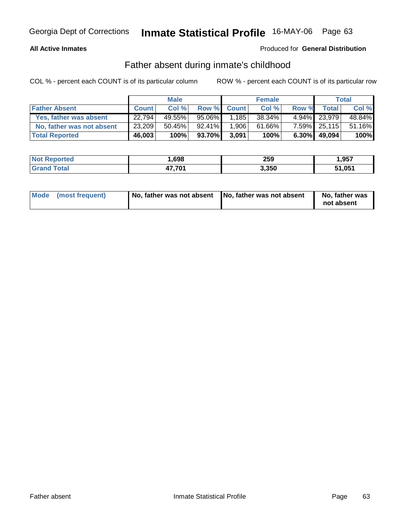## **All Active Inmates**

## Produced for **General Distribution**

## Father absent during inmate's childhood

|                           |              | <b>Male</b> |           |             | <b>Female</b> |          |              | Total  |
|---------------------------|--------------|-------------|-----------|-------------|---------------|----------|--------------|--------|
| <b>Father Absent</b>      | <b>Count</b> | Col %       |           | Row % Count | Col %         | Row %    | Total        | Col %  |
| Yes, father was absent    | 22,794       | 49.55%      | 95.06%I   | 1.185       | $38.34\%$     |          | 4.94% 23,979 | 48.84% |
| No, father was not absent | 23,209       | 50.45%      | $92.41\%$ | 1,906       | 61.66%        |          | 7.59% 25,115 | 51.16% |
| <b>Total Reported</b>     | 46,003       | 100%        | 93.70%    | 3,091       | 100%          | $6.30\%$ | 49.094       | 100%   |

| <b>Not Reported</b> | ,698   | 259   | .957,  |
|---------------------|--------|-------|--------|
| <b>Tota</b>         | 17,701 | 3.350 | 51,051 |

| Mode (most frequent) | No, father was not absent No, father was not absent | No, father was<br>not absent |
|----------------------|-----------------------------------------------------|------------------------------|
|----------------------|-----------------------------------------------------|------------------------------|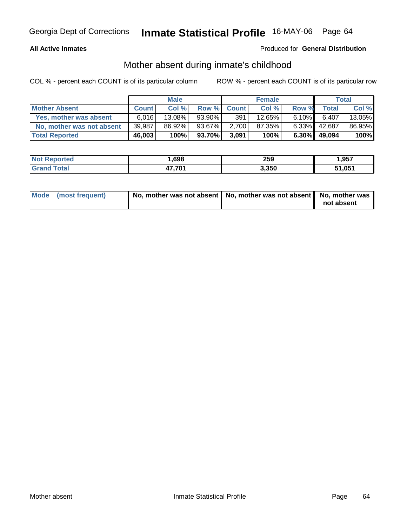## **All Active Inmates**

## Produced for **General Distribution**

## Mother absent during inmate's childhood

|                           |              | <b>Male</b> |           |             | <b>Female</b> |          |        | Total     |
|---------------------------|--------------|-------------|-----------|-------------|---------------|----------|--------|-----------|
| <b>Mother Absent</b>      | <b>Count</b> | Col %       |           | Row % Count | Col %         | Row %    | Total  | Col %     |
| Yes, mother was absent    | 6,016        | $13.08\%$   | $93.90\%$ | 391         | 12.65%        | $6.10\%$ | 6.407  | $13.05\%$ |
| No, mother was not absent | 39,987       | 86.92%      | 93.67%    | 2,700       | 87.35%        | $6.33\%$ | 42,687 | 86.95%    |
| <b>Total Reported</b>     | 46,003       | 100%        | 93.70%    | 3,091       | 100%          | $6.30\%$ | 49.094 | 100%      |

| <b>Not Reported</b> | ,698   | 259   | .957,  |
|---------------------|--------|-------|--------|
| <b>Tota</b>         | 17,701 | 3.350 | 51,051 |

| Mode (most frequent) | No, mother was not absent   No, mother was not absent   No, mother was |            |
|----------------------|------------------------------------------------------------------------|------------|
|                      |                                                                        | not absent |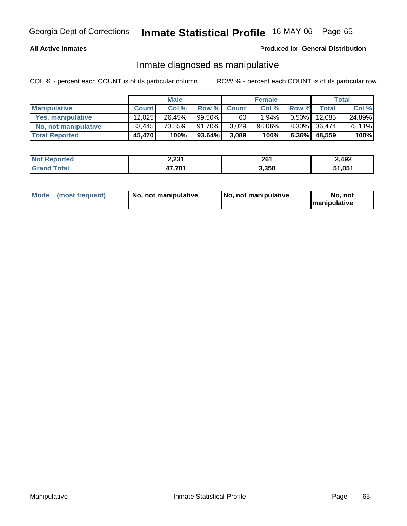### **All Active Inmates**

## Produced for **General Distribution**

## Inmate diagnosed as manipulative

|                       |              | <b>Male</b> |           |              | <b>Female</b> |          |        | Total  |
|-----------------------|--------------|-------------|-----------|--------------|---------------|----------|--------|--------|
| <b>Manipulative</b>   | <b>Count</b> | Col %       |           | Row % Count  | Col %         | Row %    | Total  | Col %  |
| Yes, manipulative     | 12,025       | 26.45%      | $99.50\%$ | $60^{\circ}$ | 1.94%         | $0.50\%$ | 12.085 | 24.89% |
| No, not manipulative  | 33,445       | 73.55%      | 91.70%    | 3,029        | 98.06%        | $8.30\%$ | 36,474 | 75.11% |
| <b>Total Reported</b> | 45,470       | 100%        | 93.64%    | 3,089        | 100%          | $6.36\%$ | 48,559 | 100%   |

| <b>Not Reported</b> | 1 רבי<br>Z,ZJ I | ים מ<br>ZV I | 2,492 |
|---------------------|-----------------|--------------|-------|
| Total<br>l Grand    | ,701<br>.,      | 3,350        | 1,051 |

| Mode | (most frequent) | No. not manipulative | <b>I</b> No. not manipulative | not<br>No<br><b>Imanipulative</b> |
|------|-----------------|----------------------|-------------------------------|-----------------------------------|
|------|-----------------|----------------------|-------------------------------|-----------------------------------|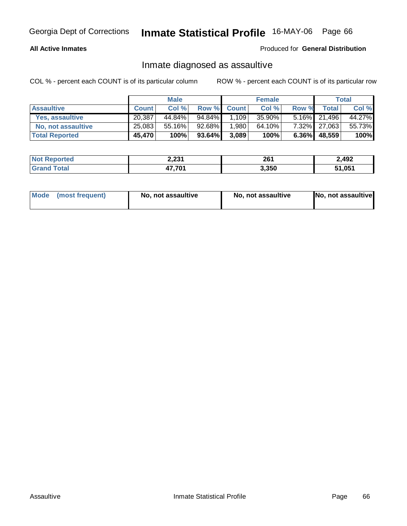## **All Active Inmates**

### Produced for **General Distribution**

## Inmate diagnosed as assaultive

|                       |              | <b>Male</b> |           |             | <b>Female</b> |       |              | Total  |
|-----------------------|--------------|-------------|-----------|-------------|---------------|-------|--------------|--------|
| <b>Assaultive</b>     | <b>Count</b> | Col %       |           | Row % Count | Col %         | Row % | <b>Total</b> | Col %  |
| Yes, assaultive       | 20,387       | 44.84%      | 94.84%    | 1,109       | 35.90%        |       | 5.16% 21,496 | 44.27% |
| No, not assaultive    | 25,083       | 55.16%      | 92.68%    | 1,980       | 64.10%        |       | 7.32% 27,063 | 55.73% |
| <b>Total Reported</b> | 45,470       | 100%        | $93.64\%$ | 3,089       | 100%          |       | 6.36% 48,559 | 100%   |

| <b>Not Reported</b> | 2,231        | 261   | 2,492  |
|---------------------|--------------|-------|--------|
| <b>Srand Total</b>  | 47,701<br>л. | 3,350 | 51.051 |

| Mode (most frequent) |  | No, not assaultive | No, not assaultive | No, not assaultive |
|----------------------|--|--------------------|--------------------|--------------------|
|----------------------|--|--------------------|--------------------|--------------------|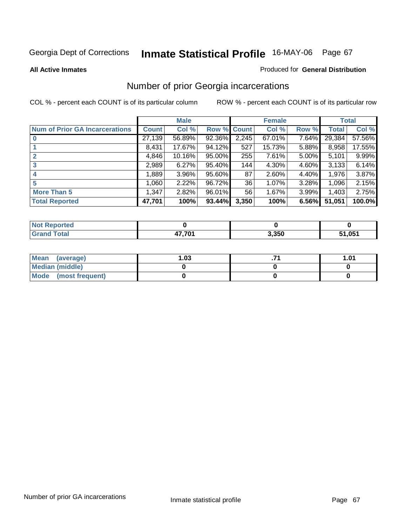### **All Active Inmates**

### Produced for **General Distribution**

## Number of prior Georgia incarcerations

|                                       |         | <b>Male</b> |             |       | <b>Female</b> |       |        | <b>Total</b> |
|---------------------------------------|---------|-------------|-------------|-------|---------------|-------|--------|--------------|
| <b>Num of Prior GA Incarcerations</b> | Count l | Col %       | Row % Count |       | Col %         | Row % | Total  | Col %        |
|                                       | 27,139  | 56.89%      | 92.36%      | 2,245 | 67.01%        | 7.64% | 29,384 | 57.56%       |
|                                       | 8,431   | 17.67%      | 94.12%      | 527   | 15.73%        | 5.88% | 8,958  | 17.55%       |
| $\overline{2}$                        | 4,846   | 10.16%      | 95.00%      | 255   | 7.61%         | 5.00% | 5,101  | 9.99%        |
| 3                                     | 2,989   | 6.27%       | 95.40%      | 144   | 4.30%         | 4.60% | 3,133  | 6.14%        |
| $\boldsymbol{4}$                      | 1,889   | 3.96%       | $95.60\%$   | 87    | 2.60%         | 4.40% | 1,976  | 3.87%        |
| 5                                     | 1,060   | 2.22%       | 96.72%      | 36    | 1.07%         | 3.28% | 1,096  | 2.15%        |
| <b>More Than 5</b>                    | 1,347   | 2.82%       | 96.01%      | 56    | 1.67%         | 3.99% | 1,403  | 2.75%        |
| <b>Total Reported</b>                 | 47,701  | 100%        | 93.44%      | 3,350 | 100%          | 6.56% | 51,051 | 100.0%       |

| N     |        |       |            |
|-------|--------|-------|------------|
| _____ | 17 704 | 3,350 | .051<br>., |

| Mean (average)       | l.O3 | 1.01 |
|----------------------|------|------|
| Median (middle)      |      |      |
| Mode (most frequent) |      |      |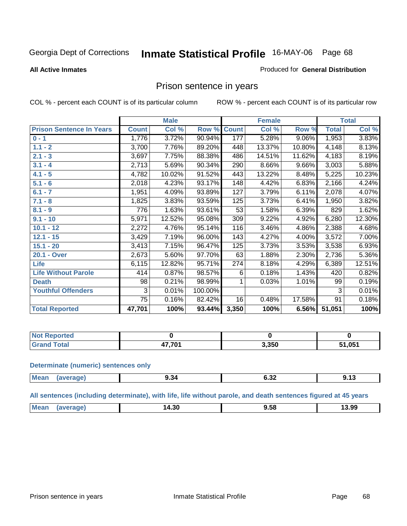### **All Active Inmates**

### Produced for **General Distribution**

## Prison sentence in years

COL % - percent each COUNT is of its particular column ROW % - percent each COUNT is of its particular row

|                                 |              | <b>Male</b> |         |              | <b>Female</b> |          |              | <b>Total</b> |
|---------------------------------|--------------|-------------|---------|--------------|---------------|----------|--------------|--------------|
| <b>Prison Sentence In Years</b> | <b>Count</b> | Col %       | Row %   | <b>Count</b> | Col %         | Row %    | <b>Total</b> | Col %        |
| $0 - 1$                         | 1,776        | 3.72%       | 90.94%  | 177          | 5.28%         | $9.06\%$ | 1,953        | 3.83%        |
| $1.1 - 2$                       | 3,700        | 7.76%       | 89.20%  | 448          | 13.37%        | 10.80%   | 4,148        | 8.13%        |
| $2.1 - 3$                       | 3,697        | 7.75%       | 88.38%  | 486          | 14.51%        | 11.62%   | 4,183        | 8.19%        |
| $3.1 - 4$                       | 2,713        | 5.69%       | 90.34%  | 290          | 8.66%         | 9.66%    | 3,003        | 5.88%        |
| $4.1 - 5$                       | 4,782        | 10.02%      | 91.52%  | 443          | 13.22%        | 8.48%    | 5,225        | 10.23%       |
| $5.1 - 6$                       | 2,018        | 4.23%       | 93.17%  | 148          | 4.42%         | 6.83%    | 2,166        | 4.24%        |
| $6.1 - 7$                       | 1,951        | 4.09%       | 93.89%  | 127          | 3.79%         | 6.11%    | 2,078        | 4.07%        |
| $7.1 - 8$                       | 1,825        | 3.83%       | 93.59%  | 125          | 3.73%         | 6.41%    | 1,950        | 3.82%        |
| $8.1 - 9$                       | 776          | 1.63%       | 93.61%  | 53           | 1.58%         | 6.39%    | 829          | 1.62%        |
| $9.1 - 10$                      | 5,971        | 12.52%      | 95.08%  | 309          | 9.22%         | 4.92%    | 6,280        | 12.30%       |
| $10.1 - 12$                     | 2,272        | 4.76%       | 95.14%  | 116          | 3.46%         | 4.86%    | 2,388        | 4.68%        |
| $12.1 - 15$                     | 3,429        | 7.19%       | 96.00%  | 143          | 4.27%         | 4.00%    | 3,572        | 7.00%        |
| $15.1 - 20$                     | 3,413        | 7.15%       | 96.47%  | 125          | 3.73%         | 3.53%    | 3,538        | 6.93%        |
| 20.1 - Over                     | 2,673        | 5.60%       | 97.70%  | 63           | 1.88%         | 2.30%    | 2,736        | 5.36%        |
| <b>Life</b>                     | 6,115        | 12.82%      | 95.71%  | 274          | 8.18%         | 4.29%    | 6,389        | 12.51%       |
| <b>Life Without Parole</b>      | 414          | 0.87%       | 98.57%  | 6            | 0.18%         | 1.43%    | 420          | 0.82%        |
| <b>Death</b>                    | 98           | 0.21%       | 98.99%  |              | 0.03%         | 1.01%    | 99           | 0.19%        |
| <b>Youthful Offenders</b>       | 3            | 0.01%       | 100.00% |              |               |          | 3            | 0.01%        |
|                                 | 75           | 0.16%       | 82.42%  | 16           | 0.48%         | 17.58%   | 91           | 0.18%        |
| <b>Total Reported</b>           | 47,701       | 100%        | 93.44%  | 3,350        | 100%          | 6.56%    | 51,051       | 100%         |

| enorted     |        |               |        |
|-------------|--------|---------------|--------|
| <b>otal</b> | 17.701 | האמ י<br>ა.ათ | 51,051 |

### **Determinate (numeric) sentences only**

| <b>Mea</b><br>ane≀ | ৬.১৭<br>___ | ∪.∪∠ | .<br>.<br><u></u> |
|--------------------|-------------|------|-------------------|

### **All sentences (including determinate), with life, life without parole, and death sentences figured at 45 years**

| n M<br>14.30<br>____ | Эc<br>. | 3.99<br>____ |
|----------------------|---------|--------------|
|----------------------|---------|--------------|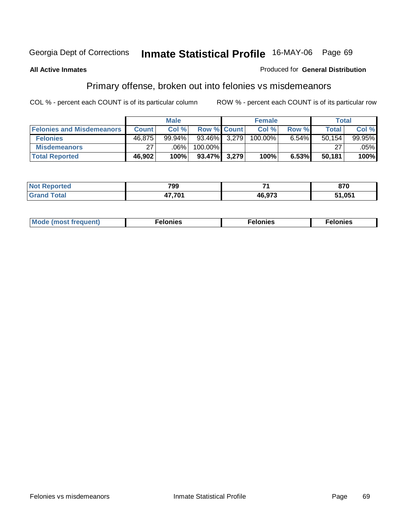### **All Active Inmates**

### Produced for **General Distribution**

## Primary offense, broken out into felonies vs misdemeanors

|                                  |              | <b>Male</b> |                    | <b>Female</b> |       | Total  |           |
|----------------------------------|--------------|-------------|--------------------|---------------|-------|--------|-----------|
| <b>Felonies and Misdemeanors</b> | <b>Count</b> | Col %       | <b>Row % Count</b> | Col %         | Row % | Total  | Col %     |
| <b>Felonies</b>                  | 46,875       | 99.94%      | 93.46% 3,279       | 100.00%       | 6.54% | 50,154 | $99.95\%$ |
| <b>Misdemeanors</b>              | 27           | .06%        | 100.00%            |               |       | 27     | $.05\%$   |
| <b>Total Reported</b>            | 46,902       | 100%        | $93.47\%$ 3,279    | 100%          | 6.53% | 50,181 | 100%      |

| eported<br><b>NOT</b><br>$\cdot$ | 799    | $-$           | 870       |
|----------------------------------|--------|---------------|-----------|
|                                  | $-704$ | <b>46.97?</b> | <b>OF</b> |

| Mod <sub>h</sub><br>reguent)<br>וז זאח | mies<br>еюн | lonies | elonies |
|----------------------------------------|-------------|--------|---------|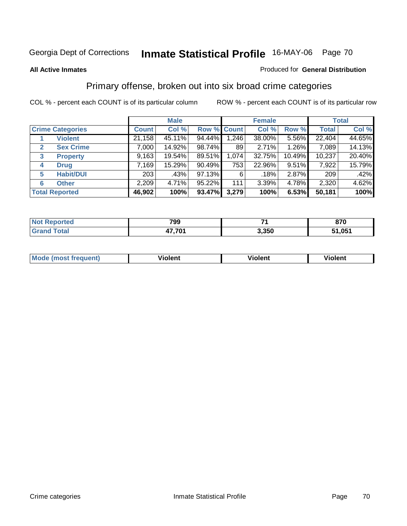### **All Active Inmates**

### Produced for **General Distribution**

## Primary offense, broken out into six broad crime categories

|   |                         |              | <b>Male</b> |             |       | <b>Female</b> |          |              | <b>Total</b> |
|---|-------------------------|--------------|-------------|-------------|-------|---------------|----------|--------------|--------------|
|   | <b>Crime Categories</b> | <b>Count</b> | Col %       | Row % Count |       | Col %         | Row %    | <b>Total</b> | Col %        |
|   | <b>Violent</b>          | 21,158       | 45.11%      | 94.44%      | 1,246 | 38.00%        | $5.56\%$ | 22,404       | 44.65%       |
| 2 | <b>Sex Crime</b>        | 7,000        | 14.92%      | 98.74%      | 89    | 2.71%         | 1.26%    | 7,089        | 14.13%       |
| 3 | <b>Property</b>         | 9,163        | 19.54%      | 89.51%      | 1,074 | 32.75%        | 10.49%   | 10,237       | 20.40%       |
| 4 | <b>Drug</b>             | 7.169        | 15.29%      | $90.49\%$   | 753   | 22.96%        | 9.51%    | 7,922        | 15.79%       |
| 5 | <b>Habit/DUI</b>        | 203          | .43%        | 97.13%      | 6     | .18%          | 2.87%    | 209          | .42%         |
| 6 | <b>Other</b>            | 2,209        | 4.71%       | 95.22%      | 111   | 3.39%         | 4.78%    | 2,320        | 4.62%        |
|   | <b>Total Reported</b>   | 46,902       | 100%        | 93.47%      | 3,279 | 100%          | 6.53%    | 50,181       | 100%         |

| <b>ported</b><br>NO. | 799          | -     | 870  |
|----------------------|--------------|-------|------|
| Гоtal<br>Gr<         | 17.704<br>т, | 3,350 | .051 |

|  | <b>Mou</b> | .<br>Violent | <br>iolent | งlent |
|--|------------|--------------|------------|-------|
|--|------------|--------------|------------|-------|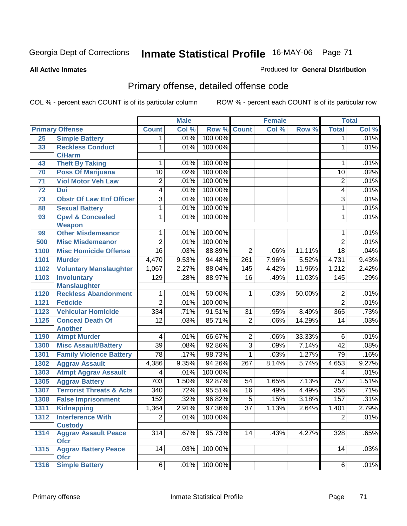**All Active Inmates**

### Produced for **General Distribution**

## Primary offense, detailed offense code

|                 |                                            |                  | <b>Male</b> |            |                 | <b>Female</b> |        |                  | <b>Total</b> |
|-----------------|--------------------------------------------|------------------|-------------|------------|-----------------|---------------|--------|------------------|--------------|
|                 | <b>Primary Offense</b>                     | <b>Count</b>     | Col %       | Row %      | <b>Count</b>    | Col %         | Row %  | <b>Total</b>     | Col %        |
| 25              | <b>Simple Battery</b>                      | 1                | .01%        | 100.00%    |                 |               |        | 1                | .01%         |
| 33              | <b>Reckless Conduct</b>                    | 1                | .01%        | 100.00%    |                 |               |        | 1                | .01%         |
|                 | <b>C/Harm</b>                              |                  |             |            |                 |               |        |                  |              |
| 43              | <b>Theft By Taking</b>                     | 1                | .01%        | 100.00%    |                 |               |        | 1                | .01%         |
| 70              | <b>Poss Of Marijuana</b>                   | 10               | .02%        | 100.00%    |                 |               |        | 10               | .02%         |
| 71              | <b>Viol Motor Veh Law</b>                  | 2                | .01%        | 100.00%    |                 |               |        | $\overline{2}$   | .01%         |
| $\overline{72}$ | <b>Dui</b>                                 | $\overline{4}$   | .01%        | 100.00%    |                 |               |        | 4                | .01%         |
| 73              | <b>Obstr Of Law Enf Officer</b>            | $\overline{3}$   | .01%        | 100.00%    |                 |               |        | 3                | .01%         |
| 88              | <b>Sexual Battery</b>                      | 1                | .01%        | 100.00%    |                 |               |        | 1                | .01%         |
| 93              | <b>Cpwl &amp; Concealed</b>                | 1                | .01%        | 100.00%    |                 |               |        | 1                | .01%         |
|                 | Weapon                                     |                  |             |            |                 |               |        |                  |              |
| 99              | <b>Other Misdemeanor</b>                   | 1                | .01%        | 100.00%    |                 |               |        | 1                | .01%         |
| 500             | <b>Misc Misdemeanor</b>                    | $\overline{2}$   | .01%        | 100.00%    |                 |               |        | $\overline{2}$   | .01%         |
| 1100            | <b>Misc Homicide Offense</b>               | 16               | .03%        | 88.89%     | $\overline{2}$  | .06%          | 11.11% | $\overline{18}$  | .04%         |
| 1101            | <b>Murder</b>                              | 4,470            | 9.53%       | 94.48%     | 261             | 7.96%         | 5.52%  | 4,731            | 9.43%        |
| 1102            | <b>Voluntary Manslaughter</b>              | 1,067            | 2.27%       | 88.04%     | 145             | 4.42%         | 11.96% | 1,212            | 2.42%        |
| 1103            | <b>Involuntary</b>                         | 129              | .28%        | 88.97%     | $\overline{16}$ | .49%          | 11.03% | $\overline{145}$ | .29%         |
|                 | <b>Manslaughter</b>                        |                  |             |            |                 |               |        |                  |              |
| 1120            | <b>Reckless Abandonment</b>                | 1                | .01%        | 50.00%     | $\mathbf{1}$    | .03%          | 50.00% | $\overline{2}$   | .01%         |
| 1121            | <b>Feticide</b>                            | $\overline{2}$   | .01%        | 100.00%    |                 |               |        | $\overline{2}$   | .01%         |
| 1123            | <b>Vehicular Homicide</b>                  | 334              | .71%        | 91.51%     | $\overline{31}$ | .95%          | 8.49%  | 365              | .73%         |
| 1125            | <b>Conceal Death Of</b>                    | $\overline{12}$  | .03%        | 85.71%     | $\overline{2}$  | .06%          | 14.29% | 14               | .03%         |
|                 | <b>Another</b>                             |                  |             |            |                 |               |        |                  |              |
| 1190            | <b>Atmpt Murder</b>                        | 4                | .01%        | 66.67%     | $\overline{2}$  | .06%          | 33.33% | 6                | .01%         |
| 1300            | <b>Misc Assault/Battery</b>                | $\overline{39}$  | .08%        | 92.86%     | $\overline{3}$  | .09%          | 7.14%  | $\overline{42}$  | .08%         |
| 1301            | <b>Family Violence Battery</b>             | $\overline{78}$  | .17%        | 98.73%     | 1               | .03%          | 1.27%  | 79               | .16%         |
| 1302            | <b>Aggrav Assault</b>                      | 4,386            | 9.35%       | 94.26%     | 267             | 8.14%         | 5.74%  | 4,653            | 9.27%        |
| 1303            | <b>Atmpt Aggrav Assault</b>                | 4                | .01%        | 100.00%    |                 |               |        | 4                | .01%         |
| 1305            | <b>Aggrav Battery</b>                      | $\overline{703}$ | 1.50%       | 92.87%     | 54              | 1.65%         | 7.13%  | 757              | 1.51%        |
| 1307            | <b>Terrorist Threats &amp; Acts</b>        | $\overline{340}$ | .72%        | 95.51%     | $\overline{16}$ | .49%          | 4.49%  | 356              | .71%         |
| 1308            | <b>False Imprisonment</b>                  | 152              | .32%        | 96.82%     | $\overline{5}$  | .15%          | 3.18%  | 157              | .31%         |
| 1311            | <b>Kidnapping</b>                          | 1,364            | 2.91%       | 97.36%     | $\overline{37}$ | 1.13%         | 2.64%  | 1,401            | 2.79%        |
| 1312            | <b>Interference With</b>                   | $\overline{2}$   | .01%        | $100.00\%$ |                 |               |        | $\overline{2}$   | .01%         |
|                 | <b>Custody</b>                             |                  |             |            |                 |               |        |                  |              |
| 1314            | <b>Aggrav Assault Peace</b>                | $\overline{314}$ | .67%        | 95.73%     | 14              | .43%          | 4.27%  | 328              | .65%         |
|                 | <b>Ofcr</b>                                |                  |             |            |                 |               |        |                  |              |
| 1315            | <b>Aggrav Battery Peace</b><br><b>Ofcr</b> | 14               | .03%        | 100.00%    |                 |               |        | 14               | .03%         |
| 1316            | <b>Simple Battery</b>                      | $6\vert$         | .01%        | 100.00%    |                 |               |        | 6                | .01%         |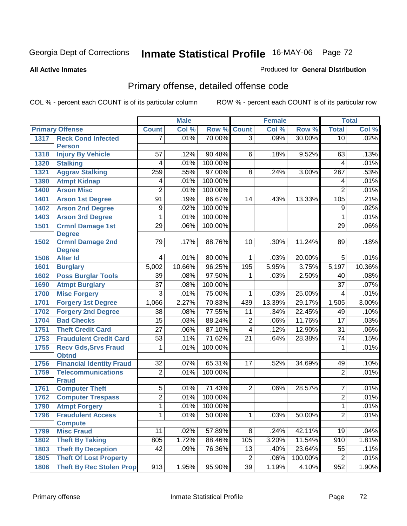### **All Active Inmates**

### Produced for **General Distribution**

## Primary offense, detailed offense code

|      |                                             |                 | <b>Male</b> |         |                 | <b>Female</b> |         |                 | <b>Total</b> |
|------|---------------------------------------------|-----------------|-------------|---------|-----------------|---------------|---------|-----------------|--------------|
|      | <b>Primary Offense</b>                      | <b>Count</b>    | Col %       | Row %   | <b>Count</b>    | Col %         | Row %   | <b>Total</b>    | Col %        |
| 1317 | <b>Reck Cond Infected</b>                   | 7               | .01%        | 70.00%  | $\overline{3}$  | .09%          | 30.00%  | $\overline{10}$ | .02%         |
|      | <b>Person</b>                               |                 |             |         |                 |               |         |                 |              |
| 1318 | <b>Injury By Vehicle</b>                    | 57              | .12%        | 90.48%  | 6               | .18%          | 9.52%   | 63              | .13%         |
| 1320 | <b>Stalking</b>                             | 4               | .01%        | 100.00% |                 |               |         | 4               | .01%         |
| 1321 | <b>Aggrav Stalking</b>                      | 259             | .55%        | 97.00%  | 8               | .24%          | 3.00%   | 267             | .53%         |
| 1390 | <b>Atmpt Kidnap</b>                         | 4               | .01%        | 100.00% |                 |               |         | 4               | .01%         |
| 1400 | <b>Arson Misc</b>                           | $\overline{2}$  | .01%        | 100.00% |                 |               |         | $\overline{2}$  | .01%         |
| 1401 | <b>Arson 1st Degree</b>                     | $\overline{91}$ | .19%        | 86.67%  | 14              | .43%          | 13.33%  | 105             | .21%         |
| 1402 | <b>Arson 2nd Degree</b>                     | 9               | .02%        | 100.00% |                 |               |         | $\overline{9}$  | .02%         |
| 1403 | <b>Arson 3rd Degree</b>                     | 1               | .01%        | 100.00% |                 |               |         | 1               | .01%         |
| 1501 | <b>Crmnl Damage 1st</b>                     | $\overline{29}$ | .06%        | 100.00% |                 |               |         | 29              | .06%         |
|      | <b>Degree</b>                               |                 |             |         |                 |               |         |                 |              |
| 1502 | <b>Crmnl Damage 2nd</b>                     | 79              | .17%        | 88.76%  | 10              | .30%          | 11.24%  | 89              | .18%         |
|      | <b>Degree</b>                               |                 |             |         | 1               |               |         |                 |              |
| 1506 | <b>Alter Id</b>                             | 4               | .01%        | 80.00%  |                 | .03%          | 20.00%  | 5               | .01%         |
| 1601 | <b>Burglary</b>                             | 5,002           | 10.66%      | 96.25%  | 195             | 5.95%         | 3.75%   | 5,197           | 10.36%       |
| 1602 | <b>Poss Burglar Tools</b>                   | 39              | .08%        | 97.50%  | 1               | .03%          | 2.50%   | 40              | .08%         |
| 1690 | <b>Atmpt Burglary</b>                       | $\overline{37}$ | .08%        | 100.00% |                 |               |         | $\overline{37}$ | .07%         |
| 1700 | <b>Misc Forgery</b>                         | $\overline{3}$  | .01%        | 75.00%  | 1               | .03%          | 25.00%  | $\overline{4}$  | .01%         |
| 1701 | <b>Forgery 1st Degree</b>                   | 1,066           | 2.27%       | 70.83%  | 439             | 13.39%        | 29.17%  | 1,505           | 3.00%        |
| 1702 | <b>Forgery 2nd Degree</b>                   | 38              | .08%        | 77.55%  | 11              | .34%          | 22.45%  | 49              | .10%         |
| 1704 | <b>Bad Checks</b>                           | $\overline{15}$ | .03%        | 88.24%  | $\overline{2}$  | .06%          | 11.76%  | 17              | .03%         |
| 1751 | <b>Theft Credit Card</b>                    | $\overline{27}$ | .06%        | 87.10%  | 4               | .12%          | 12.90%  | $\overline{31}$ | .06%         |
| 1753 | <b>Fraudulent Credit Card</b>               | $\overline{53}$ | .11%        | 71.62%  | $\overline{21}$ | .64%          | 28.38%  | 74              | .15%         |
| 1755 | <b>Recv Gds, Srvs Fraud</b><br><b>Obtnd</b> | 1               | .01%        | 100.00% |                 |               |         | 1               | .01%         |
| 1756 | <b>Financial Identity Fraud</b>             | $\overline{32}$ | .07%        | 65.31%  | 17              | .52%          | 34.69%  | 49              | .10%         |
| 1759 | <b>Telecommunications</b>                   | $\overline{2}$  | .01%        | 100.00% |                 |               |         | $\overline{2}$  | .01%         |
|      | <b>Fraud</b>                                |                 |             |         |                 |               |         |                 |              |
| 1761 | <b>Computer Theft</b>                       | 5               | .01%        | 71.43%  | $\overline{2}$  | .06%          | 28.57%  | $\overline{7}$  | .01%         |
| 1762 | <b>Computer Trespass</b>                    | $\overline{2}$  | .01%        | 100.00% |                 |               |         | $\overline{2}$  | .01%         |
| 1790 | <b>Atmpt Forgery</b>                        | 1               | .01%        | 100.00% |                 |               |         | 1               | .01%         |
| 1796 | <b>Fraudulent Access</b>                    | 1               | .01%        | 50.00%  | 1               | .03%          | 50.00%  | $\overline{2}$  | .01%         |
|      | <b>Compute</b>                              |                 |             |         |                 |               |         |                 |              |
| 1799 | <b>Misc Fraud</b>                           | 11              | .02%        | 57.89%  | $\overline{8}$  | .24%          | 42.11%  | 19              | .04%         |
| 1802 | <b>Theft By Taking</b>                      | 805             | 1.72%       | 88.46%  | 105             | 3.20%         | 11.54%  | 910             | 1.81%        |
| 1803 | <b>Theft By Deception</b>                   | 42              | .09%        | 76.36%  | 13              | .40%          | 23.64%  | 55              | .11%         |
| 1805 | <b>Theft Of Lost Property</b>               |                 |             |         | $\overline{2}$  | .06%          | 100.00% | $\overline{2}$  | .01%         |
| 1806 | <b>Theft By Rec Stolen Prop</b>             | 913             | 1.95%       | 95.90%  | $\overline{39}$ | 1.19%         | 4.10%   | 952             | 1.90%        |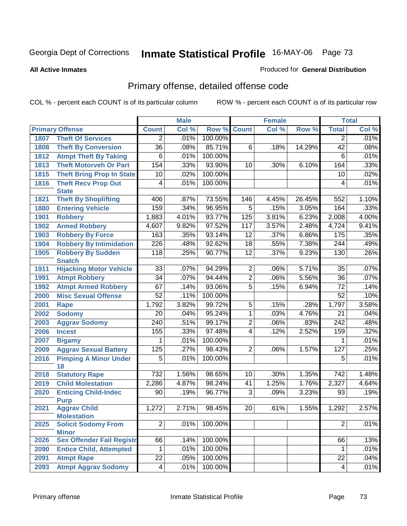### **All Active Inmates**

### Produced for **General Distribution**

## Primary offense, detailed offense code

|      |                                            |                  | <b>Male</b> |         |                 | <b>Female</b> |                |                  | <b>Total</b> |
|------|--------------------------------------------|------------------|-------------|---------|-----------------|---------------|----------------|------------------|--------------|
|      | <b>Primary Offense</b>                     | <b>Count</b>     | Col %       | Row %   | <b>Count</b>    | Col %         | Row %          | <b>Total</b>     | Col %        |
| 1807 | <b>Theft Of Services</b>                   | 2                | .01%        | 100.00% |                 |               |                | $\overline{2}$   | .01%         |
| 1808 | <b>Theft By Conversion</b>                 | $\overline{36}$  | .08%        | 85.71%  | 6               | .18%          | 14.29%         | $\overline{42}$  | .08%         |
| 1812 | <b>Atmpt Theft By Taking</b>               | 6                | .01%        | 100.00% |                 |               |                | 6                | .01%         |
| 1813 | <b>Theft Motorveh Or Part</b>              | 154              | .33%        | 93.90%  | 10              | .30%          | 6.10%          | 164              | .33%         |
| 1815 | <b>Theft Bring Prop In State</b>           | 10               | .02%        | 100.00% |                 |               |                | 10               | .02%         |
| 1816 | <b>Theft Recv Prop Out</b>                 | 4                | .01%        | 100.00% |                 |               |                | 4                | .01%         |
|      | <b>State</b>                               |                  |             |         |                 |               |                |                  |              |
| 1821 | <b>Theft By Shoplifting</b>                | 406              | .87%        | 73.55%  | 146             | 4.45%         | 26.45%         | 552              | 1.10%        |
| 1880 | <b>Entering Vehicle</b>                    | 159              | .34%        | 96.95%  | $\overline{5}$  | .15%          | 3.05%          | 164              | .33%         |
| 1901 | <b>Robbery</b>                             | 1,883            | 4.01%       | 93.77%  | 125             | 3.81%         | 6.23%          | 2,008            | 4.00%        |
| 1902 | <b>Armed Robbery</b>                       | 4,607            | 9.82%       | 97.52%  | 117             | 3.57%         | 2.48%          | 4,724            | 9.41%        |
| 1903 | <b>Robbery By Force</b>                    | 163              | .35%        | 93.14%  | 12              | .37%          | 6.86%          | 175              | .35%         |
| 1904 | <b>Robbery By Intimidation</b>             | 226              | .48%        | 92.62%  | $\overline{18}$ | .55%          | 7.38%          | 244              | .49%         |
| 1905 | <b>Robbery By Sudden</b>                   | 118              | .25%        | 90.77%  | $\overline{12}$ | .37%          | 9.23%          | 130              | .26%         |
|      | <b>Snatch</b>                              |                  |             |         |                 |               |                |                  |              |
| 1911 | <b>Hijacking Motor Vehicle</b>             | $\overline{33}$  | .07%        | 94.29%  | $\overline{2}$  | .06%          | 5.71%<br>5.56% | 35               | .07%         |
| 1991 | <b>Atmpt Robbery</b>                       | $\overline{34}$  | .07%        | 94.44%  | $\overline{2}$  | .06%          |                | $\overline{36}$  | .07%         |
| 1992 | <b>Atmpt Armed Robbery</b>                 | 67               | .14%        | 93.06%  | $\overline{5}$  | .15%          | 6.94%          | $\overline{72}$  | .14%         |
| 2000 | <b>Misc Sexual Offense</b>                 | 52               | .11%        | 100.00% |                 |               |                | $\overline{52}$  | .10%         |
| 2001 | <b>Rape</b>                                | 1,792            | 3.82%       | 99.72%  | 5               | .15%          | .28%           | 1,797            | 3.58%        |
| 2002 | <b>Sodomy</b>                              | $\overline{20}$  | .04%        | 95.24%  | 1               | .03%          | 4.76%          | $\overline{21}$  | .04%         |
| 2003 | <b>Aggrav Sodomy</b>                       | $\overline{240}$ | .51%        | 99.17%  | $\overline{2}$  | .06%          | .83%           | $\overline{242}$ | .48%         |
| 2006 | <b>Incest</b>                              | 155              | .33%        | 97.48%  | 4               | .12%          | 2.52%          | 159              | .32%         |
| 2007 | <b>Bigamy</b>                              | 1                | .01%        | 100.00% |                 |               |                | 1                | .01%         |
| 2009 | <b>Aggrav Sexual Battery</b>               | 125              | .27%        | 98.43%  | $\overline{2}$  | .06%          | 1.57%          | 127              | .25%         |
| 2016 | <b>Pimping A Minor Under</b><br>18         | 5                | .01%        | 100.00% |                 |               |                | 5                | .01%         |
| 2018 | <b>Statutory Rape</b>                      | 732              | 1.56%       | 98.65%  | 10              | .30%          | 1.35%          | $\overline{742}$ | 1.48%        |
| 2019 | <b>Child Molestation</b>                   | 2,286            | 4.87%       | 98.24%  | 41              | 1.25%         | 1.76%          | 2,327            | 4.64%        |
| 2020 | <b>Enticing Child-Indec</b><br><b>Purp</b> | 90               | .19%        | 96.77%  | $\overline{3}$  | .09%          | 3.23%          | 93               | .19%         |
| 2021 | <b>Aggrav Child</b><br><b>Molestation</b>  | 1,272            | 2.71%       | 98.45%  | $\overline{20}$ | .61%          | 1.55%          | 1,292            | 2.57%        |
| 2025 | <b>Solicit Sodomy From</b><br><b>Minor</b> | $\overline{2}$   | .01%        | 100.00% |                 |               |                | $\overline{2}$   | .01%         |
| 2026 | <b>Sex Offender Fail Registr</b>           | 66               | .14%        | 100.00% |                 |               |                | 66               | .13%         |
| 2090 | <b>Entice Child, Attempted</b>             | 1                | .01%        | 100.00% |                 |               |                | $\mathbf 1$      | .01%         |
| 2091 | <b>Atmpt Rape</b>                          | $\overline{22}$  | .05%        | 100.00% |                 |               |                | $\overline{22}$  | .04%         |
| 2093 | <b>Atmpt Aggrav Sodomy</b>                 | $\overline{4}$   | .01%        | 100.00% |                 |               |                | 4                | .01%         |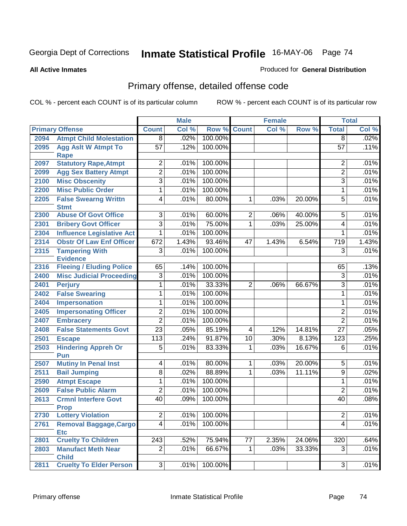#### **All Active Inmates**

#### Produced for **General Distribution**

# Primary offense, detailed offense code

|      |                                            |                  | <b>Male</b> |                    |                | <b>Female</b> |        |                  | <b>Total</b> |
|------|--------------------------------------------|------------------|-------------|--------------------|----------------|---------------|--------|------------------|--------------|
|      | <b>Primary Offense</b>                     | <b>Count</b>     | Col %       | <b>Row % Count</b> |                | Col %         | Row %  | <b>Total</b>     | Col %        |
| 2094 | <b>Atmpt Child Molestation</b>             | $\overline{8}$   | .02%        | 100.00%            |                |               |        | $\overline{8}$   | .02%         |
| 2095 | <b>Agg Aslt W Atmpt To</b><br><b>Rape</b>  | $\overline{57}$  | .12%        | 100.00%            |                |               |        | $\overline{57}$  | .11%         |
| 2097 | <b>Statutory Rape, Atmpt</b>               | $\overline{2}$   | .01%        | 100.00%            |                |               |        | $\overline{2}$   | .01%         |
| 2099 | <b>Agg Sex Battery Atmpt</b>               | $\overline{2}$   | .01%        | 100.00%            |                |               |        | $\overline{2}$   | .01%         |
| 2100 | <b>Misc Obscenity</b>                      | 3                | .01%        | 100.00%            |                |               |        | 3                | .01%         |
| 2200 | <b>Misc Public Order</b>                   | 1                | .01%        | 100.00%            |                |               |        | $\mathbf{1}$     | .01%         |
| 2205 | <b>False Swearng Writtn</b><br><b>Stmt</b> | 4                | .01%        | 80.00%             | 1              | .03%          | 20.00% | $\overline{5}$   | .01%         |
| 2300 | <b>Abuse Of Govt Office</b>                | $\overline{3}$   | .01%        | 60.00%             | $\overline{2}$ | .06%          | 40.00% | $\overline{5}$   | .01%         |
| 2301 | <b>Bribery Govt Officer</b>                | $\overline{3}$   | .01%        | 75.00%             | 1              | .03%          | 25.00% | $\overline{4}$   | .01%         |
| 2304 | <b>Influence Legislative Act</b>           | 1                | .01%        | 100.00%            |                |               |        | 1                | .01%         |
| 2314 | <b>Obstr Of Law Enf Officer</b>            | 672              | 1.43%       | 93.46%             | 47             | 1.43%         | 6.54%  | $\overline{719}$ | 1.43%        |
| 2315 | <b>Tampering With</b><br><b>Evidence</b>   | $\overline{3}$   | .01%        | 100.00%            |                |               |        | 3                | .01%         |
| 2316 | <b>Fleeing / Eluding Police</b>            | 65               | .14%        | 100.00%            |                |               |        | 65               | .13%         |
| 2400 | <b>Misc Judicial Proceeding</b>            | $\overline{3}$   | .01%        | 100.00%            |                |               |        | $\overline{3}$   | .01%         |
| 2401 | <b>Perjury</b>                             | 1                | .01%        | 33.33%             | $\overline{2}$ | .06%          | 66.67% | $\overline{3}$   | .01%         |
| 2402 | <b>False Swearing</b>                      | 1                | .01%        | 100.00%            |                |               |        | $\mathbf{1}$     | .01%         |
| 2404 | <b>Impersonation</b>                       | 1                | .01%        | 100.00%            |                |               |        | 1                | .01%         |
| 2405 | <b>Impersonating Officer</b>               | $\overline{2}$   | .01%        | 100.00%            |                |               |        | $\overline{2}$   | .01%         |
| 2407 | <b>Embracery</b>                           | $\overline{2}$   | .01%        | 100.00%            |                |               |        | $\overline{2}$   | .01%         |
| 2408 | <b>False Statements Govt</b>               | $\overline{23}$  | .05%        | 85.19%             | 4              | .12%          | 14.81% | $\overline{27}$  | .05%         |
| 2501 | <b>Escape</b>                              | $\overline{113}$ | .24%        | 91.87%             | 10             | .30%          | 8.13%  | $\overline{123}$ | .25%         |
| 2503 | <b>Hindering Appreh Or</b><br>Pun          | 5                | .01%        | 83.33%             | 1              | .03%          | 16.67% | $\overline{6}$   | .01%         |
| 2507 | <b>Mutiny In Penal Inst</b>                | 4                | .01%        | 80.00%             | 1              | .03%          | 20.00% | $\overline{5}$   | .01%         |
| 2511 | <b>Bail Jumping</b>                        | $\overline{8}$   | .02%        | 88.89%             | 1              | .03%          | 11.11% | 9                | .02%         |
| 2590 | <b>Atmpt Escape</b>                        | 1                | .01%        | 100.00%            |                |               |        | $\mathbf{1}$     | .01%         |
| 2609 | <b>False Public Alarm</b>                  | $\overline{2}$   | .01%        | 100.00%            |                |               |        | $\overline{2}$   | .01%         |
| 2613 | <b>Crmnl Interfere Govt</b><br><b>Prop</b> | $\overline{40}$  | .09%        | 100.00%            |                |               |        | $\overline{40}$  | .08%         |
| 2730 | <b>Lottery Violation</b>                   | $\overline{2}$   | $.01\%$     | 100.00%            |                |               |        | $\overline{2}$   | .01%         |
| 2761 | <b>Removal Baggage, Cargo</b>              | $\overline{4}$   | .01%        | 100.00%            |                |               |        | $\overline{4}$   | .01%         |
|      | <b>Etc</b>                                 |                  |             |                    |                |               |        |                  |              |
| 2801 | <b>Cruelty To Children</b>                 | 243              | .52%        | 75.94%             | 77             | 2.35%         | 24.06% | $\overline{320}$ | .64%         |
| 2803 | <b>Manufact Meth Near</b><br><b>Child</b>  | $\overline{2}$   | .01%        | 66.67%             | 1              | .03%          | 33.33% | $\overline{3}$   | .01%         |
| 2811 | <b>Cruelty To Elder Person</b>             | $\overline{3}$   | .01%        | 100.00%            |                |               |        | $\overline{3}$   | .01%         |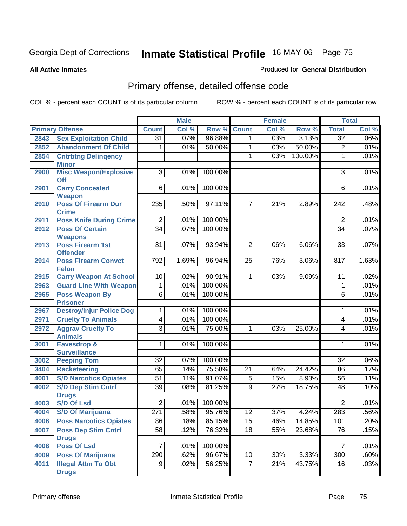#### **All Active Inmates**

### Produced for **General Distribution**

# Primary offense, detailed offense code

|      |                                          |                 | <b>Male</b> |                   |                | <b>Female</b> |         |                         | <b>Total</b> |
|------|------------------------------------------|-----------------|-------------|-------------------|----------------|---------------|---------|-------------------------|--------------|
|      | <b>Primary Offense</b>                   | <b>Count</b>    | Col %       | Row %             | <b>Count</b>   | Col %         | Row %   | <b>Total</b>            | Col %        |
| 2843 | <b>Sex Exploitation Child</b>            | $\overline{31}$ | .07%        | 96.88%            | 1.             | .03%          | 3.13%   | $\overline{32}$         | .06%         |
| 2852 | <b>Abandonment Of Child</b>              | 1               | .01%        | 50.00%            | 1              | .03%          | 50.00%  | $\overline{2}$          | .01%         |
| 2854 | <b>Cntrbtng Delingency</b>               |                 |             |                   | 1              | .03%          | 100.00% | $\overline{1}$          | .01%         |
|      | <b>Minor</b>                             |                 |             |                   |                |               |         |                         |              |
| 2900 | <b>Misc Weapon/Explosive</b>             | $\overline{3}$  | .01%        | 100.00%           |                |               |         | $\overline{3}$          | .01%         |
|      | <b>Off</b>                               |                 |             |                   |                |               |         |                         |              |
| 2901 | <b>Carry Concealed</b><br><b>Weapon</b>  | $\overline{6}$  | .01%        | 100.00%           |                |               |         | 6                       | .01%         |
| 2910 | <b>Poss Of Firearm Dur</b>               | 235             | .50%        | 97.11%            | 7              | .21%          | 2.89%   | 242                     | .48%         |
|      | <b>Crime</b>                             |                 |             |                   |                |               |         |                         |              |
| 2911 | <b>Poss Knife During Crime</b>           | $\overline{2}$  | .01%        | 100.00%           |                |               |         | $\overline{2}$          | .01%         |
| 2912 | <b>Poss Of Certain</b>                   | $\overline{34}$ | .07%        | 100.00%           |                |               |         | $\overline{34}$         | .07%         |
|      | <b>Weapons</b>                           |                 |             |                   |                |               |         |                         |              |
| 2913 | <b>Poss Firearm 1st</b>                  | $\overline{31}$ | .07%        | 93.94%            | $\overline{2}$ | .06%          | 6.06%   | 33                      | .07%         |
|      | <b>Offender</b>                          |                 |             |                   |                |               |         |                         |              |
| 2914 | <b>Poss Firearm Convct</b>               | 792             | 1.69%       | 96.94%            | 25             | .76%          | 3.06%   | 817                     | 1.63%        |
|      | <b>Felon</b>                             |                 |             |                   |                |               |         |                         |              |
| 2915 | <b>Carry Weapon At School</b>            | 10              | .02%        | 90.91%<br>100.00% | 1              | .03%          | 9.09%   | 11                      | .02%         |
| 2963 | <b>Guard Line With Weapon</b>            | $\mathbf{1}$    | .01%        |                   |                |               |         | $\mathbf{1}$            | .01%         |
| 2965 | <b>Poss Weapon By</b><br><b>Prisoner</b> | $6\overline{6}$ | .01%        | 100.00%           |                |               |         | 6                       | .01%         |
| 2967 | <b>Destroy/Injur Police Dog</b>          | 1               | .01%        | 100.00%           |                |               |         | 1                       | .01%         |
| 2971 | <b>Cruelty To Animals</b>                | 4               | .01%        | 100.00%           |                |               |         | $\overline{\mathbf{4}}$ | .01%         |
| 2972 | <b>Aggrav Cruelty To</b>                 | $\overline{3}$  | .01%        | 75.00%            | 1              | .03%          | 25.00%  | 4                       | .01%         |
|      | <b>Animals</b>                           |                 |             |                   |                |               |         |                         |              |
| 3001 | <b>Eavesdrop &amp;</b>                   | 1               | .01%        | 100.00%           |                |               |         | 1                       | .01%         |
|      | <b>Surveillance</b>                      |                 |             |                   |                |               |         |                         |              |
| 3002 | <b>Peeping Tom</b>                       | 32              | .07%        | 100.00%           |                |               |         | 32                      | .06%         |
| 3404 | <b>Racketeering</b>                      | 65              | .14%        | 75.58%            | 21             | .64%          | 24.42%  | 86                      | .17%         |
| 4001 | <b>S/D Narcotics Opiates</b>             | 51              | .11%        | 91.07%            | 5              | .15%          | 8.93%   | 56                      | .11%         |
| 4002 | <b>S/D Dep Stim Cntrf</b>                | 39              | .08%        | 81.25%            | 9              | .27%          | 18.75%  | 48                      | .10%         |
|      | <b>Drugs</b>                             |                 |             |                   |                |               |         |                         |              |
| 4003 | <b>S/D Of Lsd</b>                        | $\overline{2}$  | .01%        | 100.00%           |                |               |         | $\overline{2}$          | .01%         |
| 4004 | <b>S/D Of Marijuana</b>                  | 271             | .58%        | 95.76%            | 12             | .37%          | 4.24%   | 283                     | .56%         |
| 4006 | <b>Poss Narcotics Opiates</b>            | 86              | .18%        | 85.15%            | 15             | .46%          | 14.85%  | 101                     | .20%         |
| 4007 | <b>Poss Dep Stim Cntrf</b>               | 58              | .12%        | 76.32%            | 18             | .55%          | 23.68%  | 76                      | .15%         |
|      | <b>Drugs</b>                             |                 |             |                   |                |               |         |                         |              |
| 4008 | Poss Of Lsd                              | 7               | .01%        | 100.00%           |                |               |         | $\overline{7}$          | .01%         |
| 4009 | <b>Poss Of Marijuana</b>                 | 290             | .62%        | 96.67%            | 10             | .30%          | 3.33%   | 300                     | .60%         |
| 4011 | <b>Illegal Attm To Obt</b>               | 9               | .02%        | 56.25%            | 7              | .21%          | 43.75%  | 16                      | .03%         |
|      | <b>Drugs</b>                             |                 |             |                   |                |               |         |                         |              |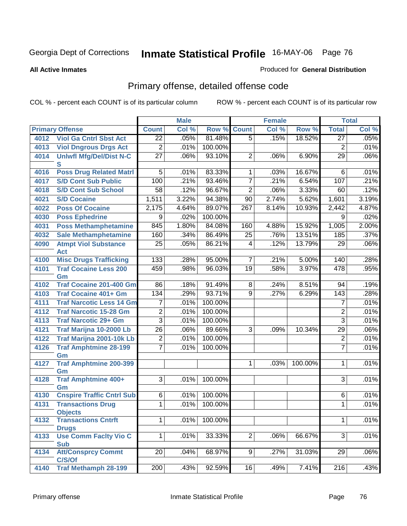#### **All Active Inmates**

#### Produced for **General Distribution**

# Primary offense, detailed offense code

|      |                                         |                        | <b>Male</b>  |         |                     | <b>Female</b> |         |                   | <b>Total</b> |
|------|-----------------------------------------|------------------------|--------------|---------|---------------------|---------------|---------|-------------------|--------------|
|      | <b>Primary Offense</b>                  | <b>Count</b>           | Col %        | Row %   | <b>Count</b>        | Col %         | Row %   | <b>Total</b>      | Col %        |
| 4012 | <b>Viol Ga Cntrl Sbst Act</b>           | $\overline{22}$        | .05%         | 81.48%  | $\overline{5}$      | .15%          | 18.52%  | $\overline{27}$   | .05%         |
| 4013 | <b>Viol Dngrous Drgs Act</b>            | $\overline{2}$         | .01%         | 100.00% |                     |               |         | $\overline{2}$    | .01%         |
| 4014 | <b>Uniwfl Mfg/Del/Dist N-C</b>          | $\overline{27}$        | .06%         | 93.10%  | $\overline{2}$      | .06%          | 6.90%   | $\overline{29}$   | .06%         |
|      | S                                       |                        |              |         |                     |               |         |                   |              |
| 4016 | <b>Poss Drug Related Matri</b>          | 5                      | .01%         | 83.33%  | $\mathbf{1}$        | .03%          | 16.67%  | 6                 | .01%         |
| 4017 | <b>S/D Cont Sub Public</b>              | 100                    | .21%         | 93.46%  | $\overline{7}$      | .21%          | 6.54%   | 107               | .21%         |
| 4018 | <b>S/D Cont Sub School</b>              | $\overline{58}$        | .12%         | 96.67%  | $\overline{2}$      | .06%          | 3.33%   | 60                | .12%         |
| 4021 | <b>S/D Cocaine</b>                      | 1,511                  | 3.22%        | 94.38%  | $\overline{90}$     | 2.74%         | 5.62%   | 1,601             | 3.19%        |
| 4022 | <b>Poss Of Cocaine</b>                  | 2,175                  | 4.64%        | 89.07%  | $\overline{267}$    | 8.14%         | 10.93%  | 2,442             | 4.87%        |
| 4030 | <b>Poss Ephedrine</b>                   | 9                      | .02%         | 100.00% |                     |               |         | 9                 | .02%         |
| 4031 | <b>Poss Methamphetamine</b>             | 845                    | 1.80%        | 84.08%  | 160                 | 4.88%         | 15.92%  | 1,005             | 2.00%        |
| 4032 | <b>Sale Methamphetamine</b>             | 160                    | .34%         | 86.49%  | 25                  | .76%          | 13.51%  | 185               | .37%         |
| 4090 | <b>Atmpt Viol Substance</b>             | $\overline{25}$        | .05%         | 86.21%  | $\overline{4}$      | .12%          | 13.79%  | 29                | .06%         |
|      | <b>Act</b>                              |                        |              |         |                     |               |         |                   |              |
| 4100 | <b>Misc Drugs Trafficking</b>           | 133                    | .28%         | 95.00%  | $\overline{7}$      | .21%          | 5.00%   | 140               | .28%         |
| 4101 | <b>Traf Cocaine Less 200</b>            | 459                    | .98%         | 96.03%  | $\overline{19}$     | .58%          | 3.97%   | 478               | .95%         |
|      | Gm                                      |                        |              | 91.49%  |                     |               |         |                   |              |
| 4102 | <b>Traf Cocaine 201-400 Gm</b>          | $\overline{86}$<br>134 | .18%<br>.29% | 93.71%  | 8<br>$\overline{9}$ | .24%<br>.27%  | 8.51%   | 94                | .19%<br>.28% |
| 4103 | <b>Traf Cocaine 401+ Gm</b>             |                        |              |         |                     |               | 6.29%   | $\overline{143}$  |              |
| 4111 | <b>Traf Narcotic Less 14 Gm</b>         | 7                      | .01%         | 100.00% |                     |               |         | 7                 | .01%         |
| 4112 | <b>Traf Narcotic 15-28 Gm</b>           | $\overline{2}$         | .01%         | 100.00% |                     |               |         | $\overline{2}$    | .01%         |
| 4113 | <b>Traf Narcotic 29+ Gm</b>             | $\overline{3}$         | .01%         | 100.00% |                     |               |         | $\overline{3}$    | .01%         |
| 4121 | Traf Marijna 10-2000 Lb                 | $\overline{26}$        | .06%         | 89.66%  | $\overline{3}$      | .09%          | 10.34%  | $\overline{29}$   | .06%         |
| 4122 | Traf Marijna 2001-10k Lb                | $\overline{2}$         | .01%         | 100.00% |                     |               |         | $\overline{2}$    | .01%         |
| 4126 | <b>Traf Amphtmine 28-199</b>            | $\overline{7}$         | .01%         | 100.00% |                     |               |         | $\overline{7}$    | .01%         |
| 4127 | Gm<br><b>Traf Amphtmine 200-399</b>     |                        |              |         | $\mathbf{1}$        | .03%          | 100.00% | 1                 | .01%         |
|      | Gm                                      |                        |              |         |                     |               |         |                   |              |
| 4128 | <b>Traf Amphtmine 400+</b>              | $\overline{3}$         | .01%         | 100.00% |                     |               |         | 3                 | .01%         |
|      | Gm                                      |                        |              |         |                     |               |         |                   |              |
| 4130 | <b>Cnspire Traffic Cntrl Sub</b>        | $\overline{6}$         | .01%         | 100.00% |                     |               |         | 6                 | .01%         |
| 4131 | <b>Transactions Drug</b>                | $\overline{1}$         | .01%         | 100.00% |                     |               |         | 1                 | .01%         |
|      | <b>Objects</b>                          |                        |              |         |                     |               |         |                   |              |
| 4132 | <b>Transactions Cntrft</b>              | 1                      | .01%         | 100.00% |                     |               |         | 1                 | .01%         |
|      | <b>Drugs</b>                            |                        |              |         |                     |               |         |                   |              |
| 4133 | <b>Use Comm Facity Vio C</b>            | 1                      | .01%         | 33.33%  | $\overline{2}$      | .06%          | 66.67%  | 3                 | .01%         |
| 4134 | <b>Sub</b><br><b>Att/Consprcy Commt</b> | 20 <sup>1</sup>        | .04%         | 68.97%  | 9 <sup>1</sup>      | .27%          | 31.03%  | 29                | .06%         |
|      | C/S/Of                                  |                        |              |         |                     |               |         |                   |              |
| 4140 | <b>Traf Methamph 28-199</b>             | 200                    | .43%         | 92.59%  | 16                  | .49%          | 7.41%   | $\overline{2}$ 16 | .43%         |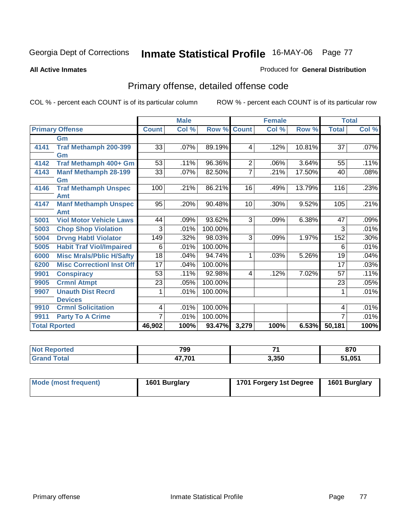#### **All Active Inmates**

#### Produced for **General Distribution**

# Primary offense, detailed offense code

|      |                                  |              | <b>Male</b> |         |                 | <b>Female</b> |        | <b>Total</b>    |       |
|------|----------------------------------|--------------|-------------|---------|-----------------|---------------|--------|-----------------|-------|
|      | <b>Primary Offense</b>           | <b>Count</b> | Col %       | Row %   | <b>Count</b>    | Col %         | Row %  | <b>Total</b>    | Col % |
|      | Gm                               |              |             |         |                 |               |        |                 |       |
| 4141 | <b>Traf Methamph 200-399</b>     | 33           | .07%        | 89.19%  | 4               | .12%          | 10.81% | $\overline{37}$ | .07%  |
|      | Gm                               |              |             |         |                 |               |        |                 |       |
| 4142 | Traf Methamph 400+ Gm            | 53           | .11%        | 96.36%  | $\overline{2}$  | .06%          | 3.64%  | 55              | .11%  |
| 4143 | <b>Manf Methamph 28-199</b>      | 33           | .07%        | 82.50%  | 7               | .21%          | 17.50% | 40              | .08%  |
|      | Gm                               |              |             |         |                 |               |        |                 |       |
| 4146 | <b>Traf Methamph Unspec</b>      | 100          | .21%        | 86.21%  | $\overline{16}$ | .49%          | 13.79% | 116             | .23%  |
|      | Amt                              |              |             |         |                 |               |        |                 |       |
| 4147 | <b>Manf Methamph Unspec</b>      | 95           | .20%        | 90.48%  | 10              | .30%          | 9.52%  | 105             | .21%  |
|      | Amt                              |              |             |         |                 |               |        |                 |       |
| 5001 | <b>Viol Motor Vehicle Laws</b>   | 44           | .09%        | 93.62%  | 3               | .09%          | 6.38%  | 47              | .09%  |
| 5003 | <b>Chop Shop Violation</b>       | 3            | .01%        | 100.00% |                 |               |        | $\overline{3}$  | .01%  |
| 5004 | <b>Drvng Habtl Violator</b>      | 149          | .32%        | 98.03%  | 3               | .09%          | 1.97%  | 152             | .30%  |
| 5005 | <b>Habit Traf Viol/Impaired</b>  | 6            | .01%        | 100.00% |                 |               |        | 6               | .01%  |
| 6000 | <b>Misc Mrals/Pblic H/Safty</b>  | 18           | .04%        | 94.74%  | 1               | .03%          | 5.26%  | 19              | .04%  |
| 6200 | <b>Misc CorrectionI Inst Off</b> | 17           | .04%        | 100.00% |                 |               |        | 17              | .03%  |
| 9901 | <b>Conspiracy</b>                | 53           | .11%        | 92.98%  | 4               | .12%          | 7.02%  | 57              | .11%  |
| 9905 | <b>Crmnl Atmpt</b>               | 23           | .05%        | 100.00% |                 |               |        | 23              | .05%  |
| 9907 | <b>Unauth Dist Recrd</b>         | 1            | .01%        | 100.00% |                 |               |        | 1               | .01%  |
|      | <b>Devices</b>                   |              |             |         |                 |               |        |                 |       |
| 9910 | <b>Crmnl Solicitation</b>        | 4            | .01%        | 100.00% |                 |               |        | 4               | .01%  |
| 9911 | <b>Party To A Crime</b>          | 7            | .01%        | 100.00% |                 |               |        |                 | .01%  |
|      | <b>Total Rported</b>             |              | 100%        | 93.47%  | 3,279           | 100%          | 6.53%  | 50,181          | 100%  |

| 799        | –     | 870    |
|------------|-------|--------|
| <b>704</b> | 3,350 | 51,051 |

| Mode (most frequent) | 1601 Burglary | 1701 Forgery 1st Degree | 1601 Burglary |
|----------------------|---------------|-------------------------|---------------|
|                      |               |                         |               |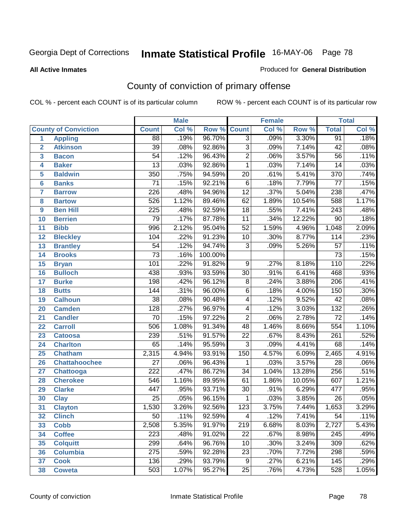#### **All Active Inmates**

#### Produced for **General Distribution**

# County of conviction of primary offense

|                 |                             |                  | <b>Male</b> |         |                 | <b>Female</b> |        |                  | <b>Total</b> |
|-----------------|-----------------------------|------------------|-------------|---------|-----------------|---------------|--------|------------------|--------------|
|                 | <b>County of Conviction</b> | <b>Count</b>     | Col %       | Row %   | <b>Count</b>    | Col %         | Row %  | <b>Total</b>     | Col %        |
| $\mathbf{1}$    | <b>Appling</b>              | 88               | .19%        | 96.70%  | $\overline{3}$  | .09%          | 3.30%  | 91               | .18%         |
| $\overline{2}$  | <b>Atkinson</b>             | $\overline{39}$  | .08%        | 92.86%  | $\overline{3}$  | .09%          | 7.14%  | 42               | .08%         |
| 3               | <b>Bacon</b>                | $\overline{54}$  | .12%        | 96.43%  | $\overline{2}$  | .06%          | 3.57%  | $\overline{56}$  | .11%         |
| 4               | <b>Baker</b>                | $\overline{13}$  | .03%        | 92.86%  | 1               | .03%          | 7.14%  | 14               | .03%         |
| 5               | <b>Baldwin</b>              | $\overline{350}$ | .75%        | 94.59%  | $\overline{20}$ | .61%          | 5.41%  | $\overline{370}$ | .74%         |
| $6\phantom{1}6$ | <b>Banks</b>                | $\overline{71}$  | .15%        | 92.21%  | $\overline{6}$  | .18%          | 7.79%  | $\overline{77}$  | .15%         |
| $\overline{7}$  | <b>Barrow</b>               | $\overline{226}$ | .48%        | 94.96%  | $\overline{12}$ | .37%          | 5.04%  | 238              | .47%         |
| 8               | <b>Bartow</b>               | 526              | 1.12%       | 89.46%  | 62              | 1.89%         | 10.54% | 588              | 1.17%        |
| 9               | <b>Ben Hill</b>             | $\overline{225}$ | .48%        | 92.59%  | $\overline{18}$ | .55%          | 7.41%  | $\sqrt{243}$     | .48%         |
| 10              | <b>Berrien</b>              | 79               | .17%        | 87.78%  | 11              | .34%          | 12.22% | $\overline{90}$  | .18%         |
| 11              | <b>Bibb</b>                 | 996              | 2.12%       | 95.04%  | $\overline{52}$ | 1.59%         | 4.96%  | 1,048            | 2.09%        |
| 12              | <b>Bleckley</b>             | 104              | .22%        | 91.23%  | 10              | .30%          | 8.77%  | 114              | .23%         |
| $\overline{13}$ | <b>Brantley</b>             | $\overline{54}$  | .12%        | 94.74%  | $\overline{3}$  | .09%          | 5.26%  | $\overline{57}$  | .11%         |
| 14              | <b>Brooks</b>               | $\overline{73}$  | .16%        | 100.00% |                 |               |        | $\overline{73}$  | .15%         |
| 15              | <b>Bryan</b>                | 101              | .22%        | 91.82%  | 9               | .27%          | 8.18%  | 110              | .22%         |
| 16              | <b>Bulloch</b>              | 438              | .93%        | 93.59%  | 30              | .91%          | 6.41%  | 468              | .93%         |
| 17              | <b>Burke</b>                | 198              | .42%        | 96.12%  | $\overline{8}$  | .24%          | 3.88%  | $\overline{206}$ | .41%         |
| 18              | <b>Butts</b>                | 144              | .31%        | 96.00%  | $\overline{6}$  | .18%          | 4.00%  | 150              | .30%         |
| 19              | <b>Calhoun</b>              | $\overline{38}$  | .08%        | 90.48%  | 4               | .12%          | 9.52%  | 42               | .08%         |
| 20              | <b>Camden</b>               | $\overline{128}$ | .27%        | 96.97%  | 4               | .12%          | 3.03%  | $\overline{132}$ | .26%         |
| 21              | <b>Candler</b>              | 70               | .15%        | 97.22%  | $\overline{2}$  | .06%          | 2.78%  | $\overline{72}$  | .14%         |
| 22              | <b>Carroll</b>              | 506              | 1.08%       | 91.34%  | 48              | 1.46%         | 8.66%  | 554              | 1.10%        |
| 23              | <b>Catoosa</b>              | 239              | .51%        | 91.57%  | $\overline{22}$ | .67%          | 8.43%  | $\overline{261}$ | .52%         |
| 24              | <b>Charlton</b>             | 65               | .14%        | 95.59%  | $\overline{3}$  | .09%          | 4.41%  | 68               | .14%         |
| 25              | <b>Chatham</b>              | 2,315            | 4.94%       | 93.91%  | 150             | 4.57%         | 6.09%  | 2,465            | 4.91%        |
| 26              | <b>Chattahoochee</b>        | $\overline{27}$  | .06%        | 96.43%  | $\mathbf 1$     | .03%          | 3.57%  | $\overline{28}$  | .06%         |
| 27              | <b>Chattooga</b>            | $\overline{222}$ | .47%        | 86.72%  | $\overline{34}$ | 1.04%         | 13.28% | 256              | .51%         |
| 28              | <b>Cherokee</b>             | $\overline{546}$ | 1.16%       | 89.95%  | 61              | 1.86%         | 10.05% | 607              | 1.21%        |
| 29              | <b>Clarke</b>               | 447              | .95%        | 93.71%  | $\overline{30}$ | .91%          | 6.29%  | 477              | .95%         |
| 30              | <b>Clay</b>                 | $\overline{25}$  | .05%        | 96.15%  | $\mathbf 1$     | .03%          | 3.85%  | $\overline{26}$  | .05%         |
| 31              | <b>Clayton</b>              | 1,530            | 3.26%       | 92.56%  | 123             | 3.75%         | 7.44%  | 1,653            | 3.29%        |
| 32              | <b>Clinch</b>               | 50               | .11%        | 92.59%  | 4               | .12%          | 7.41%  | 54               | $.11\%$      |
| 33              | <b>Cobb</b>                 | 2,508            | 5.35%       | 91.97%  | 219             | 6.68%         | 8.03%  | 2,727            | 5.43%        |
| 34              | <b>Coffee</b>               | 223              | .48%        | 91.02%  | $\overline{22}$ | .67%          | 8.98%  | 245              | .49%         |
| 35              | <b>Colquitt</b>             | 299              | .64%        | 96.76%  | 10              | .30%          | 3.24%  | 309              | .62%         |
| 36              | <b>Columbia</b>             | 275              | .59%        | 92.28%  | 23              | .70%          | 7.72%  | 298              | .59%         |
| 37              | <b>Cook</b>                 | 136              | .29%        | 93.79%  | 9               | .27%          | 6.21%  | 145              | .29%         |
| 38              | <b>Coweta</b>               | 503              | 1.07%       | 95.27%  | 25              | .76%          | 4.73%  | 528              | 1.05%        |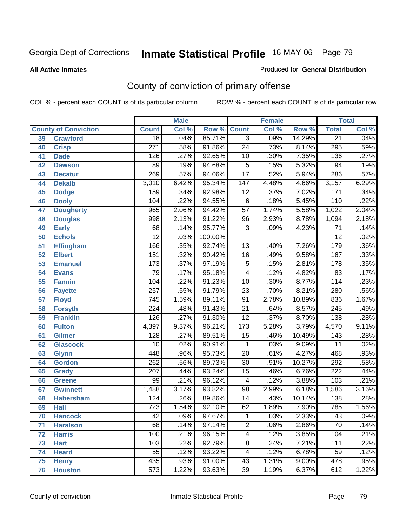#### **All Active Inmates**

#### Produced for **General Distribution**

# County of conviction of primary offense

|                 |                             |                  | <b>Male</b> |         | <b>Female</b>            |         |          |                  | <b>Total</b> |
|-----------------|-----------------------------|------------------|-------------|---------|--------------------------|---------|----------|------------------|--------------|
|                 | <b>County of Conviction</b> | <b>Count</b>     | Col %       | Row %   | <b>Count</b>             | Col %   | Row %    | <b>Total</b>     | Col %        |
| 39              | <b>Crawford</b>             | $\overline{18}$  | .04%        | 85.71%  | $\overline{3}$           | $.09\%$ | 14.29%   | $\overline{21}$  | .04%         |
| 40              | <b>Crisp</b>                | $\overline{271}$ | .58%        | 91.86%  | $\overline{24}$          | .73%    | 8.14%    | 295              | .59%         |
| 41              | <b>Dade</b>                 | 126              | .27%        | 92.65%  | 10                       | .30%    | 7.35%    | 136              | .27%         |
| 42              | <b>Dawson</b>               | 89               | .19%        | 94.68%  | $\overline{5}$           | .15%    | 5.32%    | 94               | .19%         |
| 43              | <b>Decatur</b>              | 269              | .57%        | 94.06%  | $\overline{17}$          | .52%    | 5.94%    | 286              | .57%         |
| 44              | <b>Dekalb</b>               | 3,010            | 6.42%       | 95.34%  | $\overline{147}$         | 4.48%   | 4.66%    | 3,157            | 6.29%        |
| 45              | <b>Dodge</b>                | 159              | .34%        | 92.98%  | $\overline{12}$          | .37%    | 7.02%    | 171              | .34%         |
| 46              | <b>Dooly</b>                | 104              | .22%        | 94.55%  | $\overline{6}$           | .18%    | 5.45%    | $\overline{110}$ | .22%         |
| 47              | <b>Dougherty</b>            | 965              | 2.06%       | 94.42%  | $\overline{57}$          | 1.74%   | 5.58%    | 1,022            | 2.04%        |
| 48              | <b>Douglas</b>              | 998              | 2.13%       | 91.22%  | 96                       | 2.93%   | 8.78%    | 1,094            | 2.18%        |
| 49              | <b>Early</b>                | 68               | .14%        | 95.77%  | $\overline{3}$           | .09%    | 4.23%    | $\overline{71}$  | .14%         |
| 50              | <b>Echols</b>               | $\overline{12}$  | .03%        | 100.00% |                          |         |          | $\overline{12}$  | .02%         |
| 51              | <b>Effingham</b>            | 166              | .35%        | 92.74%  | 13                       | .40%    | 7.26%    | 179              | .36%         |
| $\overline{52}$ | <b>Elbert</b>               | 151              | .32%        | 90.42%  | $\overline{16}$          | .49%    | 9.58%    | 167              | .33%         |
| 53              | <b>Emanuel</b>              | 173              | .37%        | 97.19%  | $\overline{5}$           | .15%    | 2.81%    | 178              | .35%         |
| 54              | <b>Evans</b>                | 79               | .17%        | 95.18%  | $\overline{\mathcal{A}}$ | .12%    | 4.82%    | 83               | .17%         |
| 55              | <b>Fannin</b>               | 104              | .22%        | 91.23%  | 10                       | .30%    | 8.77%    | 114              | .23%         |
| 56              | <b>Fayette</b>              | $\overline{257}$ | .55%        | 91.79%  | $\overline{23}$          | .70%    | 8.21%    | 280              | .56%         |
| 57              | <b>Floyd</b>                | 745              | 1.59%       | 89.11%  | $\overline{91}$          | 2.78%   | 10.89%   | 836              | 1.67%        |
| 58              | <b>Forsyth</b>              | $\overline{224}$ | .48%        | 91.43%  | $\overline{21}$          | .64%    | 8.57%    | 245              | .49%         |
| 59              | <b>Franklin</b>             | 126              | .27%        | 91.30%  | $\overline{12}$          | .37%    | 8.70%    | 138              | .28%         |
| 60              | <b>Fulton</b>               | 4,397            | 9.37%       | 96.21%  | 173                      | 5.28%   | 3.79%    | 4,570            | 9.11%        |
| 61              | Gilmer                      | 128              | .27%        | 89.51%  | $\overline{15}$          | .46%    | 10.49%   | $\overline{143}$ | .28%         |
| 62              | <b>Glascock</b>             | 10               | .02%        | 90.91%  | $\mathbf{1}$             | .03%    | 9.09%    | $\overline{11}$  | .02%         |
| 63              | <b>Glynn</b>                | 448              | .96%        | 95.73%  | $\overline{20}$          | .61%    | 4.27%    | 468              | .93%         |
| 64              | <b>Gordon</b>               | 262              | .56%        | 89.73%  | $\overline{30}$          | .91%    | 10.27%   | 292              | .58%         |
| 65              | <b>Grady</b>                | $\overline{207}$ | .44%        | 93.24%  | $\overline{15}$          | .46%    | 6.76%    | 222              | .44%         |
| 66              | <b>Greene</b>               | 99               | .21%        | 96.12%  | $\overline{\mathcal{A}}$ | .12%    | 3.88%    | 103              | .21%         |
| 67              | <b>Gwinnett</b>             | 1,488            | 3.17%       | 93.82%  | 98                       | 2.99%   | 6.18%    | 1,586            | 3.16%        |
| 68              | <b>Habersham</b>            | 124              | .26%        | 89.86%  | $\overline{14}$          | .43%    | 10.14%   | 138              | .28%         |
| 69              | <b>Hall</b>                 | $\overline{723}$ | 1.54%       | 92.10%  | 62                       | 1.89%   | 7.90%    | 785              | 1.56%        |
| 70              | <b>Hancock</b>              | 42               | .09%        | 97.67%  | 1                        | .03%    | 2.33%    | 43               | .09%         |
| 71              | <b>Haralson</b>             | 68               | .14%        | 97.14%  | $\overline{2}$           | .06%    | 2.86%    | $\overline{70}$  | .14%         |
| 72              | <b>Harris</b>               | 100              | .21%        | 96.15%  | $\overline{4}$           | .12%    | 3.85%    | 104              | .21%         |
| 73              | <b>Hart</b>                 | 103              | .22%        | 92.79%  | $\overline{8}$           | .24%    | 7.21%    | 111              | .22%         |
| 74              | <b>Heard</b>                | $\overline{55}$  | .12%        | 93.22%  | $\overline{\mathbf{4}}$  | .12%    | 6.78%    | 59               | .12%         |
| 75              | <b>Henry</b>                | 435              | .93%        | 91.00%  | 43                       | 1.31%   | $9.00\%$ | 478              | .95%         |
| 76              | <b>Houston</b>              | $\overline{573}$ | 1.22%       | 93.63%  | $\overline{39}$          | 1.19%   | 6.37%    | 612              | 1.22%        |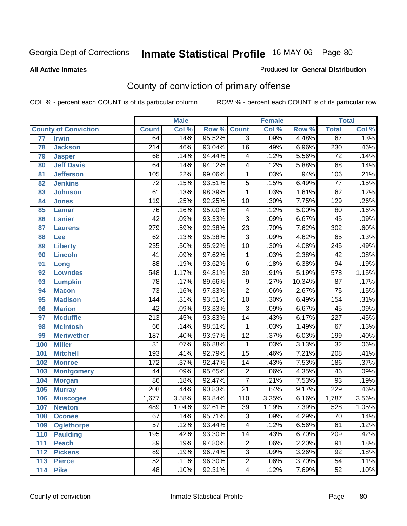#### **All Active Inmates**

#### Produced for **General Distribution**

# County of conviction of primary offense

|                                 |                   |                  | <b>Male</b> |        |                          | <b>Female</b> |        |                  | <b>Total</b> |
|---------------------------------|-------------------|------------------|-------------|--------|--------------------------|---------------|--------|------------------|--------------|
| <b>County of Conviction</b>     |                   | <b>Count</b>     | Col %       | Row %  | <b>Count</b>             | Col %         | Row %  | <b>Total</b>     | Col %        |
| $\overline{77}$<br><b>Irwin</b> |                   | 64               | .14%        | 95.52% | $\overline{3}$           | .09%          | 4.48%  | 67               | .13%         |
| 78<br><b>Jackson</b>            |                   | $\overline{214}$ | .46%        | 93.04% | 16                       | .49%          | 6.96%  | $\overline{230}$ | .46%         |
| 79<br><b>Jasper</b>             |                   | 68               | .14%        | 94.44% | 4                        | .12%          | 5.56%  | $\overline{72}$  | .14%         |
| 80                              | <b>Jeff Davis</b> | 64               | .14%        | 94.12% | 4                        | .12%          | 5.88%  | 68               | .14%         |
| 81                              | <b>Jefferson</b>  | 105              | .22%        | 99.06% | $\mathbf{1}$             | .03%          | .94%   | 106              | .21%         |
| <b>Jenkins</b><br>82            |                   | $\overline{72}$  | .15%        | 93.51% | $\overline{5}$           | .15%          | 6.49%  | $\overline{77}$  | .15%         |
| 83<br><b>Johnson</b>            |                   | 61               | .13%        | 98.39% | 1                        | .03%          | 1.61%  | 62               | .12%         |
| 84<br><b>Jones</b>              |                   | 119              | .25%        | 92.25% | 10                       | .30%          | 7.75%  | $\overline{129}$ | .26%         |
| 85<br><b>Lamar</b>              |                   | 76               | .16%        | 95.00% | $\overline{\mathcal{A}}$ | .12%          | 5.00%  | $\overline{80}$  | .16%         |
| <b>Lanier</b><br>86             |                   | $\overline{42}$  | .09%        | 93.33% | $\overline{3}$           | .09%          | 6.67%  | 45               | .09%         |
| 87<br><b>Laurens</b>            |                   | 279              | .59%        | 92.38% | $\overline{23}$          | .70%          | 7.62%  | 302              | .60%         |
| 88<br>Lee                       |                   | 62               | .13%        | 95.38% | $\overline{3}$           | .09%          | 4.62%  | 65               | .13%         |
| 89<br><b>Liberty</b>            |                   | 235              | .50%        | 95.92% | 10                       | .30%          | 4.08%  | $\overline{245}$ | .49%         |
| <b>Lincoln</b><br>90            |                   | $\overline{41}$  | .09%        | 97.62% | 1                        | .03%          | 2.38%  | 42               | .08%         |
| 91<br>Long                      |                   | $\overline{88}$  | .19%        | 93.62% | $\overline{6}$           | .18%          | 6.38%  | 94               | .19%         |
| <b>Lowndes</b><br>92            |                   | $\overline{548}$ | 1.17%       | 94.81% | 30                       | .91%          | 5.19%  | 578              | 1.15%        |
| 93<br><b>Lumpkin</b>            |                   | 78               | .17%        | 89.66% | $\overline{9}$           | .27%          | 10.34% | $\overline{87}$  | .17%         |
| 94<br><b>Macon</b>              |                   | $\overline{73}$  | .16%        | 97.33% | $\overline{2}$           | .06%          | 2.67%  | $\overline{75}$  | .15%         |
| <b>Madison</b><br>95            |                   | 144              | .31%        | 93.51% | 10                       | .30%          | 6.49%  | 154              | .31%         |
| <b>Marion</b><br>96             |                   | $\overline{42}$  | .09%        | 93.33% | $\overline{3}$           | .09%          | 6.67%  | 45               | .09%         |
| 97<br><b>Mcduffie</b>           |                   | $\overline{213}$ | .45%        | 93.83% | $\overline{14}$          | .43%          | 6.17%  | $\overline{227}$ | .45%         |
| <b>Mcintosh</b><br>98           |                   | 66               | .14%        | 98.51% | 1                        | .03%          | 1.49%  | $\overline{67}$  | .13%         |
| 99                              | <b>Meriwether</b> | 187              | .40%        | 93.97% | $\overline{12}$          | .37%          | 6.03%  | 199              | .40%         |
| 100<br><b>Miller</b>            |                   | $\overline{31}$  | .07%        | 96.88% | $\mathbf{1}$             | .03%          | 3.13%  | $\overline{32}$  | .06%         |
| 101<br><b>Mitchell</b>          |                   | 193              | .41%        | 92.79% | $\overline{15}$          | .46%          | 7.21%  | $\overline{208}$ | .41%         |
| 102<br><b>Monroe</b>            |                   | 172              | .37%        | 92.47% | 14                       | .43%          | 7.53%  | 186              | .37%         |
| 103                             | <b>Montgomery</b> | 44               | .09%        | 95.65% | $\overline{2}$           | .06%          | 4.35%  | 46               | .09%         |
| 104<br><b>Morgan</b>            |                   | $\overline{86}$  | .18%        | 92.47% | $\overline{7}$           | .21%          | 7.53%  | $\overline{93}$  | .19%         |
| 105<br><b>Murray</b>            |                   | $\overline{208}$ | .44%        | 90.83% | $\overline{21}$          | .64%          | 9.17%  | 229              | .46%         |
| 106                             | <b>Muscogee</b>   | 1,677            | 3.58%       | 93.84% | 110                      | 3.35%         | 6.16%  | 1,787            | 3.56%        |
| 107<br><b>Newton</b>            |                   | 489              | 1.04%       | 92.61% | $\overline{39}$          | 1.19%         | 7.39%  | 528              | 1.05%        |
| 108<br><b>Oconee</b>            |                   | 67               | .14%        | 95.71% | 3                        | .09%          | 4.29%  | 70               | .14%         |
| 109                             | <b>Oglethorpe</b> | $\overline{57}$  | .12%        | 93.44% | $\overline{4}$           | .12%          | 6.56%  | 61               | .12%         |
| 110<br><b>Paulding</b>          |                   | 195              | .42%        | 93.30% | 14                       | .43%          | 6.70%  | 209              | .42%         |
| <b>Peach</b><br>111             |                   | 89               | .19%        | 97.80% | $\overline{c}$           | .06%          | 2.20%  | 91               | .18%         |
| <b>Pickens</b><br>112           |                   | 89               | .19%        | 96.74% | $\overline{3}$           | .09%          | 3.26%  | 92               | .18%         |
| 113<br><b>Pierce</b>            |                   | 52               | .11%        | 96.30% | $\overline{2}$           | .06%          | 3.70%  | $\overline{54}$  | .11%         |
| <b>Pike</b><br>114              |                   | 48               | .10%        | 92.31% | $\overline{\mathbf{4}}$  | .12%          | 7.69%  | 52               | .10%         |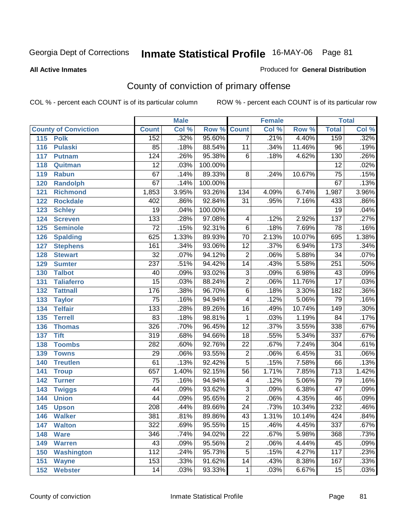#### **All Active Inmates**

#### Produced for **General Distribution**

# County of conviction of primary offense

|     |                             |                  | <b>Male</b> |         |                         | <b>Female</b> |        |                  | <b>Total</b> |
|-----|-----------------------------|------------------|-------------|---------|-------------------------|---------------|--------|------------------|--------------|
|     | <b>County of Conviction</b> | <b>Count</b>     | Col %       | Row %   | <b>Count</b>            | Col %         | Row %  | <b>Total</b>     | Col %        |
| 115 | <b>Polk</b>                 | 152              | .32%        | 95.60%  | $\overline{7}$          | .21%          | 4.40%  | 159              | .32%         |
| 116 | <b>Pulaski</b>              | 85               | .18%        | 88.54%  | 11                      | .34%          | 11.46% | $\overline{96}$  | .19%         |
| 117 | <b>Putnam</b>               | 124              | .26%        | 95.38%  | 6                       | .18%          | 4.62%  | 130              | .26%         |
| 118 | Quitman                     | $\overline{12}$  | .03%        | 100.00% |                         |               |        | $\overline{12}$  | .02%         |
| 119 | <b>Rabun</b>                | 67               | .14%        | 89.33%  | 8                       | .24%          | 10.67% | $\overline{75}$  | .15%         |
| 120 | <b>Randolph</b>             | $\overline{67}$  | .14%        | 100.00% |                         |               |        | 67               | .13%         |
| 121 | <b>Richmond</b>             | 1,853            | 3.95%       | 93.26%  | $\overline{134}$        | 4.09%         | 6.74%  | 1,987            | 3.96%        |
| 122 | <b>Rockdale</b>             | 402              | .86%        | 92.84%  | 31                      | .95%          | 7.16%  | 433              | .86%         |
| 123 | <b>Schley</b>               | $\overline{19}$  | .04%        | 100.00% |                         |               |        | $\overline{19}$  | .04%         |
| 124 | <b>Screven</b>              | $\overline{133}$ | .28%        | 97.08%  | 4                       | .12%          | 2.92%  | $\overline{137}$ | .27%         |
| 125 | <b>Seminole</b>             | $\overline{72}$  | .15%        | 92.31%  | $\overline{6}$          | .18%          | 7.69%  | 78               | .16%         |
| 126 | <b>Spalding</b>             | 625              | 1.33%       | 89.93%  | 70                      | 2.13%         | 10.07% | 695              | 1.38%        |
| 127 | <b>Stephens</b>             | 161              | .34%        | 93.06%  | $\overline{12}$         | .37%          | 6.94%  | $\overline{173}$ | .34%         |
| 128 | <b>Stewart</b>              | $\overline{32}$  | .07%        | 94.12%  | $\overline{2}$          | .06%          | 5.88%  | $\overline{34}$  | .07%         |
| 129 | <b>Sumter</b>               | $\overline{237}$ | .51%        | 94.42%  | $\overline{14}$         | .43%          | 5.58%  | 251              | .50%         |
| 130 | <b>Talbot</b>               | 40               | .09%        | 93.02%  | 3                       | .09%          | 6.98%  | 43               | .09%         |
| 131 | <b>Taliaferro</b>           | $\overline{15}$  | .03%        | 88.24%  | $\overline{2}$          | .06%          | 11.76% | $\overline{17}$  | .03%         |
| 132 | <b>Tattnall</b>             | 176              | .38%        | 96.70%  | 6                       | .18%          | 3.30%  | 182              | .36%         |
| 133 | <b>Taylor</b>               | $\overline{75}$  | .16%        | 94.94%  | 4                       | .12%          | 5.06%  | 79               | .16%         |
| 134 | <b>Telfair</b>              | $\overline{133}$ | .28%        | 89.26%  | 16                      | .49%          | 10.74% | 149              | .30%         |
| 135 | <b>Terrell</b>              | 83               | .18%        | 98.81%  | $\mathbf{1}$            | .03%          | 1.19%  | $\overline{84}$  | .17%         |
| 136 | <b>Thomas</b>               | 326              | .70%        | 96.45%  | $\overline{12}$         | .37%          | 3.55%  | 338              | .67%         |
| 137 | <b>Tift</b>                 | 319              | .68%        | 94.66%  | $\overline{18}$         | .55%          | 5.34%  | 337              | .67%         |
| 138 | <b>Toombs</b>               | 282              | .60%        | 92.76%  | 22                      | .67%          | 7.24%  | 304              | .61%         |
| 139 | <b>Towns</b>                | $\overline{29}$  | .06%        | 93.55%  | $\overline{2}$          | .06%          | 6.45%  | $\overline{31}$  | .06%         |
| 140 | <b>Treutlen</b>             | 61               | .13%        | 92.42%  | $\overline{5}$          | .15%          | 7.58%  | 66               | .13%         |
| 141 | <b>Troup</b>                | 657              | 1.40%       | 92.15%  | $\overline{56}$         | 1.71%         | 7.85%  | $\overline{713}$ | 1.42%        |
| 142 | <b>Turner</b>               | $\overline{75}$  | .16%        | 94.94%  | $\overline{\mathbf{4}}$ | .12%          | 5.06%  | 79               | .16%         |
| 143 | <b>Twiggs</b>               | 44               | .09%        | 93.62%  | $\overline{3}$          | .09%          | 6.38%  | $\overline{47}$  | .09%         |
| 144 | <b>Union</b>                | 44               | .09%        | 95.65%  | $\overline{2}$          | .06%          | 4.35%  | 46               | .09%         |
| 145 | <b>Upson</b>                | 208              | .44%        | 89.66%  | $\overline{24}$         | .73%          | 10.34% | 232              | .46%         |
| 146 | <b>Walker</b>               | 381              | .81%        | 89.86%  | 43                      | 1.31%         | 10.14% | 424              | .84%         |
| 147 | <b>Walton</b>               | $\overline{322}$ | .69%        | 95.55%  | $\overline{15}$         | .46%          | 4.45%  | $\overline{337}$ | .67%         |
| 148 | <b>Ware</b>                 | 346              | .74%        | 94.02%  | $\overline{22}$         | .67%          | 5.98%  | 368              | .73%         |
| 149 | <b>Warren</b>               | 43               | .09%        | 95.56%  | $\mathbf 2$             | .06%          | 4.44%  | 45               | .09%         |
| 150 | <b>Washington</b>           | 112              | .24%        | 95.73%  | $\overline{5}$          | .15%          | 4.27%  | 117              | .23%         |
| 151 | <b>Wayne</b>                | 153              | .33%        | 91.62%  | 14                      | .43%          | 8.38%  | 167              | .33%         |
| 152 | <b>Webster</b>              | 14               | .03%        | 93.33%  | $\mathbf{1}$            | .03%          | 6.67%  | 15               | .03%         |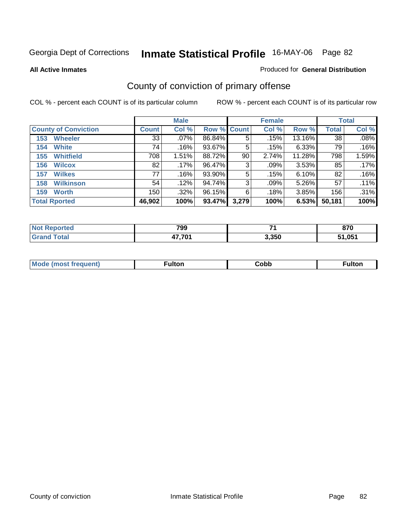**All Active Inmates**

#### Produced for **General Distribution**

# County of conviction of primary offense

|                             |              | <b>Male</b> |             |       | <b>Female</b> |        |              | <b>Total</b> |
|-----------------------------|--------------|-------------|-------------|-------|---------------|--------|--------------|--------------|
| <b>County of Conviction</b> | <b>Count</b> | Col %       | Row % Count |       | Col %         | Row %  | <b>Total</b> | Col %        |
| <b>Wheeler</b><br>153       | 33           | $.07\%$     | 86.84%      | 5     | .15%          | 13.16% | 38           | .08%         |
| <b>White</b><br>154         | 74           | $.16\%$     | 93.67%      | 5     | .15%          | 6.33%  | 79           | .16%         |
| <b>Whitfield</b><br>155     | 708          | 1.51%       | 88.72%      | 90    | 2.74%         | 11.28% | 798          | 1.59%        |
| <b>Wilcox</b><br>156        | 82           | .17%        | 96.47%      | 3     | $.09\%$       | 3.53%  | 85           | .17%         |
| <b>Wilkes</b><br>157        | 77           | $.16\%$     | 93.90%      | 5     | .15%          | 6.10%  | 82           | .16%         |
| <b>Wilkinson</b><br>158     | 54           | .12%        | 94.74%      | 3     | $.09\%$       | 5.26%  | 57           | .11%         |
| <b>Worth</b><br>159         | 150          | .32%        | 96.15%      | 6     | .18%          | 3.85%  | 156          | .31%         |
| <b>Total Rported</b>        | 46,902       | 100%        | 93.47%      | 3,279 | 100%          | 6.53%  | 50,181       | 100%         |

| <b>eported</b><br>NO.    | 799    | $\rightarrow$ | ---<br>. |
|--------------------------|--------|---------------|----------|
| 'ota.<br>. Gr $\epsilon$ | 47.701 | 3,350         | 51.051   |

| <b>Mode</b><br>auent)<br>. | ulton | Copp | <b>ulton</b> |
|----------------------------|-------|------|--------------|
|                            |       |      |              |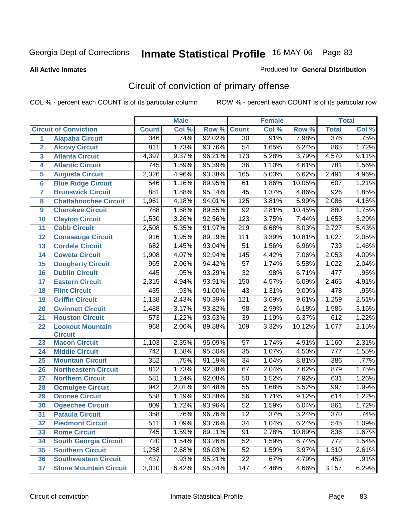#### **All Active Inmates**

#### Produced for **General Distribution**

# Circuit of conviction of primary offense

|                         |                               |                  | <b>Male</b> |        |                  | <b>Female</b> |        |                  | <b>Total</b> |
|-------------------------|-------------------------------|------------------|-------------|--------|------------------|---------------|--------|------------------|--------------|
|                         | <b>Circuit of Conviction</b>  | <b>Count</b>     | Col %       | Row %  | <b>Count</b>     | Col %         | Row %  | <b>Total</b>     | Col %        |
| 1                       | <b>Alapaha Circuit</b>        | 346              | .74%        | 92.02% | $\overline{30}$  | .91%          | 7.98%  | 376              | .75%         |
| $\overline{2}$          | <b>Alcovy Circuit</b>         | 811              | 1.73%       | 93.76% | 54               | 1.65%         | 6.24%  | 865              | 1.72%        |
| $\overline{\mathbf{3}}$ | <b>Atlanta Circuit</b>        | 4,397            | 9.37%       | 96.21% | $\overline{173}$ | 5.28%         | 3.79%  | 4,570            | 9.11%        |
| 4                       | <b>Atlantic Circuit</b>       | 745              | 1.59%       | 95.39% | 36               | 1.10%         | 4.61%  | 781              | 1.56%        |
| 5                       | <b>Augusta Circuit</b>        | 2,326            | 4.96%       | 93.38% | 165              | 5.03%         | 6.62%  | 2,491            | 4.96%        |
| $6\overline{6}$         | <b>Blue Ridge Circuit</b>     | 546              | 1.16%       | 89.95% | 61               | 1.86%         | 10.05% | 607              | 1.21%        |
| $\overline{\mathbf{7}}$ | <b>Brunswick Circuit</b>      | 881              | 1.88%       | 95.14% | 45               | 1.37%         | 4.86%  | $\overline{926}$ | 1.85%        |
| 8                       | <b>Chattahoochee Circuit</b>  | 1,961            | 4.18%       | 94.01% | 125              | 3.81%         | 5.99%  | 2,086            | 4.16%        |
| 9                       | <b>Cherokee Circuit</b>       | 788              | 1.68%       | 89.55% | 92               | 2.81%         | 10.45% | 880              | 1.75%        |
| 10                      | <b>Clayton Circuit</b>        | 1,530            | 3.26%       | 92.56% | $\overline{123}$ | 3.75%         | 7.44%  | 1,653            | 3.29%        |
| 11                      | <b>Cobb Circuit</b>           | 2,508            | 5.35%       | 91.97% | $\overline{219}$ | 6.68%         | 8.03%  | 2,727            | 5.43%        |
| 12                      | <b>Conasauga Circuit</b>      | 916              | 1.95%       | 89.19% | 111              | 3.39%         | 10.81% | 1,027            | 2.05%        |
| 13                      | <b>Cordele Circuit</b>        | 682              | 1.45%       | 93.04% | 51               | 1.56%         | 6.96%  | 733              | 1.46%        |
| 14                      | <b>Coweta Circuit</b>         | 1,908            | 4.07%       | 92.94% | 145              | 4.42%         | 7.06%  | 2,053            | 4.09%        |
| 15                      | <b>Dougherty Circuit</b>      | 965              | 2.06%       | 94.42% | 57               | 1.74%         | 5.58%  | 1,022            | 2.04%        |
| 16                      | <b>Dublin Circuit</b>         | 445              | .95%        | 93.29% | $\overline{32}$  | .98%          | 6.71%  | 477              | .95%         |
| 17                      | <b>Eastern Circuit</b>        | 2,315            | 4.94%       | 93.91% | 150              | 4.57%         | 6.09%  | 2,465            | 4.91%        |
| 18                      | <b>Flint Circuit</b>          | 435              | .93%        | 91.00% | 43               | 1.31%         | 9.00%  | 478              | .95%         |
| 19                      | <b>Griffin Circuit</b>        | 1,138            | 2.43%       | 90.39% | $\overline{121}$ | 3.69%         | 9.61%  | 1,259            | 2.51%        |
| 20                      | <b>Gwinnett Circuit</b>       | 1,488            | 3.17%       | 93.82% | 98               | 2.99%         | 6.18%  | 1,586            | 3.16%        |
| 21                      | <b>Houston Circuit</b>        | 573              | 1.22%       | 93.63% | 39               | 1.19%         | 6.37%  | 612              | 1.22%        |
| 22                      | <b>Lookout Mountain</b>       | $\overline{968}$ | 2.06%       | 89.88% | 109              | 3.32%         | 10.12% | 1,077            | 2.15%        |
|                         | <b>Circuit</b>                |                  |             |        |                  |               |        |                  |              |
| 23                      | <b>Macon Circuit</b>          | 1,103            | 2.35%       | 95.09% | 57               | 1.74%         | 4.91%  | 1,160            | 2.31%        |
| 24                      | <b>Middle Circuit</b>         | 742              | 1.58%       | 95.50% | 35               | 1.07%         | 4.50%  | 777              | 1.55%        |
| 25                      | <b>Mountain Circuit</b>       | 352              | .75%        | 91.19% | 34               | 1.04%         | 8.81%  | 386              | .77%         |
| 26                      | <b>Northeastern Circuit</b>   | 812              | 1.73%       | 92.38% | 67               | 2.04%         | 7.62%  | 879              | 1.75%        |
| 27                      | <b>Northern Circuit</b>       | 581              | 1.24%       | 92.08% | 50               | 1.52%         | 7.92%  | 631              | 1.26%        |
| 28                      | <b>Ocmulgee Circuit</b>       | 942              | 2.01%       | 94.48% | 55               | 1.68%         | 5.52%  | 997              | 1.99%        |
| 29                      | <b>Oconee Circuit</b>         | 558              | 1.19%       | 90.88% | 56               | 1.71%         | 9.12%  | 614              | 1.22%        |
| 30                      | <b>Ogeechee Circuit</b>       | 809              | 1.72%       | 93.96% | $\overline{52}$  | 1.59%         | 6.04%  | 861              | 1.72%        |
| 31                      | <b>Pataula Circuit</b>        | $\overline{358}$ | .76%        | 96.76% | $\overline{12}$  | .37%          | 3.24%  | $\overline{370}$ | .74%         |
| 32                      | <b>Piedmont Circuit</b>       | 511              | 1.09%       | 93.76% | 34               | 1.04%         | 6.24%  | 545              | 1.09%        |
| 33                      | <b>Rome Circuit</b>           | 745              | 1.59%       | 89.11% | 91               | 2.78%         | 10.89% | 836              | 1.67%        |
| 34                      | <b>South Georgia Circuit</b>  | $\overline{720}$ | 1.54%       | 93.26% | 52               | 1.59%         | 6.74%  | 772              | 1.54%        |
| 35                      | <b>Southern Circuit</b>       | 1,258            | 2.68%       | 96.03% | $\overline{52}$  | 1.59%         | 3.97%  | 1,310            | 2.61%        |
| 36                      | <b>Southwestern Circuit</b>   | 437              | .93%        | 95.21% | 22               | .67%          | 4.79%  | 459              | .91%         |
| 37                      | <b>Stone Mountain Circuit</b> | 3,010            | 6.42%       | 95.34% | 147              | 4.48%         | 4.66%  | 3,157            | 6.29%        |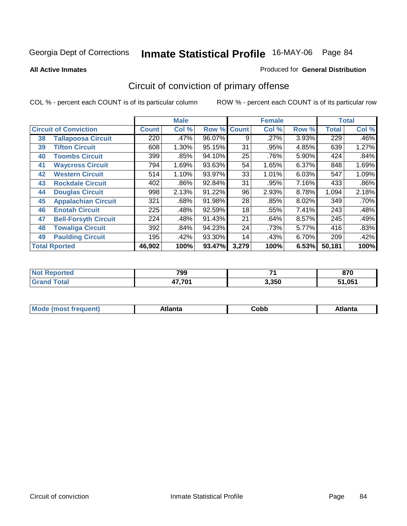**All Active Inmates**

#### Produced for **General Distribution**

# Circuit of conviction of primary offense

|    |                              |              | <b>Male</b> |                    |       | <b>Female</b> |       |              | <b>Total</b> |
|----|------------------------------|--------------|-------------|--------------------|-------|---------------|-------|--------------|--------------|
|    | <b>Circuit of Conviction</b> | <b>Count</b> | Col %       | <b>Row % Count</b> |       | Col %         | Row % | <b>Total</b> | Col %        |
| 38 | <b>Tallapoosa Circuit</b>    | 220          | .47%        | 96.07%             | 9     | .27%          | 3.93% | 229          | .46%         |
| 39 | <b>Tifton Circuit</b>        | 608          | 1.30%       | 95.15%             | 31    | .95%          | 4.85% | 639          | 1.27%        |
| 40 | <b>Toombs Circuit</b>        | 399          | .85%        | 94.10%             | 25    | .76%          | 5.90% | 424          | .84%         |
| 41 | <b>Waycross Circuit</b>      | 794          | 1.69%       | 93.63%             | 54    | 1.65%         | 6.37% | 848          | 1.69%        |
| 42 | <b>Western Circuit</b>       | 514          | 1.10%       | 93.97%             | 33    | 1.01%         | 6.03% | 547          | 1.09%        |
| 43 | <b>Rockdale Circuit</b>      | 402          | .86%        | 92.84%             | 31    | .95%          | 7.16% | 433          | .86%         |
| 44 | <b>Douglas Circuit</b>       | 998          | 2.13%       | 91.22%             | 96    | 2.93%         | 8.78% | 1,094        | 2.18%        |
| 45 | <b>Appalachian Circuit</b>   | 321          | .68%        | 91.98%             | 28    | .85%          | 8.02% | 349          | .70%         |
| 46 | <b>Enotah Circuit</b>        | 225          | .48%        | 92.59%             | 18    | .55%          | 7.41% | 243          | .48%         |
| 47 | <b>Bell-Forsyth Circuit</b>  | 224          | .48%        | 91.43%             | 21    | .64%          | 8.57% | 245          | .49%         |
| 48 | <b>Towaliga Circuit</b>      | 392          | .84%        | 94.23%             | 24    | .73%          | 5.77% | 416          | .83%         |
| 49 | <b>Paulding Circuit</b>      | 195          | .42%        | 93.30%             | 14    | .43%          | 6.70% | 209          | .42%         |
|    | <b>Total Rported</b>         | 46,902       | 100%        | 93.47%             | 3,279 | 100%          | 6.53% | 50,181       | 100%         |

| rteo<br>NOT<br> | 799    | -     | היה<br>v 1 v |
|-----------------|--------|-------|--------------|
|                 | 17.701 | 3,350 | 51.051       |

| M | - --- <i>-</i> -- <i>-</i> -- | Cobb | ----<br>нша<br>שוטר |
|---|-------------------------------|------|---------------------|
|   |                               |      |                     |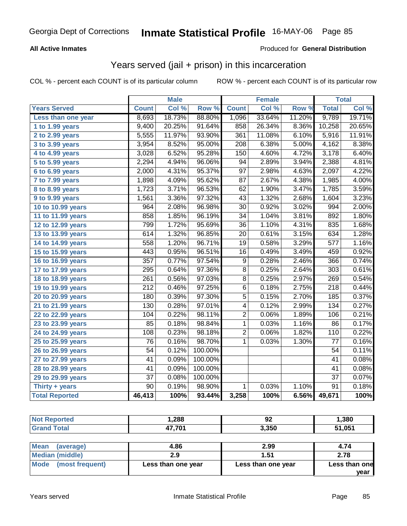### **All Active Inmates**

### Produced for **General Distribution**

### Years served (jail + prison) in this incarceration

|                              |                  | <b>Male</b> |                  |                  | <b>Female</b> |                     |                  | <b>Total</b> |
|------------------------------|------------------|-------------|------------------|------------------|---------------|---------------------|------------------|--------------|
| <b>Years Served</b>          | <b>Count</b>     | Col %       | Row <sup>%</sup> | <b>Count</b>     | Col %         | Row %               | <b>Total</b>     | Col %        |
| Less than one year           | 8,693            | 18.73%      | 88.80%           | 1,096            | 33.64%        | 11.20%              | 9,789            | 19.71%       |
| 1 to 1.99 years              | 9,400            | 20.25%      | 91.64%           | 858              | 26.34%        | 8.36%               | 10,258           | 20.65%       |
| 2 to 2.99 years              | 5,555            | 11.97%      | 93.90%           | 361              | 11.08%        | 6.10%               | 5,916            | 11.91%       |
| 3 to 3.99 years              | 3,954            | 8.52%       | 95.00%           | $\overline{208}$ | 6.38%         | 5.00%               | 4,162            | 8.38%        |
| 4 to 4.99 years              | 3,028            | 6.52%       | 95.28%           | 150              | 4.60%         | 4.72%               | 3,178            | 6.40%        |
| 5 to 5.99 years              | 2,294            | 4.94%       | 96.06%           | 94               | 2.89%         | 3.94%               | 2,388            | 4.81%        |
| 6 to 6.99 years              | 2,000            | 4.31%       | 95.37%           | $\overline{97}$  | 2.98%         | 4.63%               | 2,097            | 4.22%        |
| $\overline{7}$ to 7.99 years | 1,898            | 4.09%       | 95.62%           | $\overline{87}$  | 2.67%         | 4.38%               | 1,985            | 4.00%        |
| 8 to 8.99 years              | 1,723            | 3.71%       | 96.53%           | 62               | 1.90%         | 3.47%               | 1,785            | 3.59%        |
| 9 to 9.99 years              | 1,561            | 3.36%       | 97.32%           | 43               | 1.32%         | 2.68%               | 1,604            | 3.23%        |
| 10 to 10.99 years            | 964              | 2.08%       | 96.98%           | 30               | 0.92%         | 3.02%               | 994              | 2.00%        |
| 11 to 11.99 years            | 858              | 1.85%       | 96.19%           | $\overline{34}$  | 1.04%         | 3.81%               | 892              | 1.80%        |
| 12 to 12.99 years            | 799              | 1.72%       | 95.69%           | $\overline{36}$  | 1.10%         | $4.\overline{31\%}$ | 835              | 1.68%        |
| 13 to 13.99 years            | 614              | 1.32%       | 96.85%           | $\overline{20}$  | 0.61%         | 3.15%               | 634              | 1.28%        |
| 14 to 14.99 years            | 558              | 1.20%       | 96.71%           | $\overline{19}$  | 0.58%         | 3.29%               | $\overline{577}$ | 1.16%        |
| 15 to 15.99 years            | 443              | 0.95%       | 96.51%           | 16               | 0.49%         | 3.49%               | 459              | 0.92%        |
| 16 to 16.99 years            | $\overline{357}$ | 0.77%       | 97.54%           | $\overline{9}$   | 0.28%         | 2.46%               | 366              | 0.74%        |
| 17 to 17.99 years            | 295              | 0.64%       | 97.36%           | $\overline{8}$   | 0.25%         | 2.64%               | $\overline{303}$ | 0.61%        |
| 18 to 18.99 years            | $\overline{261}$ | 0.56%       | 97.03%           | $\overline{8}$   | 0.25%         | 2.97%               | 269              | 0.54%        |
| 19 to 19.99 years            | $\overline{212}$ | 0.46%       | 97.25%           | $\overline{6}$   | 0.18%         | 2.75%               | $\overline{218}$ | 0.44%        |
| 20 to 20.99 years            | 180              | 0.39%       | 97.30%           | $\overline{5}$   | 0.15%         | 2.70%               | 185              | 0.37%        |
| 21 to 21.99 years            | 130              | 0.28%       | 97.01%           | 4                | 0.12%         | 2.99%               | 134              | 0.27%        |
| 22 to 22.99 years            | 104              | 0.22%       | 98.11%           | 2                | 0.06%         | 1.89%               | 106              | 0.21%        |
| 23 to 23.99 years            | 85               | 0.18%       | 98.84%           | 1                | 0.03%         | 1.16%               | $\overline{86}$  | 0.17%        |
| 24 to 24.99 years            | 108              | 0.23%       | 98.18%           | $\overline{2}$   | 0.06%         | 1.82%               | $\overline{110}$ | 0.22%        |
| 25 to 25.99 years            | $\overline{76}$  | 0.16%       | 98.70%           | $\overline{1}$   | 0.03%         | 1.30%               | $\overline{77}$  | 0.16%        |
| 26 to 26.99 years            | $\overline{54}$  | 0.12%       | 100.00%          |                  |               |                     | 54               | 0.11%        |
| 27 to 27.99 years            | 41               | 0.09%       | 100.00%          |                  |               |                     | 41               | 0.08%        |
| 28 to 28.99 years            | 41               | 0.09%       | 100.00%          |                  |               |                     | $\overline{41}$  | 0.08%        |
| 29 to 29.99 years            | $\overline{37}$  | 0.08%       | 100.00%          |                  |               |                     | $\overline{37}$  | 0.07%        |
| Thirty $+$ years             | $\overline{90}$  | 0.19%       | 98.90%           | $\mathbf{1}$     | 0.03%         | 1.10%               | $\overline{91}$  | 0.18%        |
| <b>Total Reported</b>        | 46,413           | 100%        | 93.44%           | 3,258            | 100%          | 6.56%               | 49,671           | 100%         |

| Tec                   | ,288   | $\sim$<br>JZ | 1,380 |
|-----------------------|--------|--------------|-------|
| $f \wedge f \wedge f$ | 17,701 | 3,350        | .051  |

| Mean<br>(average)    | 4.86               | 2.99               | 4.74                  |
|----------------------|--------------------|--------------------|-----------------------|
| Median (middle)      |                    | 1.51               | 2.78                  |
| Mode (most frequent) | Less than one year | Less than one year | Less than one<br>vear |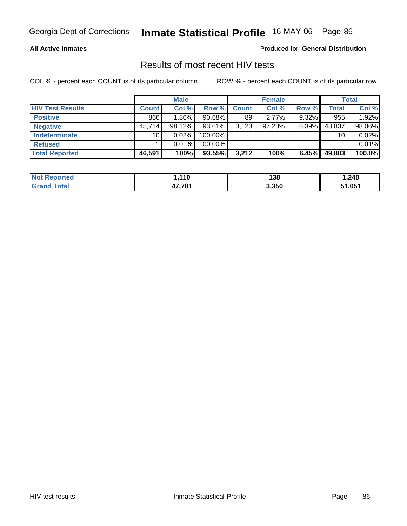### **All Active Inmates**

Produced for **General Distribution**

### Results of most recent HIV tests

|                         |              | <b>Male</b> |           |              | <b>Female</b> |          |        | <b>Total</b> |
|-------------------------|--------------|-------------|-----------|--------------|---------------|----------|--------|--------------|
| <b>HIV Test Results</b> | <b>Count</b> | Col %       | Row %     | <b>Count</b> | Col %         | Row %    | Total  | Col %        |
| <b>Positive</b>         | 866          | $1.86\%$    | $90.68\%$ | 89           | $2.77\%$      | $9.32\%$ | 955    | 1.92%        |
| <b>Negative</b>         | 45,714       | 98.12%      | 93.61%    | 3,123        | 97.23%        | 6.39%    | 48,837 | 98.06%       |
| <b>Indeterminate</b>    | 10           | 0.02%       | 100.00%   |              |               |          | 10     | 0.02%        |
| <b>Refused</b>          |              | 0.01%       | 100.00%   |              |               |          |        | 0.01%        |
| <b>Total Reported</b>   | 46,591       | 100%        | 93.55%    | 3,212        | 100%          | 6.45%    | 49,803 | 100.0%       |

| <b>Not Reported</b> | .110           | 138   | 1,248  |
|---------------------|----------------|-------|--------|
| <b>Grand Total</b>  | 17.701<br>47.I | 3,350 | 51,051 |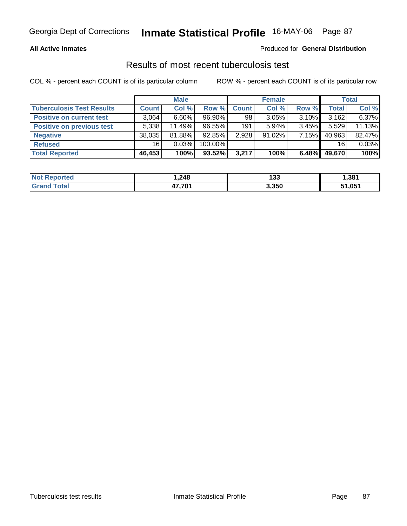### **All Active Inmates**

### Produced for **General Distribution**

### Results of most recent tuberculosis test

|                                  |              | <b>Male</b> |           |       | <b>Female</b> |          |        | <b>Total</b> |
|----------------------------------|--------------|-------------|-----------|-------|---------------|----------|--------|--------------|
| <b>Tuberculosis Test Results</b> | <b>Count</b> | Col %       | Row %     | Count | Col %         | Row %    | Total  | Col %        |
| <b>Positive on current test</b>  | 3,064        | $6.60\%$    | $96.90\%$ | 98    | $3.05\%$      | $3.10\%$ | 3,162  | 6.37%        |
| <b>Positive on previous test</b> | 5,338        | 11.49%      | $96.55\%$ | 191   | $5.94\%$      | $3.45\%$ | 5,529  | 11.13%       |
| <b>Negative</b>                  | 38,035       | 81.88%      | $92.85\%$ | 2,928 | $91.02\%$     | $7.15\%$ | 40,963 | 82.47%       |
| <b>Refused</b>                   | 16           | $0.03\%$    | 100.00%   |       |               |          | 16     | 0.03%        |
| <b>Total Reported</b>            | 46,453       | 100%        | 93.52%    | 3,217 | 100%          | 6.48%    | 49,670 | 100%         |

| <b>Not Reported</b>          | .248.  | 199<br>133 | 381,ا  |
|------------------------------|--------|------------|--------|
| <b>Total</b><br><b>Srand</b> | 17.701 | 3,350      | 51,051 |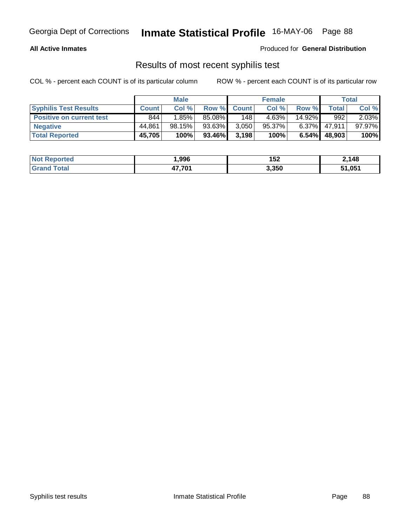### **All Active Inmates**

Produced for **General Distribution**

### Results of most recent syphilis test

|                                 |              | <b>Male</b> |        |             | <b>Female</b> |          |              | Total     |
|---------------------------------|--------------|-------------|--------|-------------|---------------|----------|--------------|-----------|
| <b>Syphilis Test Results</b>    | <b>Count</b> | Col %       |        | Row % Count | Col %         | Row %    | <b>Total</b> | Col %     |
| <b>Positive on current test</b> | 844          | 1.85%       | 85.08% | 148         | 4.63%         | 14.92%   | 992          | $2.03\%$  |
| <b>Negative</b>                 | 44.861       | 98.15%      | 93.63% | 3.050       | $95.37\%$     | $6.37\%$ | 47.911       | $97.97\%$ |
| <b>Total Reported</b>           | 45,705       | 100%        | 93.46% | 3,198       | 100%          | 6.54%    | 48,903       | 100%      |

| <b>Not Reported</b>     | .996   | 152   | 2,148  |
|-------------------------|--------|-------|--------|
| <b>Total</b><br>l Grand | 17 701 | 3,350 | 51,051 |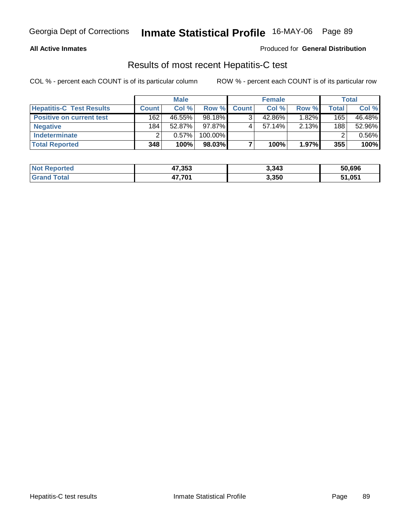### **All Active Inmates**

### Produced for **General Distribution**

### Results of most recent Hepatitis-C test

|                                 |              | <b>Male</b> |            |              | <b>Female</b> |          |         | <b>Total</b> |
|---------------------------------|--------------|-------------|------------|--------------|---------------|----------|---------|--------------|
| <b>Hepatitis-C Test Results</b> | <b>Count</b> | Col %       | Row %      | <b>Count</b> | Col %         | Row %    | Total i | Col %        |
| <b>Positive on current test</b> | 162          | 46.55%      | 98.18%     |              | 42.86%        | $1.82\%$ | 165     | 46.48%       |
| <b>Negative</b>                 | 184          | $52.87\%$   | 97.87%     |              | $57.14\%$     | 2.13%    | 188     | 52.96%       |
| <b>Indeterminate</b>            |              | 0.57%       | $100.00\%$ |              |               |          |         | 0.56%        |
| <b>Total Reported</b>           | 348          | 100%        | 98.03%     |              | 100%          | 1.97%    | 355     | 100%         |

| <b>Not Reported</b> | 47,353 | 3,343 | 50,696 |
|---------------------|--------|-------|--------|
| <b>Grand Total</b>  | 17.701 | 3,350 | 51,051 |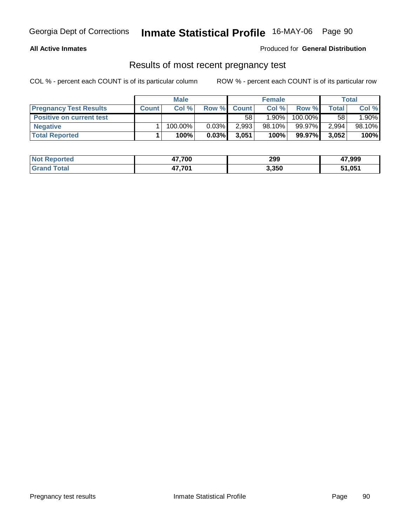### **All Active Inmates**

### Produced for **General Distribution**

### Results of most recent pregnancy test

|                                 |              | <b>Male</b> |          |              | <b>Female</b> |         |              | Total  |
|---------------------------------|--------------|-------------|----------|--------------|---------------|---------|--------------|--------|
| <b>Pregnancy Test Results</b>   | <b>Count</b> | Col%        | Row %    | <b>Count</b> | Col %         | Row %   | <b>Total</b> | Col %  |
| <b>Positive on current test</b> |              |             |          | 58           | $1.90\%$      | 100.00% | 58           | 1.90%  |
| <b>Negative</b>                 |              | 100.00%     | $0.03\%$ | 2,993        | $98.10\%$     | 99.97%  | 2,994        | 98.10% |
| <b>Total Reported</b>           |              | 100%        | 0.03%    | 3,051        | 100%          | 99.97%  | 3,052        | 100%   |

| <b>Not Reported</b> | 47,700 | 299   | 47,999 |
|---------------------|--------|-------|--------|
| <b>Grand Total</b>  | 47,701 | 3,350 | 51,051 |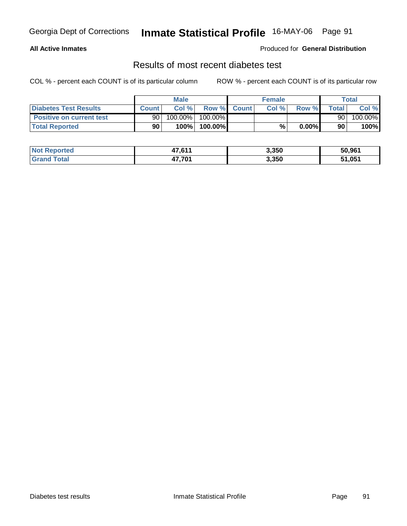### **All Active Inmates**

### Produced for **General Distribution**

### Results of most recent diabetes test

|                                 |              | <b>Male</b> |         |             | <b>Female</b> |          |              | Total   |
|---------------------------------|--------------|-------------|---------|-------------|---------------|----------|--------------|---------|
| Diabetes Test Results           | <b>Count</b> | Col %       |         | Row % Count | Col %         | Row %    | <b>Total</b> | Col %   |
| <b>Positive on current test</b> | 90           | $100.00\%$  | 100.00% |             |               |          | 90           | 100.00% |
| <b>Total Reported</b>           | 90           | 100%        | 100.00% |             | %             | $0.00\%$ | 90           | 100%    |

| <b>Not Reported</b>     | 47,611 | 3,350 | 50.961 |
|-------------------------|--------|-------|--------|
| <b>Total</b><br>⊩Granr′ | 17.701 | 3,350 | 51,051 |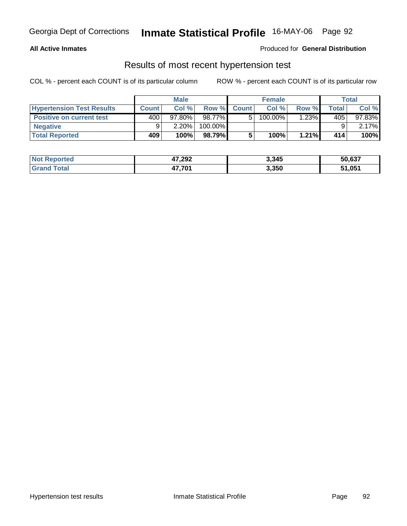### **All Active Inmates**

### Produced for **General Distribution**

### Results of most recent hypertension test

|                                  |              | <b>Male</b> |         |             | <b>Female</b> |         |       | Total     |
|----------------------------------|--------------|-------------|---------|-------------|---------------|---------|-------|-----------|
| <b>Hypertension Test Results</b> | <b>Count</b> | Col%        |         | Row % Count | Col%          | Row %   | Total | Col %     |
| <b>Positive on current test</b>  | 400          | $97.80\%$   | 98.77%  | 51          | $100.00\%$    | $.23\%$ | 405   | $97.83\%$ |
| <b>Negative</b>                  |              | 2.20%       | 100.00% |             |               |         |       | $2.17\%$  |
| <b>Total Reported</b>            | 409          | 100%        | 98.79%I |             | 100%          | 1.21%   | 414   | 100%      |

| <b>Not Reported</b> | 47,292 | 3,345 | 50,637 |
|---------------------|--------|-------|--------|
| <b>Grand Total</b>  | 47,701 | 3,350 | 51,051 |